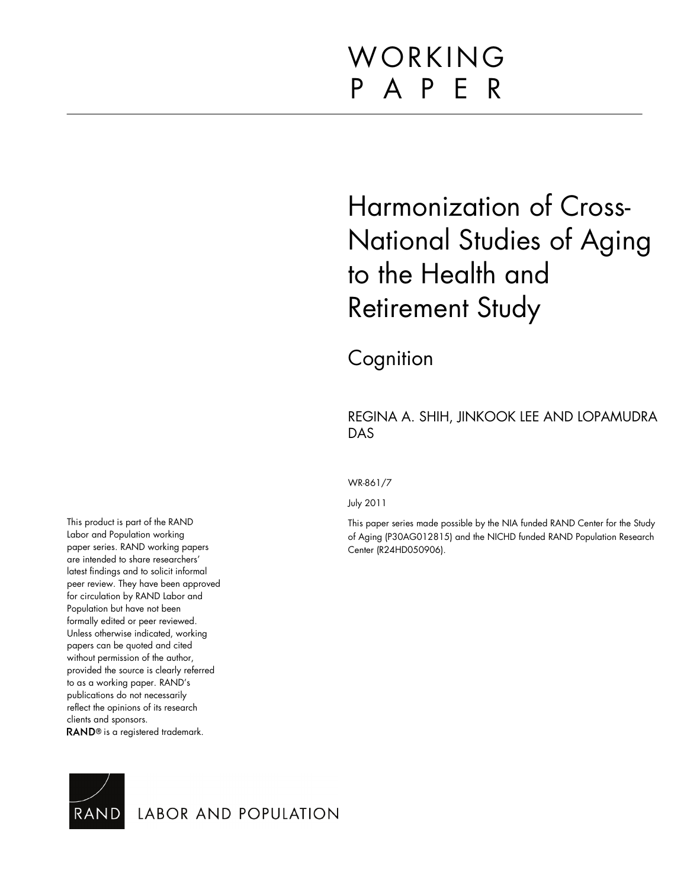# WORKING P A P E R

# Harmonization of Cross-National Studies of Aging to the Health and Retirement Study

**Cognition** 

# REGINA A. SHIH, JINKOOK LEE AND LOPAMUDRA DAS

WR-861/7

July 2011

This paper series made possible by the NIA funded RAND Center for the Study of Aging (P30AG012815) and the NICHD funded RAND Population Research Center (R24HD050906).

This product is part of the RAND Labor and Population working paper series. RAND working papers are intended to share researchers' latest findings and to solicit informal peer review. They have been approved for circulation by RAND Labor and Population but have not been formally edited or peer reviewed. Unless otherwise indicated, working papers can be quoted and cited without permission of the author, provided the source is clearly referred to as a working paper. RAND's publications do not necessarily reflect the opinions of its research clients and sponsors. RAND<sup>®</sup> is a registered trademark.



LABOR AND POPULATION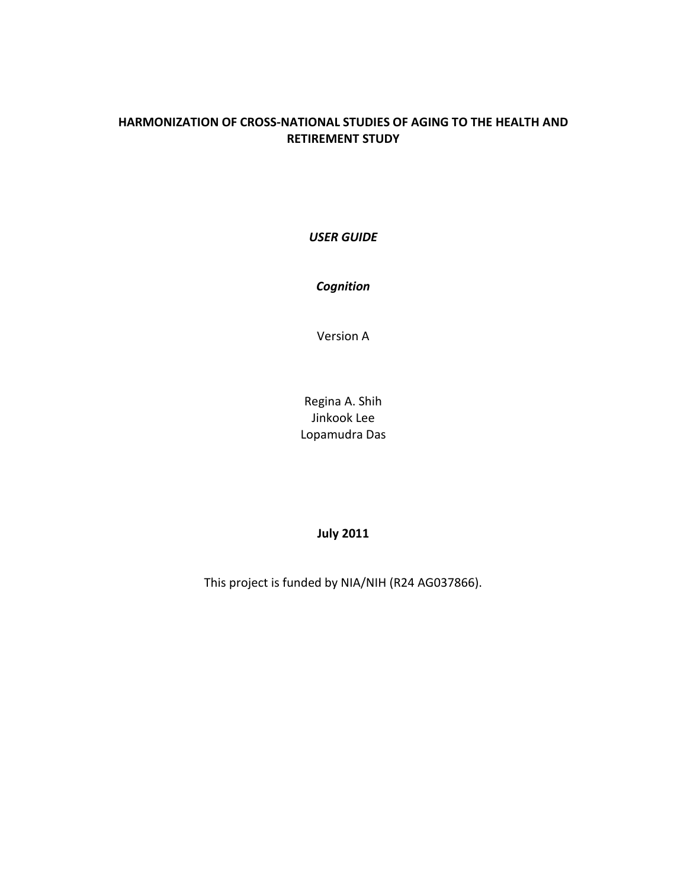# **HARMONIZATION OF CROSS-NATIONAL STUDIES OF AGING TO THE HEALTH AND RETIREMENT STUDY**

*USER GUIDE*

*Cognition* 

Version A

Regina A. Shih Jinkook Lee Lopamudra Das

# **July 2011**

<span id="page-1-0"></span>This project is funded by NIA/NIH (R24 AG037866).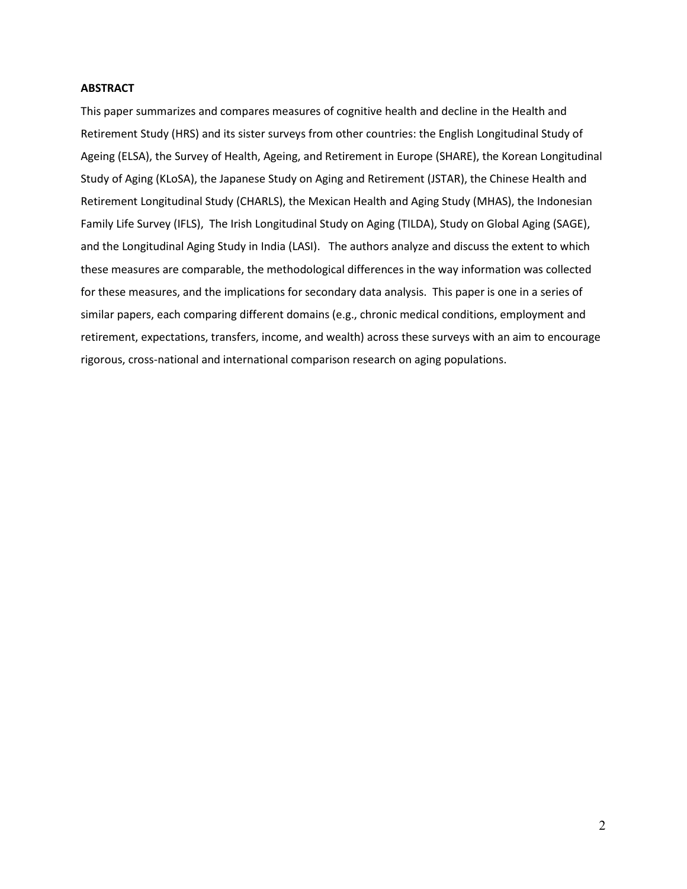# **ABSTRACT**

This paper summarizes and compares measures of cognitive health and decline in the Health and Retirement Study (HRS) and its sister surveys from other countries: the English Longitudinal Study of Ageing (ELSA), the Survey of Health, Ageing, and Retirement in Europe (SHARE), the Korean Longitudinal Study of Aging (KLoSA), the Japanese Study on Aging and Retirement (JSTAR), the Chinese Health and Retirement Longitudinal Study (CHARLS), the Mexican Health and Aging Study (MHAS), the Indonesian Family Life Survey (IFLS), The Irish Longitudinal Study on Aging (TILDA), Study on Global Aging (SAGE), and the Longitudinal Aging Study in India (LASI). The authors analyze and discuss the extent to which these measures are comparable, the methodological differences in the way information was collected for these measures, and the implications for secondary data analysis. This paper is one in a series of similar papers, each comparing different domains (e.g., chronic medical conditions, employment and retirement, expectations, transfers, income, and wealth) across these surveys with an aim to encourage rigorous, cross-national and international comparison research on aging populations.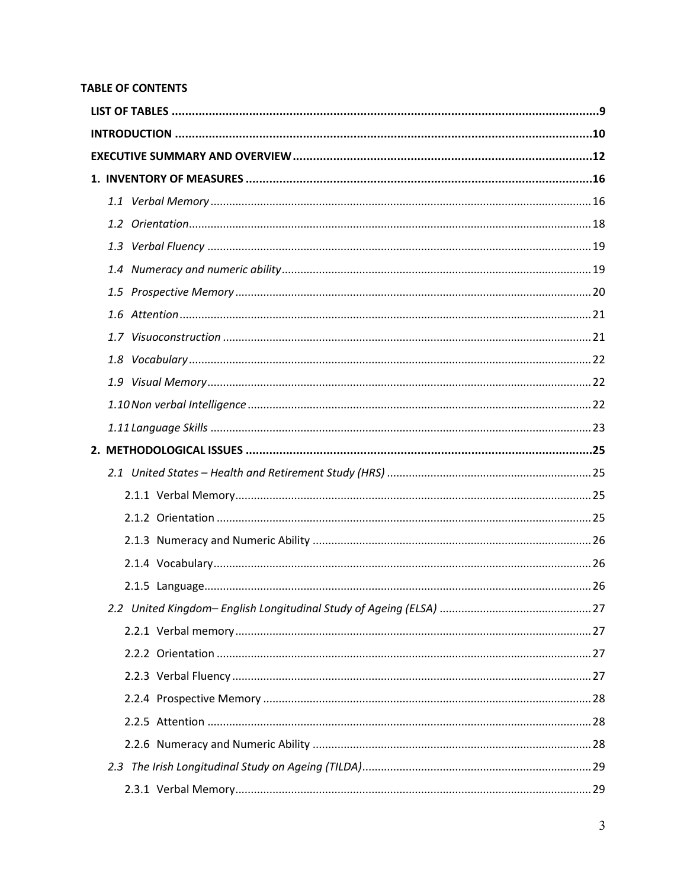# **TABLE OF CONTENTS**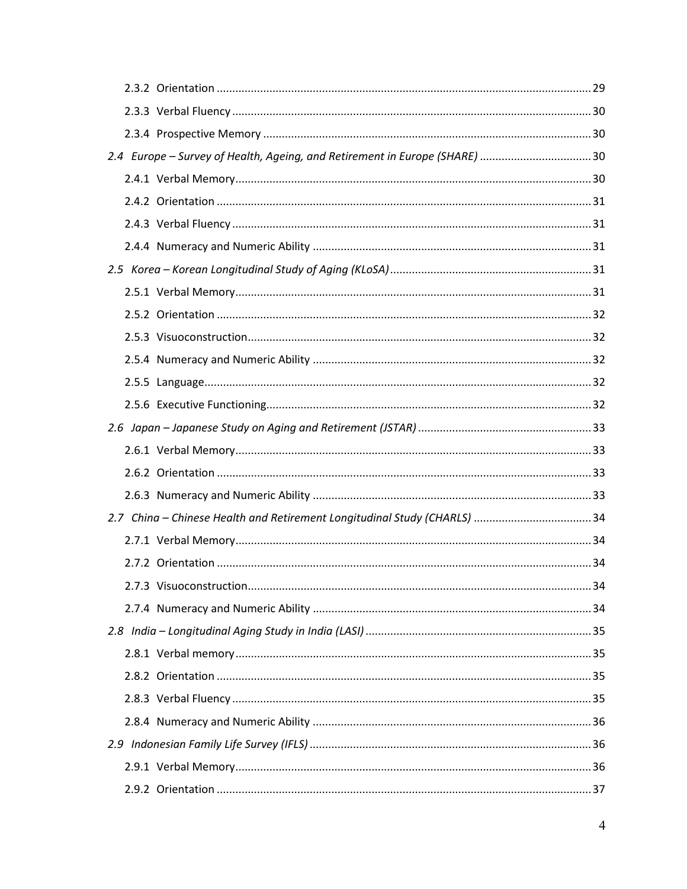|  | 2.4 Europe - Survey of Health, Ageing, and Retirement in Europe (SHARE) 30 |
|--|----------------------------------------------------------------------------|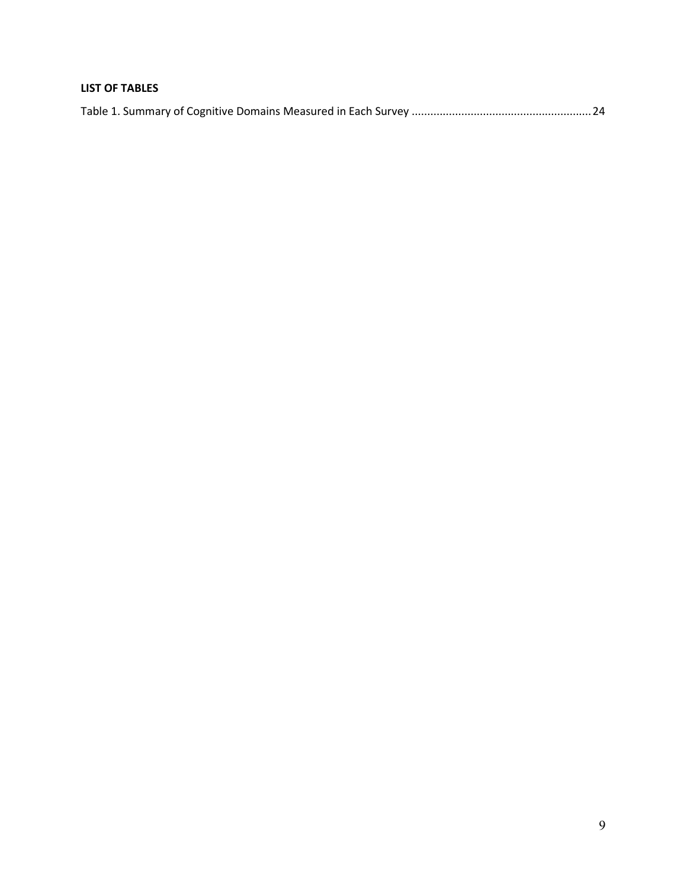# <span id="page-9-0"></span>**LIST OF TABLES**

|--|--|--|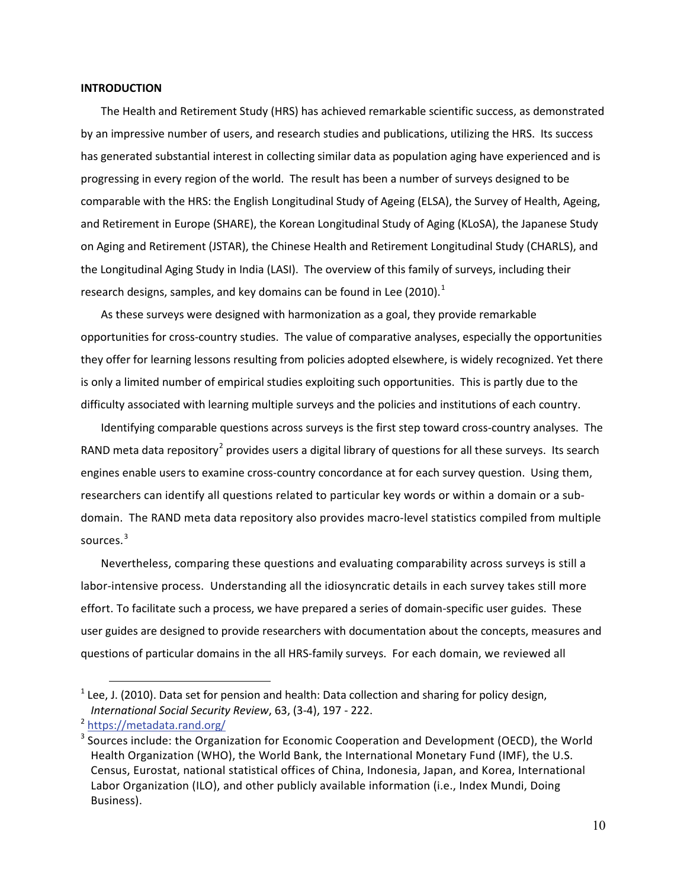#### <span id="page-10-0"></span>**INTRODUCTION**

The Health and Retirement Study (HRS) has achieved remarkable scientific success, as demonstrated by an impressive number of users, and research studies and publications, utilizing the HRS. Its success has generated substantial interest in collecting similar data as population aging have experienced and is progressing in every region of the world. The result has been a number of surveys designed to be comparable with the HRS: the English Longitudinal Study of Ageing (ELSA), the Survey of Health, Ageing, and Retirement in Europe (SHARE), the Korean Longitudinal Study of Aging (KLoSA), the Japanese Study on Aging and Retirement (JSTAR), the Chinese Health and Retirement Longitudinal Study (CHARLS), and the Longitudinal Aging Study in India (LASI). The overview of this family of surveys, including their research designs, samples, and key domains can be found in Lee (20[1](#page-1-0)0).<sup>1</sup>

As these surveys were designed with harmonization as a goal, they provide remarkable opportunities for cross-country studies. The value of comparative analyses, especially the opportunities they offer for learning lessons resulting from policies adopted elsewhere, is widely recognized. Yet there is only a limited number of empirical studies exploiting such opportunities. This is partly due to the difficulty associated with learning multiple surveys and the policies and institutions of each country.

Identifying comparable questions across surveys is the first step toward cross-country analyses. The RAND meta data repository<sup>[2](#page-10-1)</sup> provides users a digital library of questions for all these surveys. Its search engines enable users to examine cross-country concordance at for each survey question. Using them, researchers can identify all questions related to particular key words or within a domain or a subdomain. The RAND meta data repository also provides macro-level statistics compiled from multiple sources.<sup>[3](#page-10-2)</sup>

Nevertheless, comparing these questions and evaluating comparability across surveys is still a labor-intensive process. Understanding all the idiosyncratic details in each survey takes still more effort. To facilitate such a process, we have prepared a series of domain-specific user guides. These user guides are designed to provide researchers with documentation about the concepts, measures and questions of particular domains in the all HRS-family surveys. For each domain, we reviewed all

 $\overline{a}$ 

 $1$  Lee, J. (2010). Data set for pension and health: Data collection and sharing for policy design, *International Social Security Review*, 63, (3-4), 197 - 222.

<span id="page-10-1"></span><sup>2</sup> <https://metadata.rand.org/>

<span id="page-10-3"></span><span id="page-10-2"></span><sup>&</sup>lt;sup>3</sup> Sources include: the Organization for Economic Cooperation and Development (OECD), the World Health Organization (WHO), the World Bank, the International Monetary Fund (IMF), the U.S. Census, Eurostat, national statistical offices of China, Indonesia, Japan, and Korea, International Labor Organization (ILO), and other publicly available information (i.e., Index Mundi, Doing Business).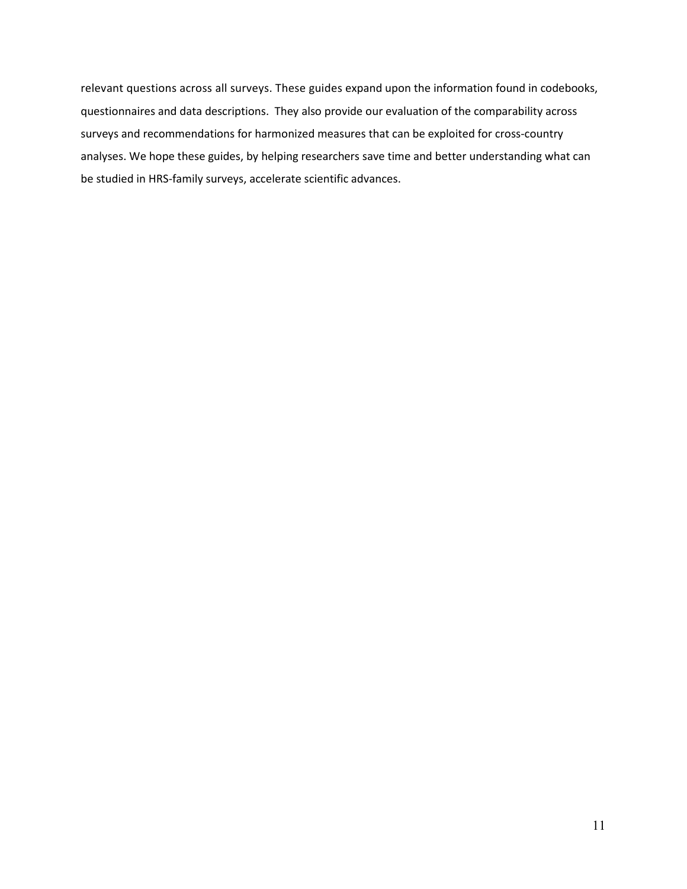relevant questions across all surveys. These guides expand upon the information found in codebooks, questionnaires and data descriptions. They also provide our evaluation of the comparability across surveys and recommendations for harmonized measures that can be exploited for cross-country analyses. We hope these guides, by helping researchers save time and better understanding what can be studied in HRS-family surveys, accelerate scientific advances.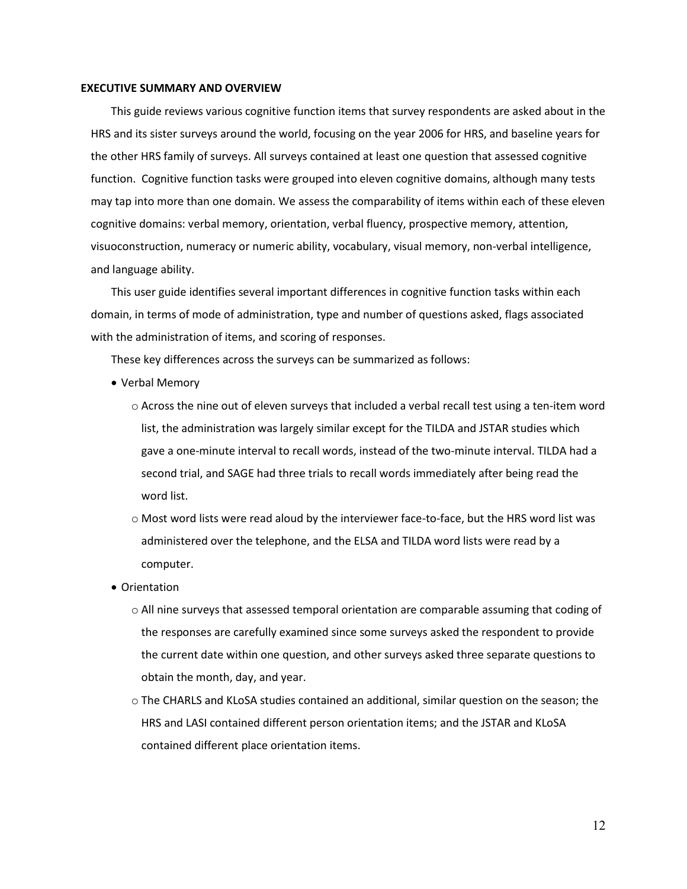#### <span id="page-12-0"></span>**EXECUTIVE SUMMARY AND OVERVIEW**

This guide reviews various cognitive function items that survey respondents are asked about in the HRS and its sister surveys around the world, focusing on the year 2006 for HRS, and baseline years for the other HRS family of surveys. All surveys contained at least one question that assessed cognitive function. Cognitive function tasks were grouped into eleven cognitive domains, although many tests may tap into more than one domain. We assess the comparability of items within each of these eleven cognitive domains: verbal memory, orientation, verbal fluency, prospective memory, attention, visuoconstruction, numeracy or numeric ability, vocabulary, visual memory, non-verbal intelligence, and language ability.

This user guide identifies several important differences in cognitive function tasks within each domain, in terms of mode of administration, type and number of questions asked, flags associated with the administration of items, and scoring of responses.

These key differences across the surveys can be summarized as follows:

- Verbal Memory
	- $\circ$  Across the nine out of eleven surveys that included a verbal recall test using a ten-item word list, the administration was largely similar except for the TILDA and JSTAR studies which gave a one-minute interval to recall words, instead of the two-minute interval. TILDA had a second trial, and SAGE had three trials to recall words immediately after being read the word list.
	- o Most word lists were read aloud by the interviewer face-to-face, but the HRS word list was administered over the telephone, and the ELSA and TILDA word lists were read by a computer.
- Orientation
	- o All nine surveys that assessed temporal orientation are comparable assuming that coding of the responses are carefully examined since some surveys asked the respondent to provide the current date within one question, and other surveys asked three separate questions to obtain the month, day, and year.
	- o The CHARLS and KLoSA studies contained an additional, similar question on the season; the HRS and LASI contained different person orientation items; and the JSTAR and KLoSA contained different place orientation items.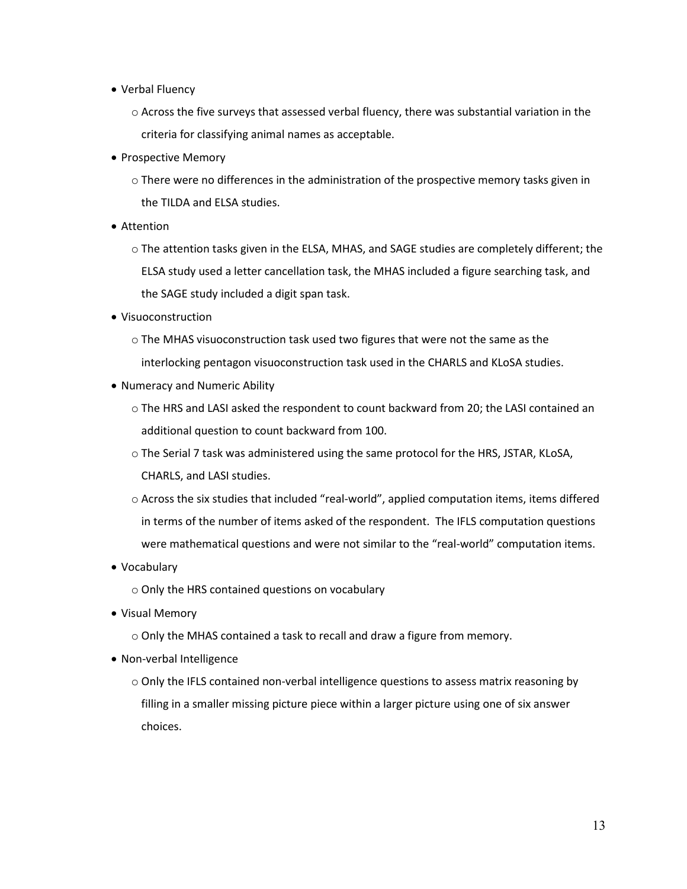- Verbal Fluency
	- $\circ$  Across the five surveys that assessed verbal fluency, there was substantial variation in the criteria for classifying animal names as acceptable.
- Prospective Memory
	- $\circ$  There were no differences in the administration of the prospective memory tasks given in the TILDA and ELSA studies.
- Attention
	- o The attention tasks given in the ELSA, MHAS, and SAGE studies are completely different; the ELSA study used a letter cancellation task, the MHAS included a figure searching task, and the SAGE study included a digit span task.
- Visuoconstruction
	- o The MHAS visuoconstruction task used two figures that were not the same as the interlocking pentagon visuoconstruction task used in the CHARLS and KLoSA studies.
- Numeracy and Numeric Ability
	- o The HRS and LASI asked the respondent to count backward from 20; the LASI contained an additional question to count backward from 100.
	- $\circ$  The Serial 7 task was administered using the same protocol for the HRS, JSTAR, KLoSA, CHARLS, and LASI studies.
	- o Across the six studies that included "real-world", applied computation items, items differed in terms of the number of items asked of the respondent. The IFLS computation questions were mathematical questions and were not similar to the "real-world" computation items.
- Vocabulary
	- o Only the HRS contained questions on vocabulary
- Visual Memory
	- o Only the MHAS contained a task to recall and draw a figure from memory.
- Non-verbal Intelligence
	- o Only the IFLS contained non-verbal intelligence questions to assess matrix reasoning by filling in a smaller missing picture piece within a larger picture using one of six answer choices.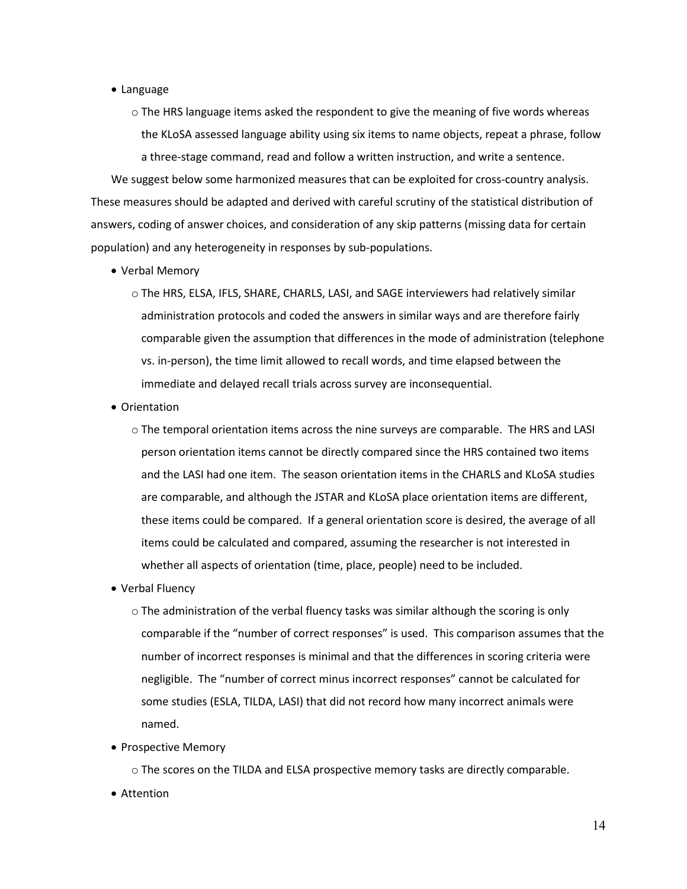- Language
	- $\circ$  The HRS language items asked the respondent to give the meaning of five words whereas the KLoSA assessed language ability using six items to name objects, repeat a phrase, follow a three-stage command, read and follow a written instruction, and write a sentence.

We suggest below some harmonized measures that can be exploited for cross-country analysis. These measures should be adapted and derived with careful scrutiny of the statistical distribution of answers, coding of answer choices, and consideration of any skip patterns (missing data for certain population) and any heterogeneity in responses by sub-populations.

- Verbal Memory
	- o The HRS, ELSA, IFLS, SHARE, CHARLS, LASI, and SAGE interviewers had relatively similar administration protocols and coded the answers in similar ways and are therefore fairly comparable given the assumption that differences in the mode of administration (telephone vs. in-person), the time limit allowed to recall words, and time elapsed between the immediate and delayed recall trials across survey are inconsequential.
- Orientation
	- o The temporal orientation items across the nine surveys are comparable. The HRS and LASI person orientation items cannot be directly compared since the HRS contained two items and the LASI had one item. The season orientation items in the CHARLS and KLoSA studies are comparable, and although the JSTAR and KLoSA place orientation items are different, these items could be compared. If a general orientation score is desired, the average of all items could be calculated and compared, assuming the researcher is not interested in whether all aspects of orientation (time, place, people) need to be included.
- Verbal Fluency
	- o The administration of the verbal fluency tasks was similar although the scoring is only comparable if the "number of correct responses" is used. This comparison assumes that the number of incorrect responses is minimal and that the differences in scoring criteria were negligible. The "number of correct minus incorrect responses" cannot be calculated for some studies (ESLA, TILDA, LASI) that did not record how many incorrect animals were named.
- Prospective Memory

 $\circ$  The scores on the TILDA and ELSA prospective memory tasks are directly comparable.

• Attention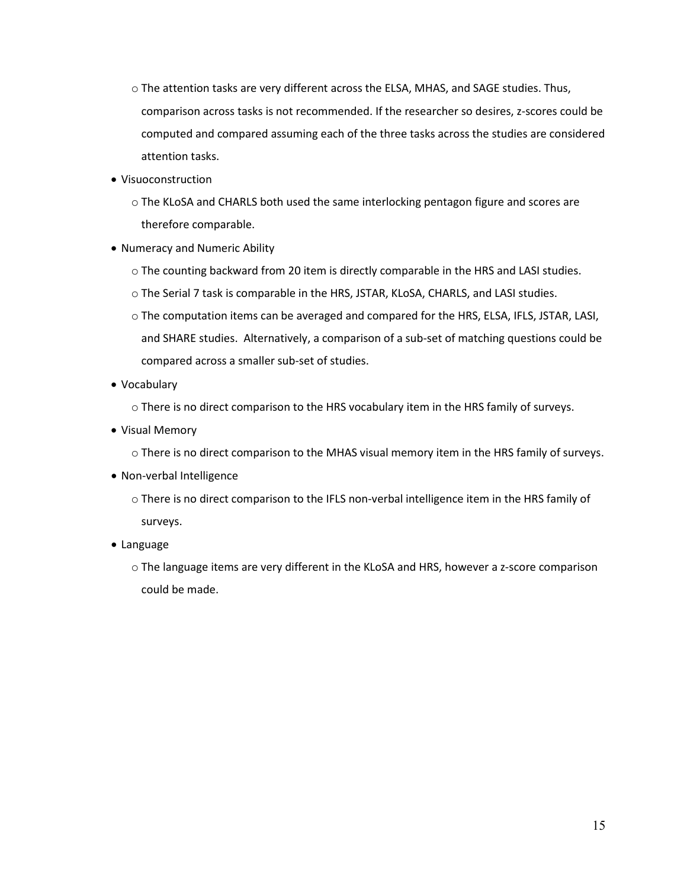- o The attention tasks are very different across the ELSA, MHAS, and SAGE studies. Thus, comparison across tasks is not recommended. If the researcher so desires, z-scores could be computed and compared assuming each of the three tasks across the studies are considered attention tasks.
- Visuoconstruction
	- o The KLoSA and CHARLS both used the same interlocking pentagon figure and scores are therefore comparable.
- Numeracy and Numeric Ability
	- o The counting backward from 20 item is directly comparable in the HRS and LASI studies.
	- o The Serial 7 task is comparable in the HRS, JSTAR, KLoSA, CHARLS, and LASI studies.
	- o The computation items can be averaged and compared for the HRS, ELSA, IFLS, JSTAR, LASI, and SHARE studies. Alternatively, a comparison of a sub-set of matching questions could be compared across a smaller sub-set of studies.
- Vocabulary
	- o There is no direct comparison to the HRS vocabulary item in the HRS family of surveys.
- Visual Memory
	- o There is no direct comparison to the MHAS visual memory item in the HRS family of surveys.
- Non-verbal Intelligence
	- o There is no direct comparison to the IFLS non-verbal intelligence item in the HRS family of surveys.
- Language
	- o The language items are very different in the KLoSA and HRS, however a z-score comparison could be made.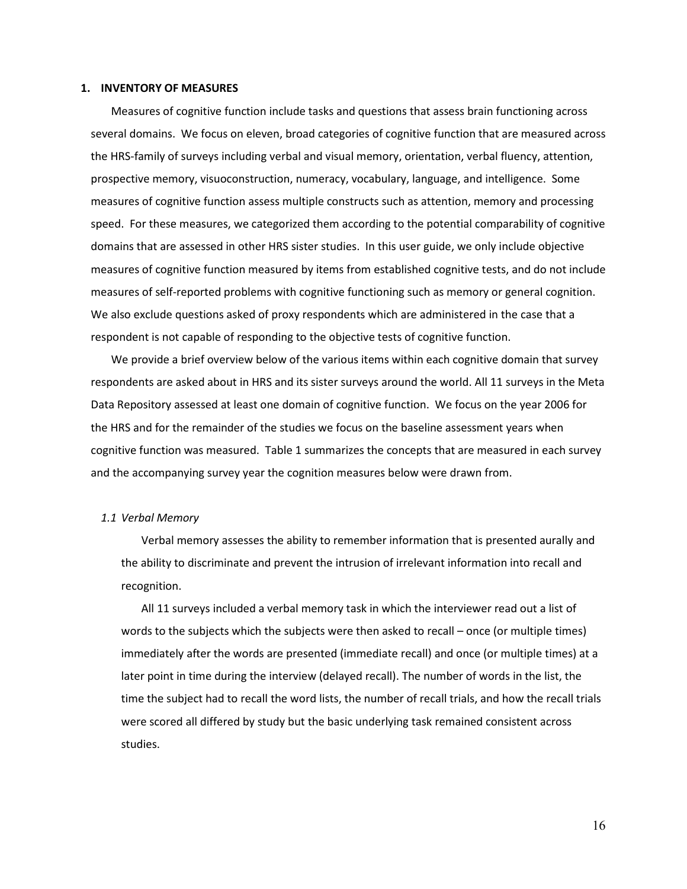#### <span id="page-16-0"></span>**1. INVENTORY OF MEASURES**

Measures of cognitive function include tasks and questions that assess brain functioning across several domains. We focus on eleven, broad categories of cognitive function that are measured across the HRS-family of surveys including verbal and visual memory, orientation, verbal fluency, attention, prospective memory, visuoconstruction, numeracy, vocabulary, language, and intelligence. Some measures of cognitive function assess multiple constructs such as attention, memory and processing speed. For these measures, we categorized them according to the potential comparability of cognitive domains that are assessed in other HRS sister studies. In this user guide, we only include objective measures of cognitive function measured by items from established cognitive tests, and do not include measures of self-reported problems with cognitive functioning such as memory or general cognition. We also exclude questions asked of proxy respondents which are administered in the case that a respondent is not capable of responding to the objective tests of cognitive function.

We provide a brief overview below of the various items within each cognitive domain that survey respondents are asked about in HRS and its sister surveys around the world. All 11 surveys in the Meta Data Repository assessed at least one domain of cognitive function. We focus on the year 2006 for the HRS and for the remainder of the studies we focus on the baseline assessment years when cognitive function was measured. Table 1 summarizes the concepts that are measured in each survey and the accompanying survey year the cognition measures below were drawn from.

# <span id="page-16-1"></span>*1.1 Verbal Memory*

Verbal memory assesses the ability to remember information that is presented aurally and the ability to discriminate and prevent the intrusion of irrelevant information into recall and recognition.

All 11 surveys included a verbal memory task in which the interviewer read out a list of words to the subjects which the subjects were then asked to recall – once (or multiple times) immediately after the words are presented (immediate recall) and once (or multiple times) at a later point in time during the interview (delayed recall). The number of words in the list, the time the subject had to recall the word lists, the number of recall trials, and how the recall trials were scored all differed by study but the basic underlying task remained consistent across studies.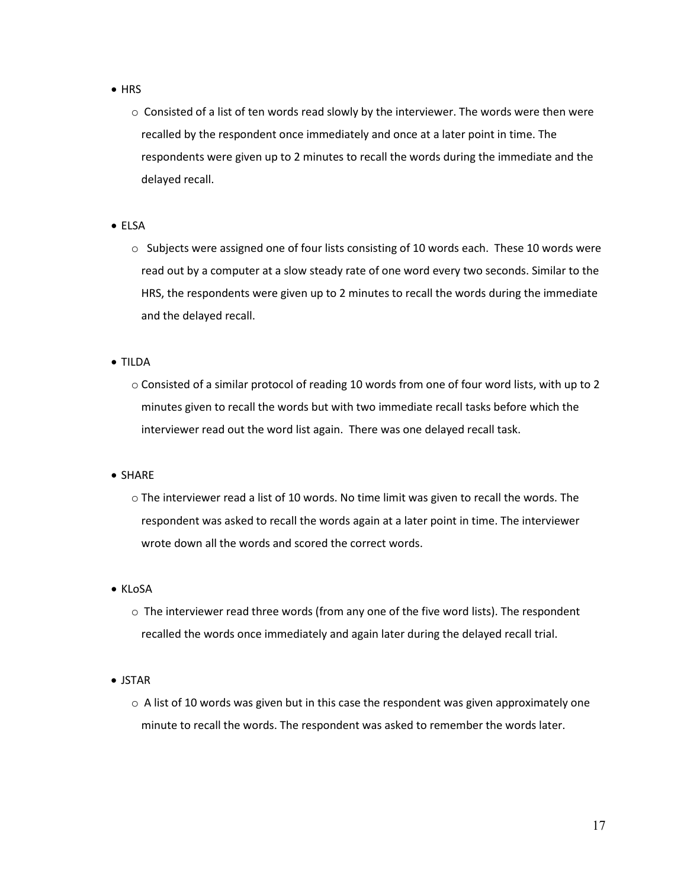- HRS
	- $\circ$  Consisted of a list of ten words read slowly by the interviewer. The words were then were recalled by the respondent once immediately and once at a later point in time. The respondents were given up to 2 minutes to recall the words during the immediate and the delayed recall.
- ELSA
	- $\circ$  Subjects were assigned one of four lists consisting of 10 words each. These 10 words were read out by a computer at a slow steady rate of one word every two seconds. Similar to the HRS, the respondents were given up to 2 minutes to recall the words during the immediate and the delayed recall.
- TILDA
	- o Consisted of a similar protocol of reading 10 words from one of four word lists, with up to 2 minutes given to recall the words but with two immediate recall tasks before which the interviewer read out the word list again. There was one delayed recall task.
- SHARE
	- $\circ$  The interviewer read a list of 10 words. No time limit was given to recall the words. The respondent was asked to recall the words again at a later point in time. The interviewer wrote down all the words and scored the correct words.
- KLoSA
	- $\circ$  The interviewer read three words (from any one of the five word lists). The respondent recalled the words once immediately and again later during the delayed recall trial.
- JSTAR
	- $\circ$  A list of 10 words was given but in this case the respondent was given approximately one minute to recall the words. The respondent was asked to remember the words later.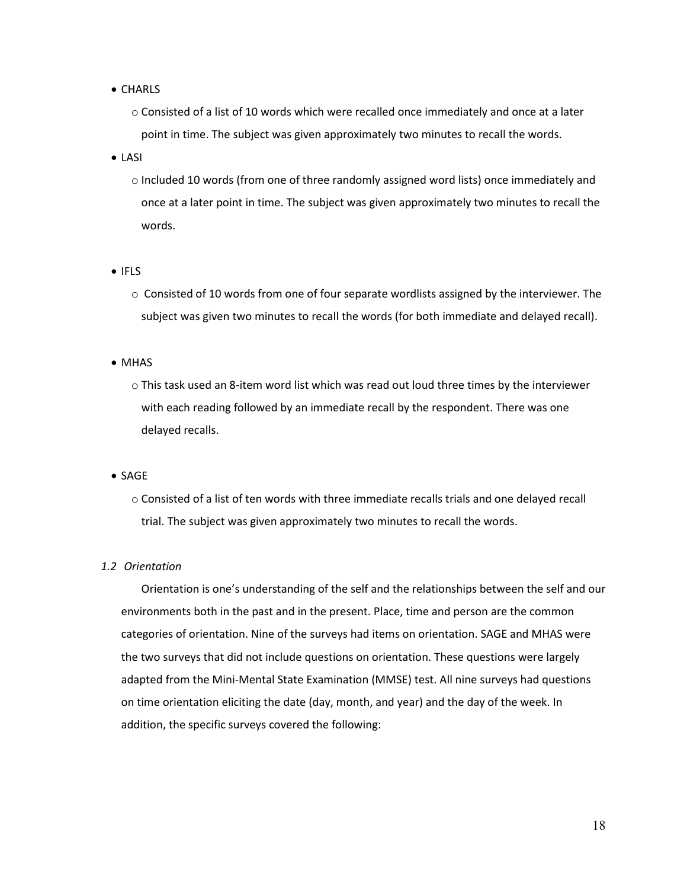### • CHARLS

- $\circ$  Consisted of a list of 10 words which were recalled once immediately and once at a later point in time. The subject was given approximately two minutes to recall the words.
- LASI
	- o Included 10 words (from one of three randomly assigned word lists) once immediately and once at a later point in time. The subject was given approximately two minutes to recall the words.
- IFLS
	- $\circ$  Consisted of 10 words from one of four separate wordlists assigned by the interviewer. The subject was given two minutes to recall the words (for both immediate and delayed recall).
- MHAS
	- o This task used an 8-item word list which was read out loud three times by the interviewer with each reading followed by an immediate recall by the respondent. There was one delayed recalls.

• SAGE

o Consisted of a list of ten words with three immediate recalls trials and one delayed recall trial. The subject was given approximately two minutes to recall the words.

# <span id="page-18-0"></span>*1.2 Orientation*

Orientation is one's understanding of the self and the relationships between the self and our environments both in the past and in the present. Place, time and person are the common categories of orientation. Nine of the surveys had items on orientation. SAGE and MHAS were the two surveys that did not include questions on orientation. These questions were largely adapted from the Mini-Mental State Examination (MMSE) test. All nine surveys had questions on time orientation eliciting the date (day, month, and year) and the day of the week. In addition, the specific surveys covered the following: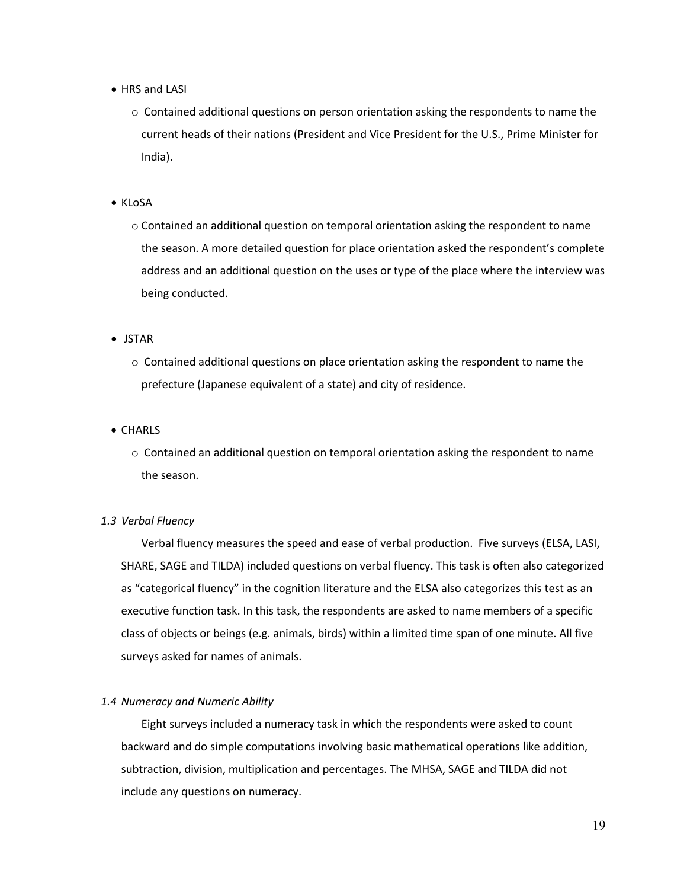- HRS and LASI
	- $\circ$  Contained additional questions on person orientation asking the respondents to name the current heads of their nations (President and Vice President for the U.S., Prime Minister for India).
- KLoSA
	- o Contained an additional question on temporal orientation asking the respondent to name the season. A more detailed question for place orientation asked the respondent's complete address and an additional question on the uses or type of the place where the interview was being conducted.

• JSTAR

- $\circ$  Contained additional questions on place orientation asking the respondent to name the prefecture (Japanese equivalent of a state) and city of residence.
- CHARLS
	- $\circ$  Contained an additional question on temporal orientation asking the respondent to name the season.

# <span id="page-19-0"></span>*1.3 Verbal Fluency*

Verbal fluency measures the speed and ease of verbal production. Five surveys (ELSA, LASI, SHARE, SAGE and TILDA) included questions on verbal fluency. This task is often also categorized as "categorical fluency" in the cognition literature and the ELSA also categorizes this test as an executive function task. In this task, the respondents are asked to name members of a specific class of objects or beings (e.g. animals, birds) within a limited time span of one minute. All five surveys asked for names of animals.

#### <span id="page-19-1"></span>*1.4 Numeracy and Numeric Ability*

Eight surveys included a numeracy task in which the respondents were asked to count backward and do simple computations involving basic mathematical operations like addition, subtraction, division, multiplication and percentages. The MHSA, SAGE and TILDA did not include any questions on numeracy.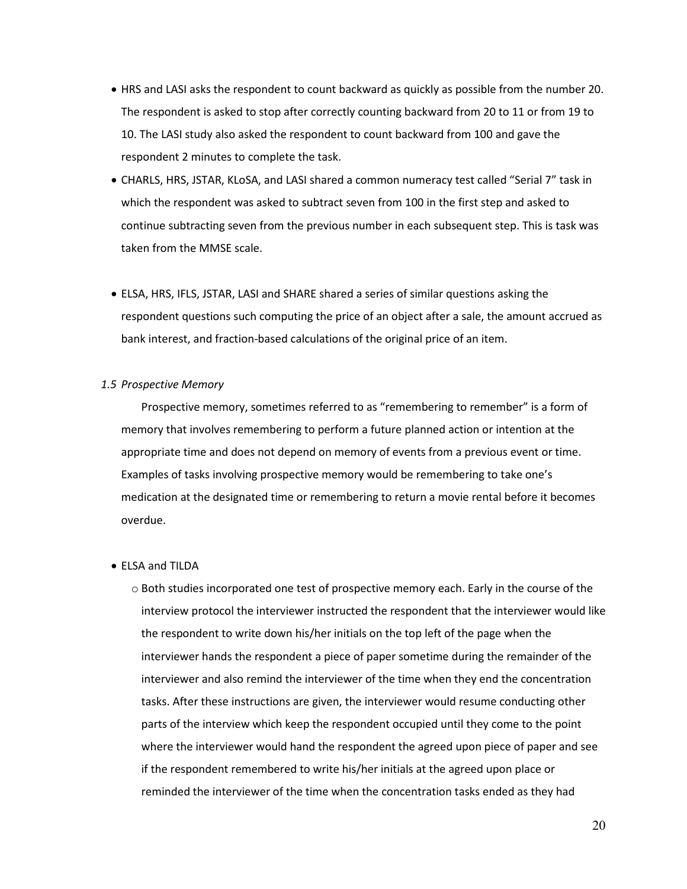- HRS and LASI asks the respondent to count backward as quickly as possible from the number 20. The respondent is asked to stop after correctly counting backward from 20 to 11 or from 19 to 10. The LASI study also asked the respondent to count backward from 100 and gave the respondent 2 minutes to complete the task.
- CHARLS, HRS, JSTAR, KLoSA, and LASI shared a common numeracy test called "Serial 7" task in which the respondent was asked to subtract seven from 100 in the first step and asked to continue subtracting seven from the previous number in each subsequent step. This is task was taken from the MMSE scale.
- ELSA, HRS, IFLS, JSTAR, LASI and SHARE shared a series of similar questions asking the respondent questions such computing the price of an object after a sale, the amount accrued as bank interest, and fraction-based calculations of the original price of an item.

# <span id="page-20-0"></span>*1.5 Prospective Memory*

Prospective memory, sometimes referred to as "remembering to remember" is a form of memory that involves remembering to perform a future planned action or intention at the appropriate time and does not depend on memory of events from a previous event or time. Examples of tasks involving prospective memory would be remembering to take one's medication at the designated time or remembering to return a movie rental before it becomes overdue.

#### • ELSA and TILDA

 $\circ$  Both studies incorporated one test of prospective memory each. Early in the course of the interview protocol the interviewer instructed the respondent that the interviewer would like the respondent to write down his/her initials on the top left of the page when the interviewer hands the respondent a piece of paper sometime during the remainder of the interviewer and also remind the interviewer of the time when they end the concentration tasks. After these instructions are given, the interviewer would resume conducting other parts of the interview which keep the respondent occupied until they come to the point where the interviewer would hand the respondent the agreed upon piece of paper and see if the respondent remembered to write his/her initials at the agreed upon place or reminded the interviewer of the time when the concentration tasks ended as they had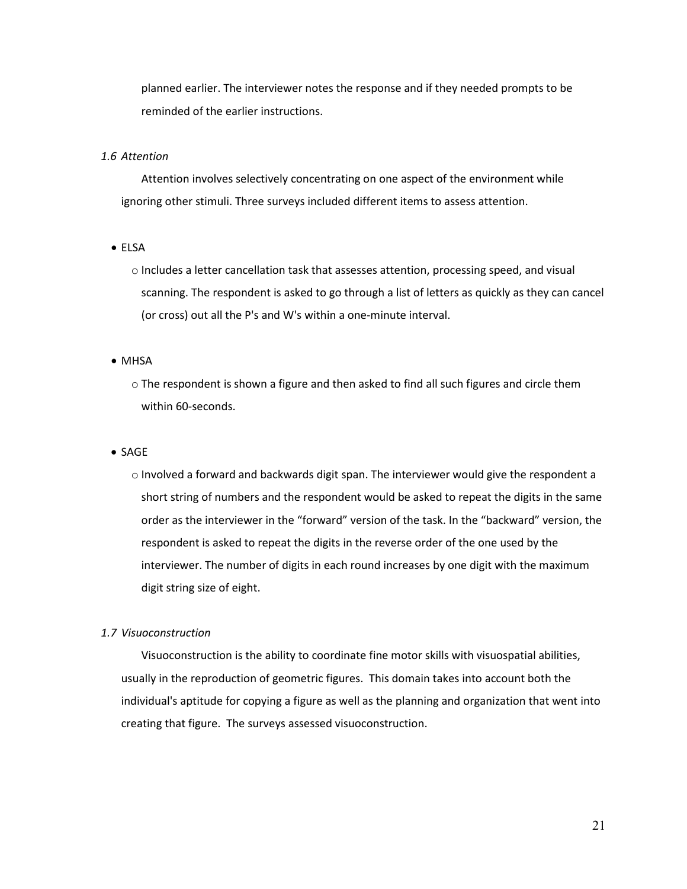planned earlier. The interviewer notes the response and if they needed prompts to be reminded of the earlier instructions.

# <span id="page-21-0"></span>*1.6 Attention*

Attention involves selectively concentrating on one aspect of the environment while ignoring other stimuli. Three surveys included different items to assess attention.

# • ELSA

o Includes a letter cancellation task that assesses attention, processing speed, and visual scanning. The respondent is asked to go through a list of letters as quickly as they can cancel (or cross) out all the P's and W's within a one-minute interval.

# • MHSA

o The respondent is shown a figure and then asked to find all such figures and circle them within 60-seconds.

#### • SAGE

o Involved a forward and backwards digit span. The interviewer would give the respondent a short string of numbers and the respondent would be asked to repeat the digits in the same order as the interviewer in the "forward" version of the task. In the "backward" version, the respondent is asked to repeat the digits in the reverse order of the one used by the interviewer. The number of digits in each round increases by one digit with the maximum digit string size of eight.

#### <span id="page-21-1"></span>*1.7 Visuoconstruction*

Visuoconstruction is the ability to coordinate fine motor skills with visuospatial abilities, usually in the reproduction of geometric figures. This domain takes into account both the individual's aptitude for copying a figure as well as the planning and organization that went into creating that figure. The surveys assessed visuoconstruction.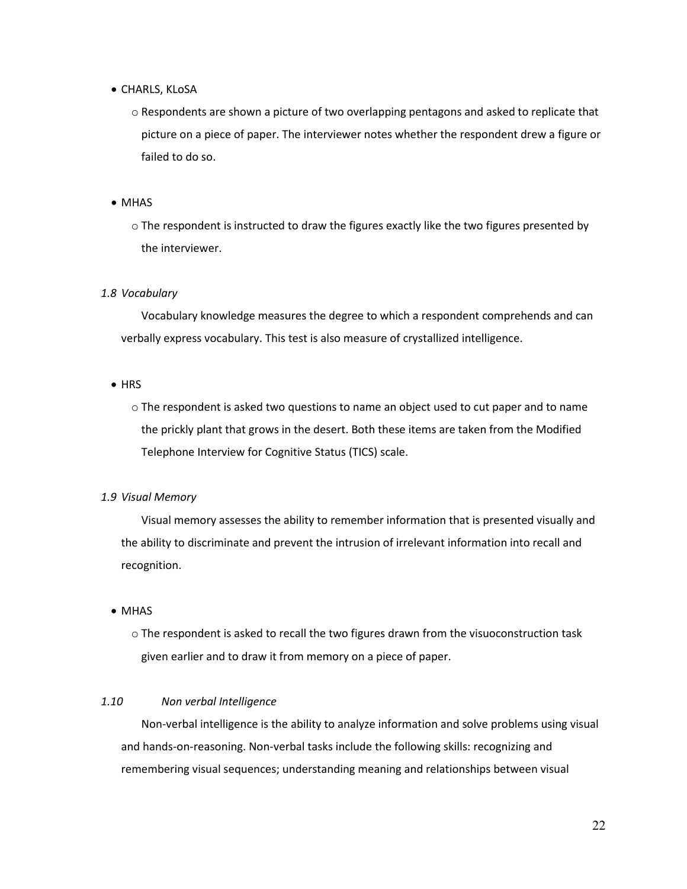- CHARLS, KLoSA
	- o Respondents are shown a picture of two overlapping pentagons and asked to replicate that picture on a piece of paper. The interviewer notes whether the respondent drew a figure or failed to do so.
- MHAS
	- o The respondent is instructed to draw the figures exactly like the two figures presented by the interviewer.

# <span id="page-22-0"></span>*1.8 Vocabulary*

Vocabulary knowledge measures the degree to which a respondent comprehends and can verbally express vocabulary. This test is also measure of crystallized intelligence.

- HRS
	- o The respondent is asked two questions to name an object used to cut paper and to name the prickly plant that grows in the desert. Both these items are taken from the Modified Telephone Interview for Cognitive Status (TICS) scale.

#### <span id="page-22-1"></span>*1.9 Visual Memory*

Visual memory assesses the ability to remember information that is presented visually and the ability to discriminate and prevent the intrusion of irrelevant information into recall and recognition.

# • MHAS

o The respondent is asked to recall the two figures drawn from the visuoconstruction task given earlier and to draw it from memory on a piece of paper.

# <span id="page-22-2"></span>*1.10 Non verbal Intelligence*

Non-verbal intelligence is the ability to analyze information and solve problems using visual and hands-on-reasoning. Non-verbal tasks include the following skills: recognizing and remembering visual sequences; understanding meaning and relationships between visual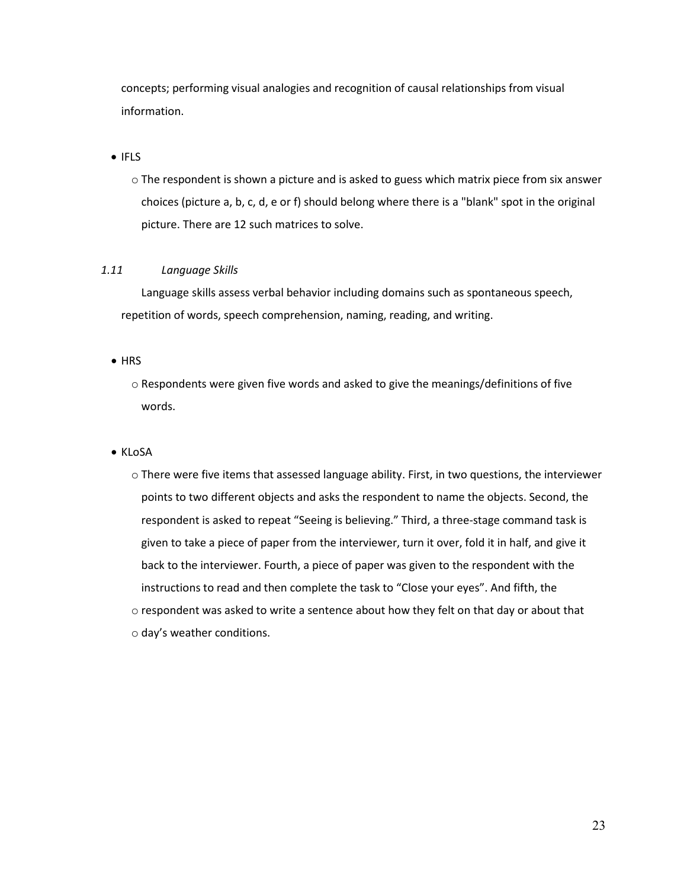concepts; performing visual analogies and recognition of causal relationships from visual information.

# • IFLS

o The respondent is shown a picture and is asked to guess which matrix piece from six answer choices (picture a, b, c, d, e or f) should belong where there is a "blank" spot in the original picture. There are 12 such matrices to solve.

# <span id="page-23-0"></span>*1.11 Language Skills*

Language skills assess verbal behavior including domains such as spontaneous speech, repetition of words, speech comprehension, naming, reading, and writing.

# • HRS

 $\circ$  Respondents were given five words and asked to give the meanings/definitions of five words.

# • KLoSA

o There were five items that assessed language ability. First, in two questions, the interviewer points to two different objects and asks the respondent to name the objects. Second, the respondent is asked to repeat "Seeing is believing." Third, a three-stage command task is given to take a piece of paper from the interviewer, turn it over, fold it in half, and give it back to the interviewer. Fourth, a piece of paper was given to the respondent with the instructions to read and then complete the task to "Close your eyes". And fifth, the  $\circ$  respondent was asked to write a sentence about how they felt on that day or about that o day's weather conditions.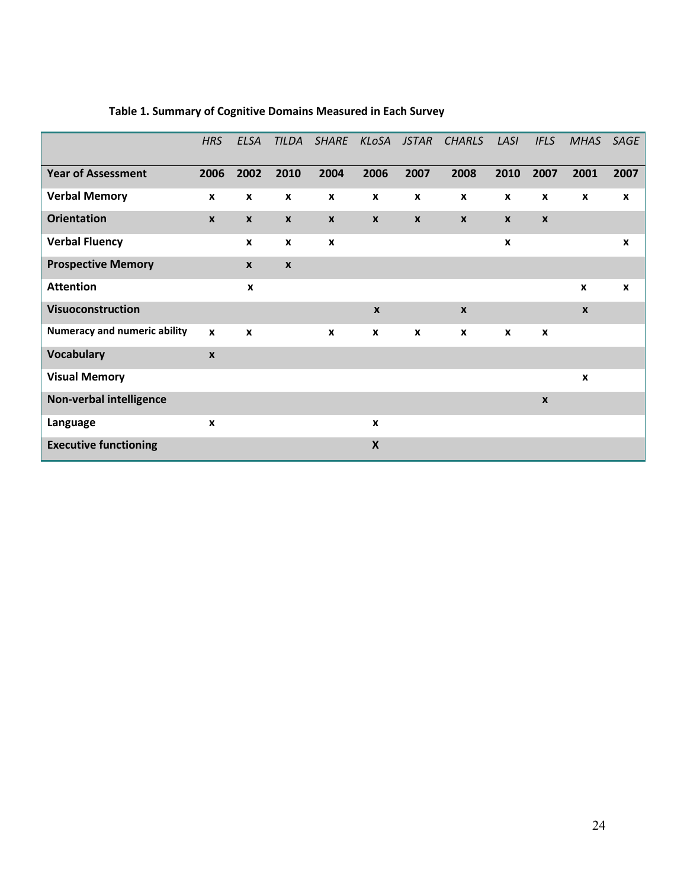|                                     | <b>HRS</b>       | <b>ELSA</b>      | <b>TILDA</b>       | <b>SHARE</b>     | KLoSA              | <b>JSTAR</b>     | <b>CHARLS</b>             | LASI             | <b>IFLS</b>      | <b>MHAS</b>      | SAGE             |
|-------------------------------------|------------------|------------------|--------------------|------------------|--------------------|------------------|---------------------------|------------------|------------------|------------------|------------------|
| <b>Year of Assessment</b>           | 2006             | 2002             | 2010               | 2004             | 2006               | 2007             | 2008                      | 2010             | 2007             | 2001             | 2007             |
| <b>Verbal Memory</b>                | X                | $\boldsymbol{x}$ | X                  | X                | X                  | $\boldsymbol{x}$ | $\boldsymbol{x}$          | X                | X                | X                | X                |
| <b>Orientation</b>                  | $\pmb{\times}$   | $\boldsymbol{x}$ | $\pmb{\chi}$       | $\boldsymbol{x}$ | $\pmb{\mathsf{X}}$ | $\boldsymbol{x}$ | $\boldsymbol{x}$          | $\boldsymbol{x}$ | $\pmb{\chi}$     |                  |                  |
| <b>Verbal Fluency</b>               |                  | $\boldsymbol{x}$ | X                  | X                |                    |                  |                           | X                |                  |                  | X                |
| <b>Prospective Memory</b>           |                  | $\boldsymbol{x}$ | $\pmb{\mathsf{x}}$ |                  |                    |                  |                           |                  |                  |                  |                  |
| <b>Attention</b>                    |                  | X                |                    |                  |                    |                  |                           |                  |                  | X                | $\boldsymbol{x}$ |
| Visuoconstruction                   |                  |                  |                    |                  | $\boldsymbol{x}$   |                  | $\boldsymbol{x}$          |                  |                  | $\boldsymbol{x}$ |                  |
| <b>Numeracy and numeric ability</b> | $\boldsymbol{x}$ | $\boldsymbol{x}$ |                    | $\mathbf{x}$     | X                  | X                | $\boldsymbol{\mathsf{x}}$ | X                | X                |                  |                  |
| <b>Vocabulary</b>                   | $\pmb{\chi}$     |                  |                    |                  |                    |                  |                           |                  |                  |                  |                  |
| <b>Visual Memory</b>                |                  |                  |                    |                  |                    |                  |                           |                  |                  | $\boldsymbol{x}$ |                  |
| Non-verbal intelligence             |                  |                  |                    |                  |                    |                  |                           |                  | $\boldsymbol{x}$ |                  |                  |
| Language                            | $\boldsymbol{x}$ |                  |                    |                  | $\boldsymbol{x}$   |                  |                           |                  |                  |                  |                  |
| <b>Executive functioning</b>        |                  |                  |                    |                  | $\mathsf{x}$       |                  |                           |                  |                  |                  |                  |

# <span id="page-24-0"></span>**Table 1. Summary of Cognitive Domains Measured in Each Survey**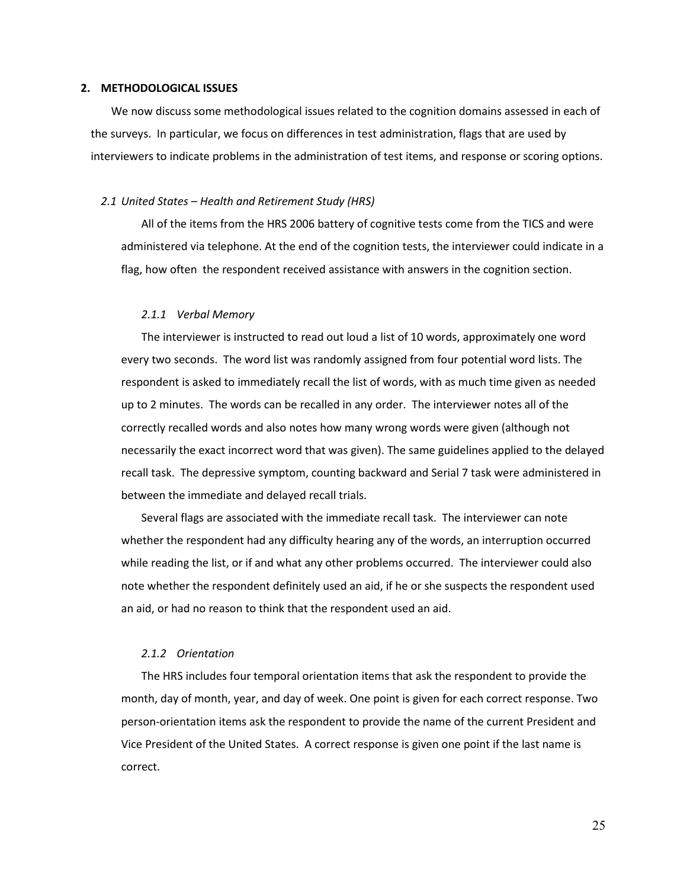#### <span id="page-25-0"></span>**2. METHODOLOGICAL ISSUES**

We now discuss some methodological issues related to the cognition domains assessed in each of the surveys. In particular, we focus on differences in test administration, flags that are used by interviewers to indicate problems in the administration of test items, and response or scoring options.

#### <span id="page-25-1"></span>*2.1 United States – Health and Retirement Study (HRS)*

All of the items from the HRS 2006 battery of cognitive tests come from the TICS and were administered via telephone. At the end of the cognition tests, the interviewer could indicate in a flag, how often the respondent received assistance with answers in the cognition section.

## *2.1.1 Verbal Memory*

<span id="page-25-2"></span>The interviewer is instructed to read out loud a list of 10 words, approximately one word every two seconds. The word list was randomly assigned from four potential word lists. The respondent is asked to immediately recall the list of words, with as much time given as needed up to 2 minutes. The words can be recalled in any order. The interviewer notes all of the correctly recalled words and also notes how many wrong words were given (although not necessarily the exact incorrect word that was given). The same guidelines applied to the delayed recall task. The depressive symptom, counting backward and Serial 7 task were administered in between the immediate and delayed recall trials.

Several flags are associated with the immediate recall task. The interviewer can note whether the respondent had any difficulty hearing any of the words, an interruption occurred while reading the list, or if and what any other problems occurred. The interviewer could also note whether the respondent definitely used an aid, if he or she suspects the respondent used an aid, or had no reason to think that the respondent used an aid.

## *2.1.2 Orientation*

<span id="page-25-3"></span>The HRS includes four temporal orientation items that ask the respondent to provide the month, day of month, year, and day of week. One point is given for each correct response. Two person-orientation items ask the respondent to provide the name of the current President and Vice President of the United States. A correct response is given one point if the last name is correct.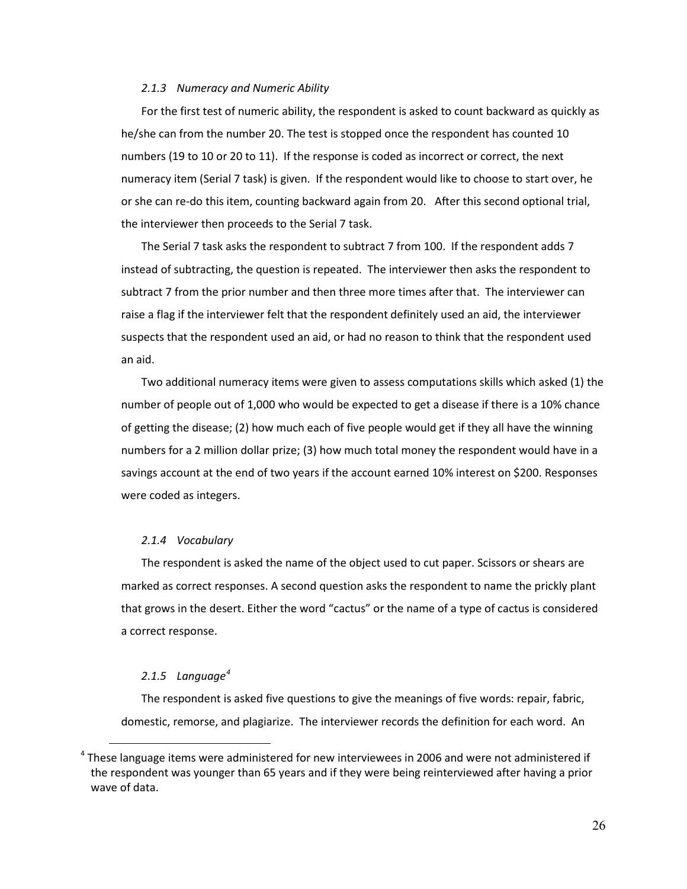#### *2.1.3 Numeracy and Numeric Ability*

<span id="page-26-0"></span>For the first test of numeric ability, the respondent is asked to count backward as quickly as he/she can from the number 20. The test is stopped once the respondent has counted 10 numbers (19 to 10 or 20 to 11). If the response is coded as incorrect or correct, the next numeracy item (Serial 7 task) is given. If the respondent would like to choose to start over, he or she can re-do this item, counting backward again from 20. After this second optional trial, the interviewer then proceeds to the Serial 7 task.

The Serial 7 task asks the respondent to subtract 7 from 100. If the respondent adds 7 instead of subtracting, the question is repeated. The interviewer then asks the respondent to subtract 7 from the prior number and then three more times after that. The interviewer can raise a flag if the interviewer felt that the respondent definitely used an aid, the interviewer suspects that the respondent used an aid, or had no reason to think that the respondent used an aid.

Two additional numeracy items were given to assess computations skills which asked (1) the number of people out of 1,000 who would be expected to get a disease if there is a 10% chance of getting the disease; (2) how much each of five people would get if they all have the winning numbers for a 2 million dollar prize; (3) how much total money the respondent would have in a savings account at the end of two years if the account earned 10% interest on \$200. Responses were coded as integers.

### *2.1.4 Vocabulary*

<span id="page-26-1"></span>The respondent is asked the name of the object used to cut paper. Scissors or shears are marked as correct responses. A second question asks the respondent to name the prickly plant that grows in the desert. Either the word "cactus" or the name of a type of cactus is considered a correct response.

# *2.1.5 Language[4](#page-10-3)*

 $\overline{a}$ 

<span id="page-26-2"></span>The respondent is asked five questions to give the meanings of five words: repair, fabric, domestic, remorse, and plagiarize. The interviewer records the definition for each word. An

<sup>&</sup>lt;sup>4</sup> These language items were administered for new interviewees in 2006 and were not administered if the respondent was younger than 65 years and if they were being reinterviewed after having a prior wave of data.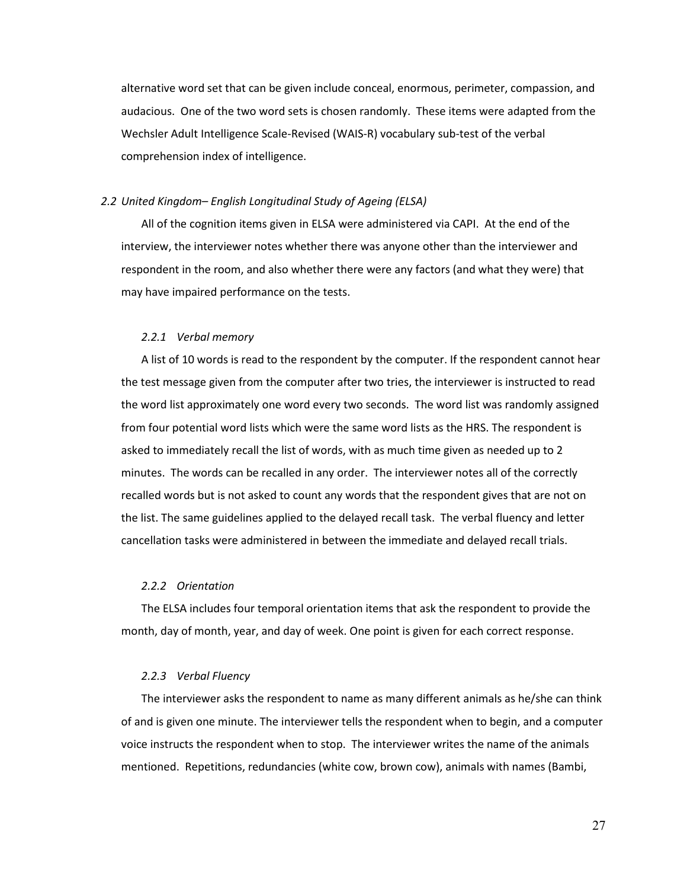alternative word set that can be given include conceal, enormous, perimeter, compassion, and audacious. One of the two word sets is chosen randomly. These items were adapted from the Wechsler Adult Intelligence Scale-Revised (WAIS-R) vocabulary sub-test of the verbal comprehension index of intelligence.

#### <span id="page-27-0"></span>*2.2 United Kingdom– English Longitudinal Study of Ageing (ELSA)*

All of the cognition items given in ELSA were administered via CAPI. At the end of the interview, the interviewer notes whether there was anyone other than the interviewer and respondent in the room, and also whether there were any factors (and what they were) that may have impaired performance on the tests.

#### *2.2.1 Verbal memory*

<span id="page-27-1"></span>A list of 10 words is read to the respondent by the computer. If the respondent cannot hear the test message given from the computer after two tries, the interviewer is instructed to read the word list approximately one word every two seconds. The word list was randomly assigned from four potential word lists which were the same word lists as the HRS. The respondent is asked to immediately recall the list of words, with as much time given as needed up to 2 minutes. The words can be recalled in any order. The interviewer notes all of the correctly recalled words but is not asked to count any words that the respondent gives that are not on the list. The same guidelines applied to the delayed recall task. The verbal fluency and letter cancellation tasks were administered in between the immediate and delayed recall trials.

# *2.2.2 Orientation*

<span id="page-27-2"></span>The ELSA includes four temporal orientation items that ask the respondent to provide the month, day of month, year, and day of week. One point is given for each correct response.

#### *2.2.3 Verbal Fluency*

<span id="page-27-3"></span>The interviewer asks the respondent to name as many different animals as he/she can think of and is given one minute. The interviewer tells the respondent when to begin, and a computer voice instructs the respondent when to stop. The interviewer writes the name of the animals mentioned. Repetitions, redundancies (white cow, brown cow), animals with names (Bambi,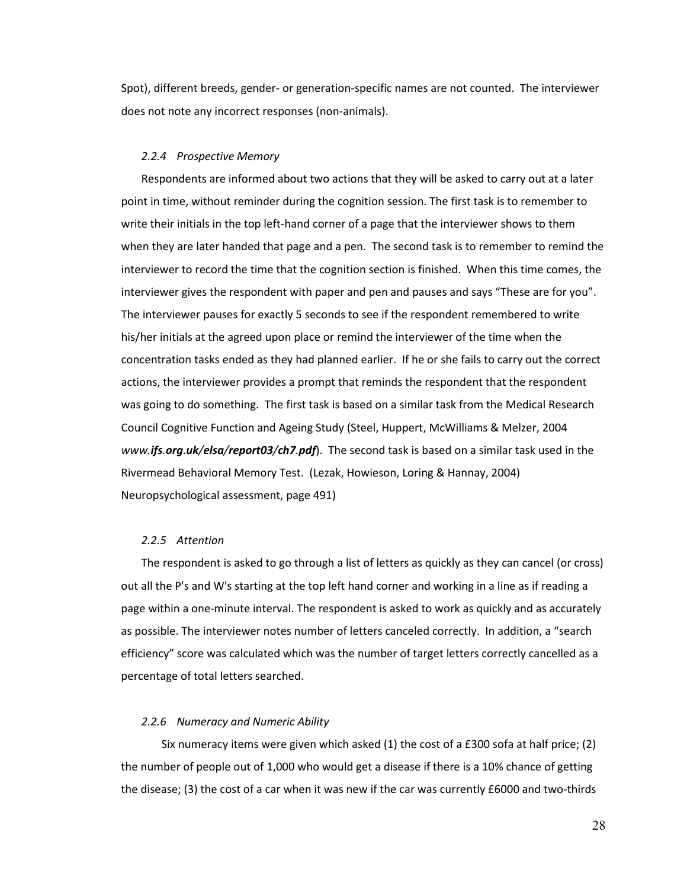Spot), different breeds, gender- or generation-specific names are not counted. The interviewer does not note any incorrect responses (non-animals).

#### *2.2.4 Prospective Memory*

<span id="page-28-0"></span>Respondents are informed about two actions that they will be asked to carry out at a later point in time, without reminder during the cognition session. The first task is to remember to write their initials in the top left-hand corner of a page that the interviewer shows to them when they are later handed that page and a pen. The second task is to remember to remind the interviewer to record the time that the cognition section is finished. When this time comes, the interviewer gives the respondent with paper and pen and pauses and says "These are for you". The interviewer pauses for exactly 5 seconds to see if the respondent remembered to write his/her initials at the agreed upon place or remind the interviewer of the time when the concentration tasks ended as they had planned earlier. If he or she fails to carry out the correct actions, the interviewer provides a prompt that reminds the respondent that the respondent was going to do something. The first task is based on a similar task from the Medical Research Council Cognitive Function and Ageing Study (Steel, Huppert, McWilliams & Melzer, 2004 *www.ifs.org.uk/elsa/[report03](http://www.ifs.org.uk/elsa/report03/ch7.pdf)/ch7.pdf*). The second task is based on a similar task used in the Rivermead Behavioral Memory Test. (Lezak, Howieson, Loring & Hannay, 2004) Neuropsychological assessment, page 491)

# *2.2.5 Attention*

<span id="page-28-1"></span>The respondent is asked to go through a list of letters as quickly as they can cancel (or cross) out all the P's and W's starting at the top left hand corner and working in a line as if reading a page within a one-minute interval. The respondent is asked to work as quickly and as accurately as possible. The interviewer notes number of letters canceled correctly. In addition, a "search efficiency" score was calculated which was the number of target letters correctly cancelled as a percentage of total letters searched.

### *2.2.6 Numeracy and Numeric Ability*

<span id="page-28-2"></span>Six numeracy items were given which asked (1) the cost of a £300 sofa at half price; (2) the number of people out of 1,000 who would get a disease if there is a 10% chance of getting the disease; (3) the cost of a car when it was new if the car was currently £6000 and two-thirds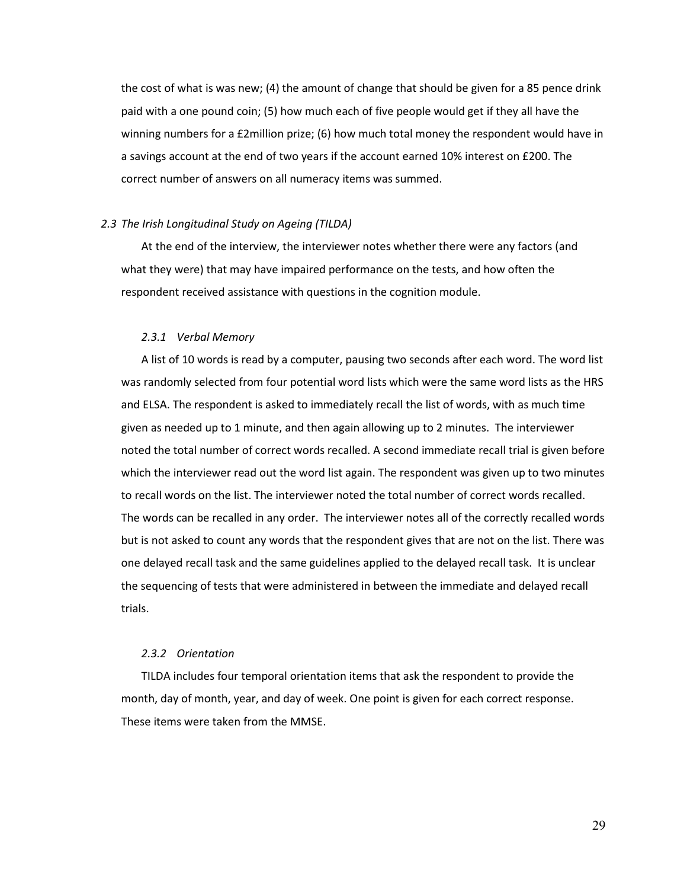the cost of what is was new; (4) the amount of change that should be given for a 85 pence drink paid with a one pound coin; (5) how much each of five people would get if they all have the winning numbers for a £2million prize; (6) how much total money the respondent would have in a savings account at the end of two years if the account earned 10% interest on £200. The correct number of answers on all numeracy items was summed.

# <span id="page-29-0"></span>*2.3 The Irish Longitudinal Study on Ageing (TILDA)*

At the end of the interview, the interviewer notes whether there were any factors (and what they were) that may have impaired performance on the tests, and how often the respondent received assistance with questions in the cognition module.

#### *2.3.1 Verbal Memory*

<span id="page-29-1"></span>A list of 10 words is read by a computer, pausing two seconds after each word. The word list was randomly selected from four potential word lists which were the same word lists as the HRS and ELSA. The respondent is asked to immediately recall the list of words, with as much time given as needed up to 1 minute, and then again allowing up to 2 minutes. The interviewer noted the total number of correct words recalled. A second immediate recall trial is given before which the interviewer read out the word list again. The respondent was given up to two minutes to recall words on the list. The interviewer noted the total number of correct words recalled. The words can be recalled in any order. The interviewer notes all of the correctly recalled words but is not asked to count any words that the respondent gives that are not on the list. There was one delayed recall task and the same guidelines applied to the delayed recall task. It is unclear the sequencing of tests that were administered in between the immediate and delayed recall trials.

## *2.3.2 Orientation*

<span id="page-29-2"></span>TILDA includes four temporal orientation items that ask the respondent to provide the month, day of month, year, and day of week. One point is given for each correct response. These items were taken from the MMSE.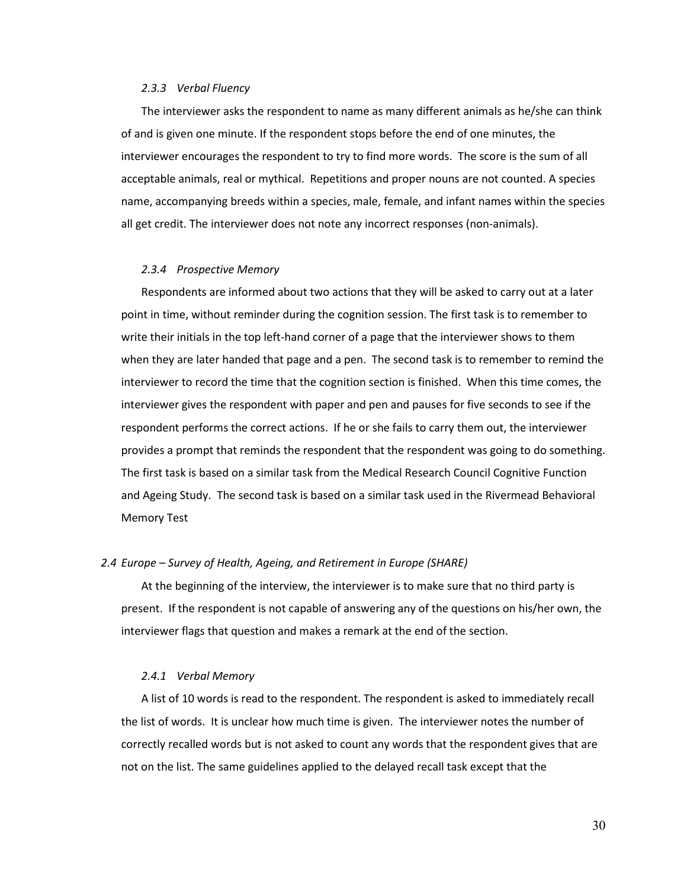#### *2.3.3 Verbal Fluency*

<span id="page-30-0"></span>The interviewer asks the respondent to name as many different animals as he/she can think of and is given one minute. If the respondent stops before the end of one minutes, the interviewer encourages the respondent to try to find more words. The score is the sum of all acceptable animals, real or mythical. Repetitions and proper nouns are not counted. A species name, accompanying breeds within a species, male, female, and infant names within the species all get credit. The interviewer does not note any incorrect responses (non-animals).

#### *2.3.4 Prospective Memory*

<span id="page-30-1"></span>Respondents are informed about two actions that they will be asked to carry out at a later point in time, without reminder during the cognition session. The first task is to remember to write their initials in the top left-hand corner of a page that the interviewer shows to them when they are later handed that page and a pen. The second task is to remember to remind the interviewer to record the time that the cognition section is finished. When this time comes, the interviewer gives the respondent with paper and pen and pauses for five seconds to see if the respondent performs the correct actions. If he or she fails to carry them out, the interviewer provides a prompt that reminds the respondent that the respondent was going to do something. The first task is based on a similar task from the Medical Research Council Cognitive Function and Ageing Study. The second task is based on a similar task used in the Rivermead Behavioral Memory Test

#### <span id="page-30-2"></span>*2.4 Europe – Survey of Health, Ageing, and Retirement in Europe (SHARE)*

At the beginning of the interview, the interviewer is to make sure that no third party is present. If the respondent is not capable of answering any of the questions on his/her own, the interviewer flags that question and makes a remark at the end of the section.

#### *2.4.1 Verbal Memory*

<span id="page-30-3"></span>A list of 10 words is read to the respondent. The respondent is asked to immediately recall the list of words. It is unclear how much time is given. The interviewer notes the number of correctly recalled words but is not asked to count any words that the respondent gives that are not on the list. The same guidelines applied to the delayed recall task except that the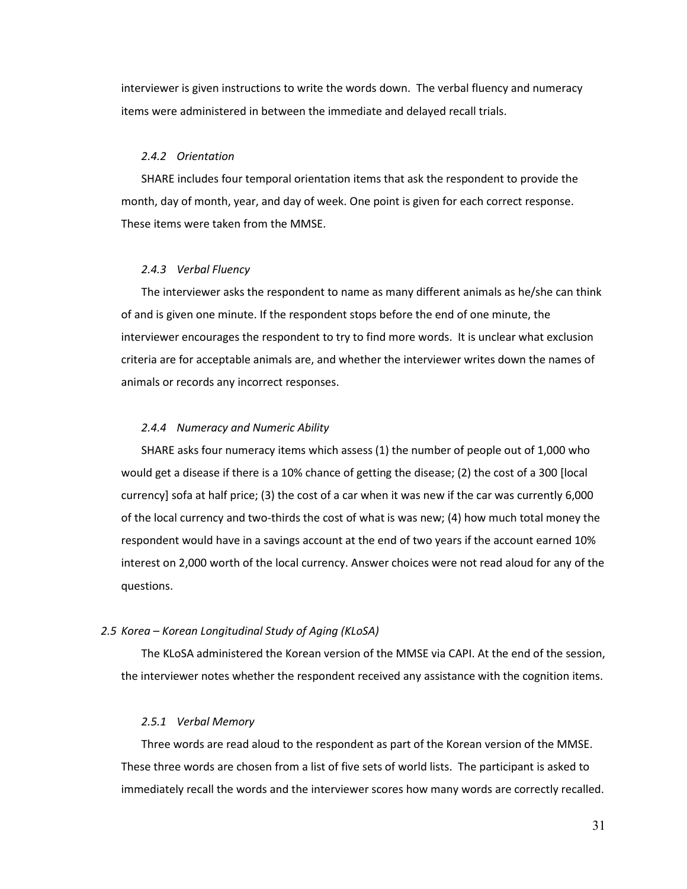interviewer is given instructions to write the words down. The verbal fluency and numeracy items were administered in between the immediate and delayed recall trials.

### *2.4.2 Orientation*

<span id="page-31-0"></span>SHARE includes four temporal orientation items that ask the respondent to provide the month, day of month, year, and day of week. One point is given for each correct response. These items were taken from the MMSE.

#### *2.4.3 Verbal Fluency*

<span id="page-31-1"></span>The interviewer asks the respondent to name as many different animals as he/she can think of and is given one minute. If the respondent stops before the end of one minute, the interviewer encourages the respondent to try to find more words. It is unclear what exclusion criteria are for acceptable animals are, and whether the interviewer writes down the names of animals or records any incorrect responses.

# *2.4.4 Numeracy and Numeric Ability*

<span id="page-31-2"></span>SHARE asks four numeracy items which assess (1) the number of people out of 1,000 who would get a disease if there is a 10% chance of getting the disease; (2) the cost of a 300 [local currency] sofa at half price; (3) the cost of a car when it was new if the car was currently 6,000 of the local currency and two-thirds the cost of what is was new; (4) how much total money the respondent would have in a savings account at the end of two years if the account earned 10% interest on 2,000 worth of the local currency. Answer choices were not read aloud for any of the questions.

#### <span id="page-31-3"></span>*2.5 Korea – Korean Longitudinal Study of Aging (KLoSA)*

The KLoSA administered the Korean version of the MMSE via CAPI. At the end of the session, the interviewer notes whether the respondent received any assistance with the cognition items.

# *2.5.1 Verbal Memory*

<span id="page-31-4"></span>Three words are read aloud to the respondent as part of the Korean version of the MMSE. These three words are chosen from a list of five sets of world lists. The participant is asked to immediately recall the words and the interviewer scores how many words are correctly recalled.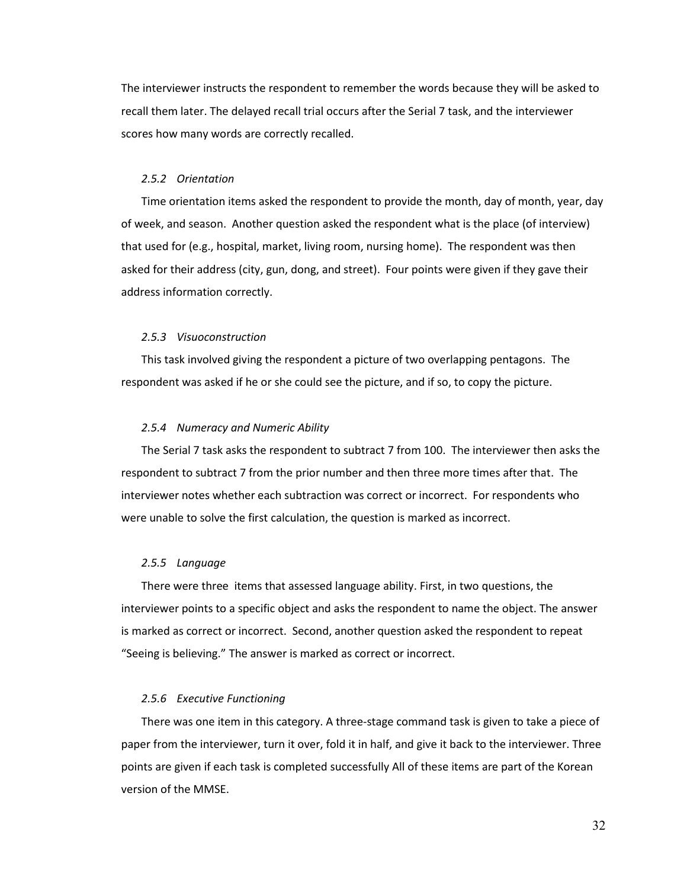The interviewer instructs the respondent to remember the words because they will be asked to recall them later. The delayed recall trial occurs after the Serial 7 task, and the interviewer scores how many words are correctly recalled.

# *2.5.2 Orientation*

<span id="page-32-0"></span>Time orientation items asked the respondent to provide the month, day of month, year, day of week, and season. Another question asked the respondent what is the place (of interview) that used for (e.g., hospital, market, living room, nursing home). The respondent was then asked for their address (city, gun, dong, and street). Four points were given if they gave their address information correctly.

#### *2.5.3 Visuoconstruction*

<span id="page-32-1"></span>This task involved giving the respondent a picture of two overlapping pentagons. The respondent was asked if he or she could see the picture, and if so, to copy the picture.

# *2.5.4 Numeracy and Numeric Ability*

<span id="page-32-2"></span>The Serial 7 task asks the respondent to subtract 7 from 100. The interviewer then asks the respondent to subtract 7 from the prior number and then three more times after that. The interviewer notes whether each subtraction was correct or incorrect. For respondents who were unable to solve the first calculation, the question is marked as incorrect.

# *2.5.5 Language*

<span id="page-32-3"></span>There were three items that assessed language ability. First, in two questions, the interviewer points to a specific object and asks the respondent to name the object. The answer is marked as correct or incorrect. Second, another question asked the respondent to repeat "Seeing is believing." The answer is marked as correct or incorrect.

#### *2.5.6 Executive Functioning*

<span id="page-32-4"></span>There was one item in this category. A three-stage command task is given to take a piece of paper from the interviewer, turn it over, fold it in half, and give it back to the interviewer. Three points are given if each task is completed successfully All of these items are part of the Korean version of the MMSE.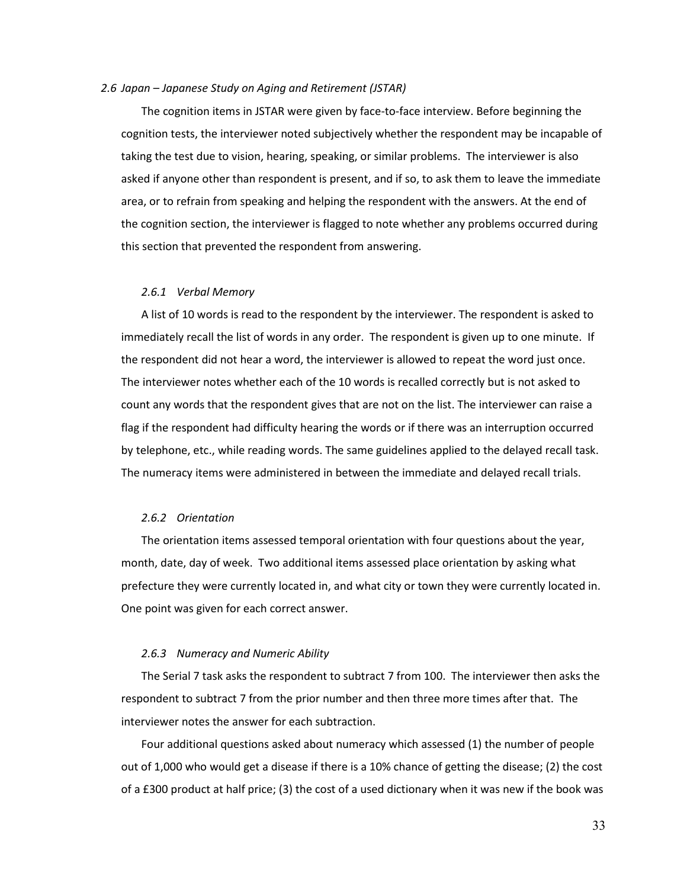#### <span id="page-33-0"></span>*2.6 Japan – Japanese Study on Aging and Retirement (JSTAR)*

The cognition items in JSTAR were given by face-to-face interview. Before beginning the cognition tests, the interviewer noted subjectively whether the respondent may be incapable of taking the test due to vision, hearing, speaking, or similar problems. The interviewer is also asked if anyone other than respondent is present, and if so, to ask them to leave the immediate area, or to refrain from speaking and helping the respondent with the answers. At the end of the cognition section, the interviewer is flagged to note whether any problems occurred during this section that prevented the respondent from answering.

#### *2.6.1 Verbal Memory*

<span id="page-33-1"></span>A list of 10 words is read to the respondent by the interviewer. The respondent is asked to immediately recall the list of words in any order. The respondent is given up to one minute. If the respondent did not hear a word, the interviewer is allowed to repeat the word just once. The interviewer notes whether each of the 10 words is recalled correctly but is not asked to count any words that the respondent gives that are not on the list. The interviewer can raise a flag if the respondent had difficulty hearing the words or if there was an interruption occurred by telephone, etc., while reading words. The same guidelines applied to the delayed recall task. The numeracy items were administered in between the immediate and delayed recall trials.

# *2.6.2 Orientation*

<span id="page-33-2"></span>The orientation items assessed temporal orientation with four questions about the year, month, date, day of week. Two additional items assessed place orientation by asking what prefecture they were currently located in, and what city or town they were currently located in. One point was given for each correct answer.

## *2.6.3 Numeracy and Numeric Ability*

<span id="page-33-3"></span>The Serial 7 task asks the respondent to subtract 7 from 100. The interviewer then asks the respondent to subtract 7 from the prior number and then three more times after that. The interviewer notes the answer for each subtraction.

Four additional questions asked about numeracy which assessed (1) the number of people out of 1,000 who would get a disease if there is a 10% chance of getting the disease; (2) the cost of a £300 product at half price; (3) the cost of a used dictionary when it was new if the book was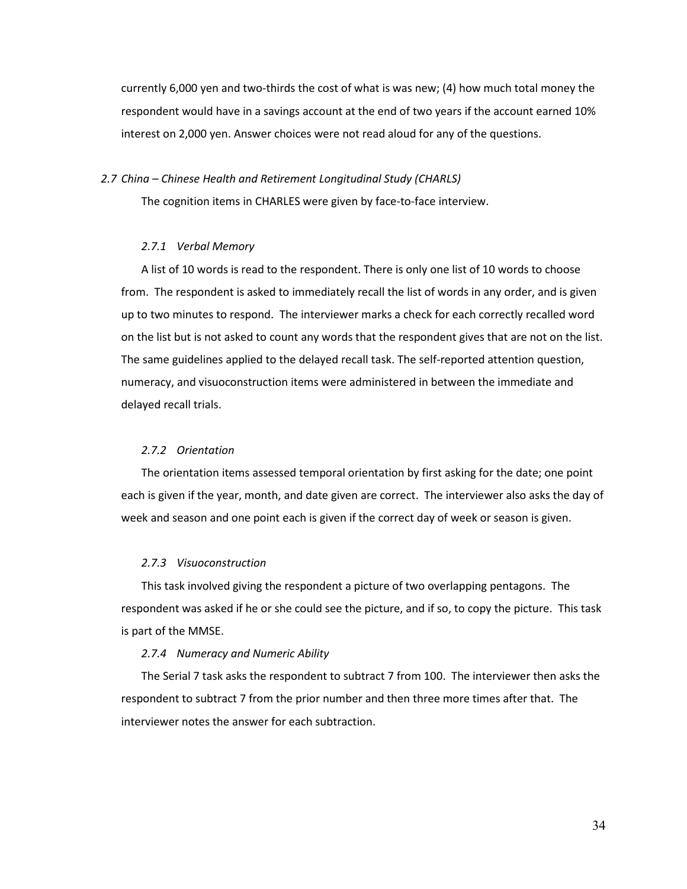currently 6,000 yen and two-thirds the cost of what is was new; (4) how much total money the respondent would have in a savings account at the end of two years if the account earned 10% interest on 2,000 yen. Answer choices were not read aloud for any of the questions.

#### <span id="page-34-0"></span>*2.7 China – Chinese Health and Retirement Longitudinal Study (CHARLS)*

The cognition items in CHARLES were given by face-to-face interview.

# *2.7.1 Verbal Memory*

<span id="page-34-1"></span>A list of 10 words is read to the respondent. There is only one list of 10 words to choose from. The respondent is asked to immediately recall the list of words in any order, and is given up to two minutes to respond. The interviewer marks a check for each correctly recalled word on the list but is not asked to count any words that the respondent gives that are not on the list. The same guidelines applied to the delayed recall task. The self-reported attention question, numeracy, and visuoconstruction items were administered in between the immediate and delayed recall trials.

# *2.7.2 Orientation*

<span id="page-34-2"></span>The orientation items assessed temporal orientation by first asking for the date; one point each is given if the year, month, and date given are correct. The interviewer also asks the day of week and season and one point each is given if the correct day of week or season is given.

#### *2.7.3 Visuoconstruction*

<span id="page-34-3"></span>This task involved giving the respondent a picture of two overlapping pentagons. The respondent was asked if he or she could see the picture, and if so, to copy the picture. This task is part of the MMSE.

# *2.7.4 Numeracy and Numeric Ability*

<span id="page-34-4"></span>The Serial 7 task asks the respondent to subtract 7 from 100. The interviewer then asks the respondent to subtract 7 from the prior number and then three more times after that. The interviewer notes the answer for each subtraction.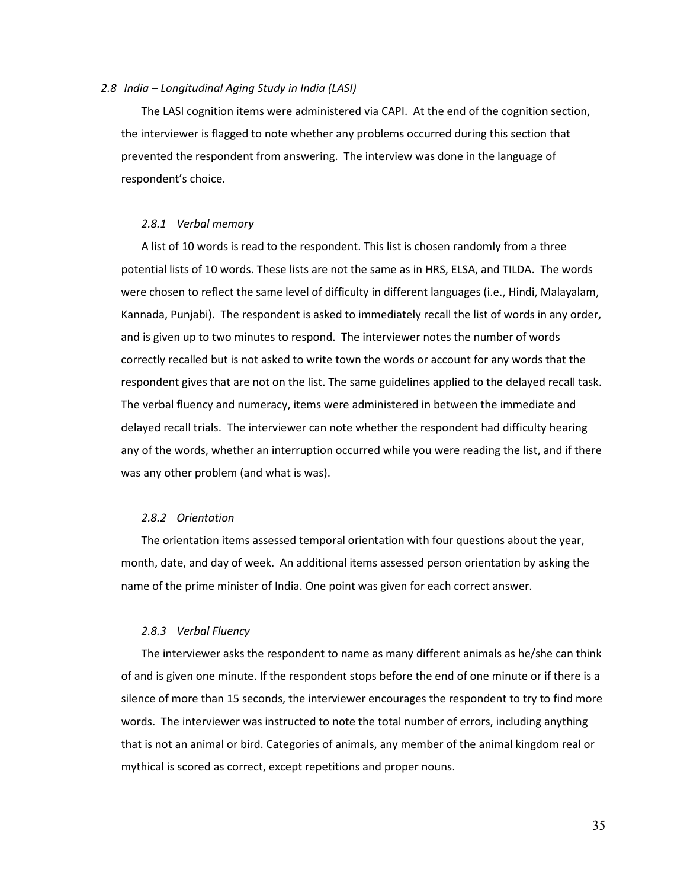#### <span id="page-35-0"></span>*2.8 India – Longitudinal Aging Study in India (LASI)*

The LASI cognition items were administered via CAPI. At the end of the cognition section, the interviewer is flagged to note whether any problems occurred during this section that prevented the respondent from answering. The interview was done in the language of respondent's choice.

# *2.8.1 Verbal memory*

<span id="page-35-1"></span>A list of 10 words is read to the respondent. This list is chosen randomly from a three potential lists of 10 words. These lists are not the same as in HRS, ELSA, and TILDA. The words were chosen to reflect the same level of difficulty in different languages (i.e., Hindi, Malayalam, Kannada, Punjabi). The respondent is asked to immediately recall the list of words in any order, and is given up to two minutes to respond. The interviewer notes the number of words correctly recalled but is not asked to write town the words or account for any words that the respondent gives that are not on the list. The same guidelines applied to the delayed recall task. The verbal fluency and numeracy, items were administered in between the immediate and delayed recall trials. The interviewer can note whether the respondent had difficulty hearing any of the words, whether an interruption occurred while you were reading the list, and if there was any other problem (and what is was).

#### *2.8.2 Orientation*

<span id="page-35-2"></span>The orientation items assessed temporal orientation with four questions about the year, month, date, and day of week. An additional items assessed person orientation by asking the name of the prime minister of India. One point was given for each correct answer.

#### *2.8.3 Verbal Fluency*

<span id="page-35-3"></span>The interviewer asks the respondent to name as many different animals as he/she can think of and is given one minute. If the respondent stops before the end of one minute or if there is a silence of more than 15 seconds, the interviewer encourages the respondent to try to find more words. The interviewer was instructed to note the total number of errors, including anything that is not an animal or bird. Categories of animals, any member of the animal kingdom real or mythical is scored as correct, except repetitions and proper nouns.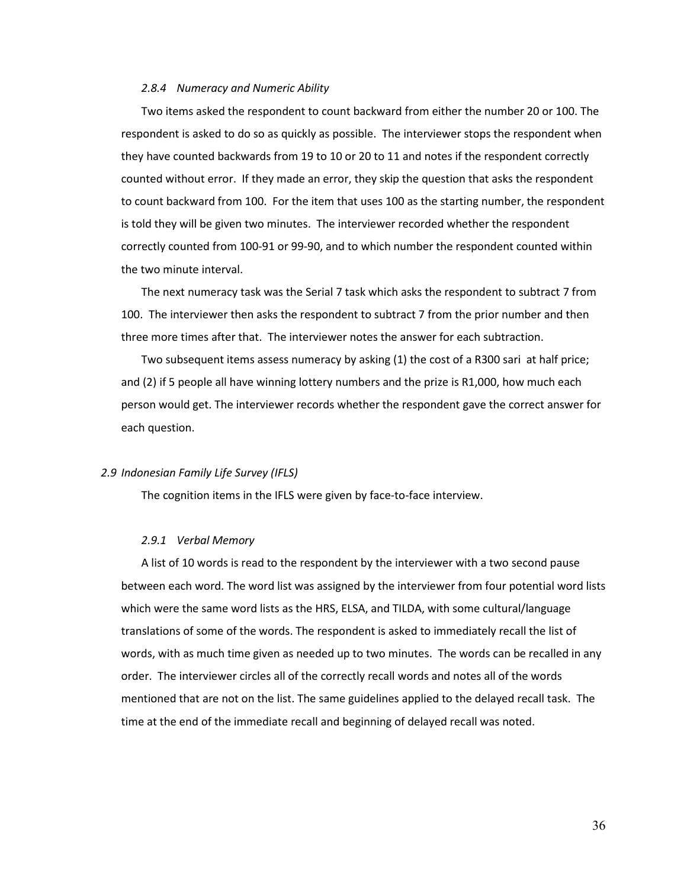#### *2.8.4 Numeracy and Numeric Ability*

Two items asked the respondent to count backward from either the number 20 or 100. The respondent is asked to do so as quickly as possible. The interviewer stops the respondent when they have counted backwards from 19 to 10 or 20 to 11 and notes if the respondent correctly counted without error. If they made an error, they skip the question that asks the respondent to count backward from 100. For the item that uses 100 as the starting number, the respondent is told they will be given two minutes. The interviewer recorded whether the respondent correctly counted from 100-91 or 99-90, and to which number the respondent counted within the two minute interval.

The next numeracy task was the Serial 7 task which asks the respondent to subtract 7 from 100. The interviewer then asks the respondent to subtract 7 from the prior number and then three more times after that. The interviewer notes the answer for each subtraction.

Two subsequent items assess numeracy by asking (1) the cost of a R300 sari at half price; and (2) if 5 people all have winning lottery numbers and the prize is R1,000, how much each person would get. The interviewer records whether the respondent gave the correct answer for each question.

## *2.9 Indonesian Family Life Survey (IFLS)*

The cognition items in the IFLS were given by face-to-face interview.

#### *2.9.1 Verbal Memory*

A list of 10 words is read to the respondent by the interviewer with a two second pause between each word. The word list was assigned by the interviewer from four potential word lists which were the same word lists as the HRS, ELSA, and TILDA, with some cultural/language translations of some of the words. The respondent is asked to immediately recall the list of words, with as much time given as needed up to two minutes. The words can be recalled in any order. The interviewer circles all of the correctly recall words and notes all of the words mentioned that are not on the list. The same guidelines applied to the delayed recall task. The time at the end of the immediate recall and beginning of delayed recall was noted.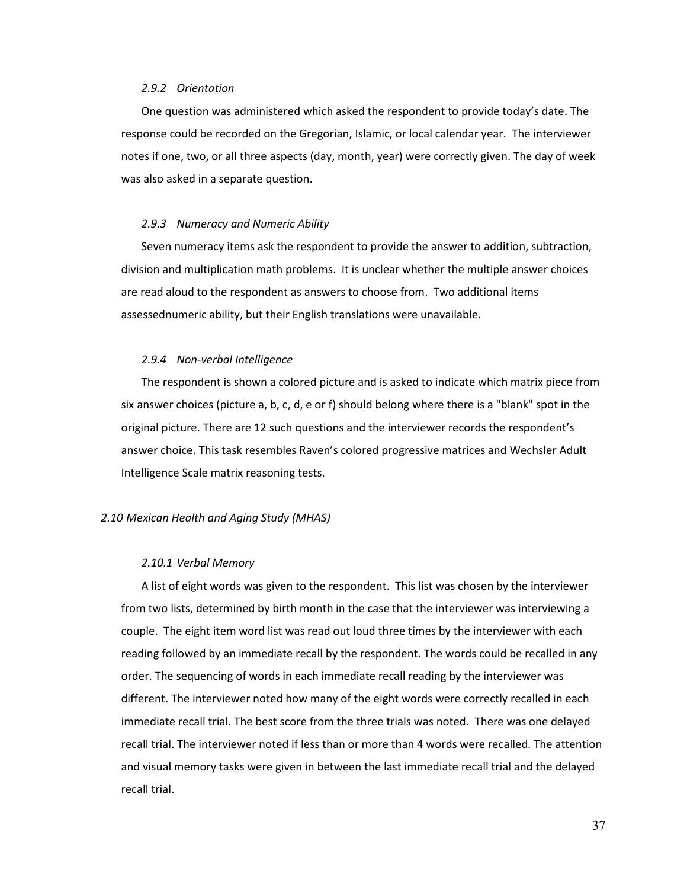#### *2.9.2 Orientation*

One question was administered which asked the respondent to provide today's date. The response could be recorded on the Gregorian, Islamic, or local calendar year. The interviewer notes if one, two, or all three aspects (day, month, year) were correctly given. The day of week was also asked in a separate question.

#### *2.9.3 Numeracy and Numeric Ability*

Seven numeracy items ask the respondent to provide the answer to addition, subtraction, division and multiplication math problems. It is unclear whether the multiple answer choices are read aloud to the respondent as answers to choose from. Two additional items assessednumeric ability, but their English translations were unavailable.

#### *2.9.4 Non-verbal Intelligence*

The respondent is shown a colored picture and is asked to indicate which matrix piece from six answer choices (picture a, b, c, d, e or f) should belong where there is a "blank" spot in the original picture. There are 12 such questions and the interviewer records the respondent's answer choice. This task resembles Raven's colored progressive matrices and Wechsler Adult Intelligence Scale matrix reasoning tests.

#### *2.10 Mexican Health and Aging Study (MHAS)*

#### *2.10.1 Verbal Memory*

A list of eight words was given to the respondent. This list was chosen by the interviewer from two lists, determined by birth month in the case that the interviewer was interviewing a couple. The eight item word list was read out loud three times by the interviewer with each reading followed by an immediate recall by the respondent. The words could be recalled in any order. The sequencing of words in each immediate recall reading by the interviewer was different. The interviewer noted how many of the eight words were correctly recalled in each immediate recall trial. The best score from the three trials was noted. There was one delayed recall trial. The interviewer noted if less than or more than 4 words were recalled. The attention and visual memory tasks were given in between the last immediate recall trial and the delayed recall trial.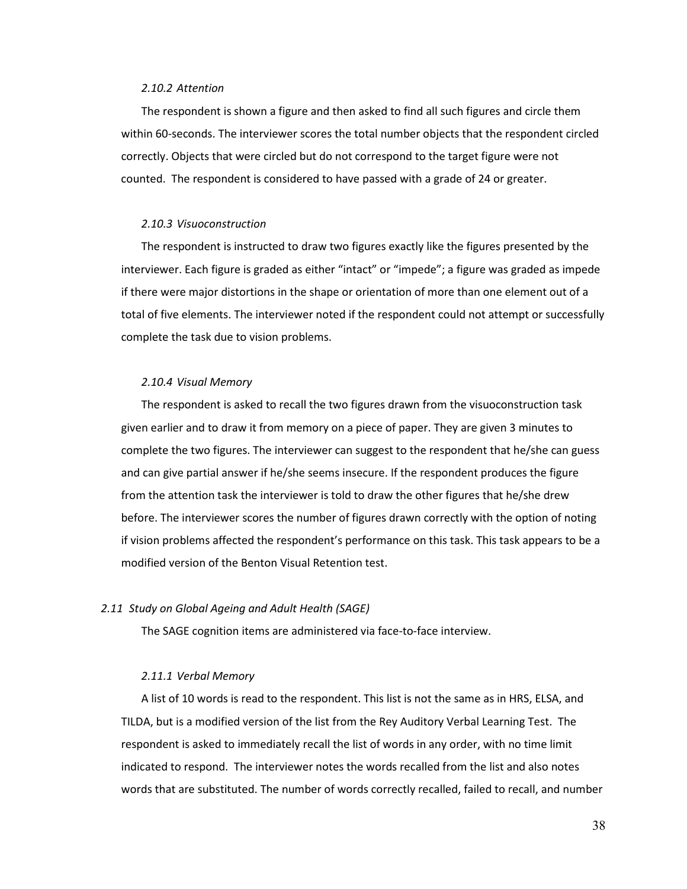#### *2.10.2 Attention*

The respondent is shown a figure and then asked to find all such figures and circle them within 60-seconds. The interviewer scores the total number objects that the respondent circled correctly. Objects that were circled but do not correspond to the target figure were not counted. The respondent is considered to have passed with a grade of 24 or greater.

## *2.10.3 Visuoconstruction*

The respondent is instructed to draw two figures exactly like the figures presented by the interviewer. Each figure is graded as either "intact" or "impede"; a figure was graded as impede if there were major distortions in the shape or orientation of more than one element out of a total of five elements. The interviewer noted if the respondent could not attempt or successfully complete the task due to vision problems.

## *2.10.4 Visual Memory*

The respondent is asked to recall the two figures drawn from the visuoconstruction task given earlier and to draw it from memory on a piece of paper. They are given 3 minutes to complete the two figures. The interviewer can suggest to the respondent that he/she can guess and can give partial answer if he/she seems insecure. If the respondent produces the figure from the attention task the interviewer is told to draw the other figures that he/she drew before. The interviewer scores the number of figures drawn correctly with the option of noting if vision problems affected the respondent's performance on this task. This task appears to be a modified version of the Benton Visual Retention test.

### *2.11 Study on Global Ageing and Adult Health (SAGE)*

The SAGE cognition items are administered via face-to-face interview.

#### *2.11.1 Verbal Memory*

A list of 10 words is read to the respondent. This list is not the same as in HRS, ELSA, and TILDA, but is a modified version of the list from the Rey Auditory Verbal Learning Test. The respondent is asked to immediately recall the list of words in any order, with no time limit indicated to respond. The interviewer notes the words recalled from the list and also notes words that are substituted. The number of words correctly recalled, failed to recall, and number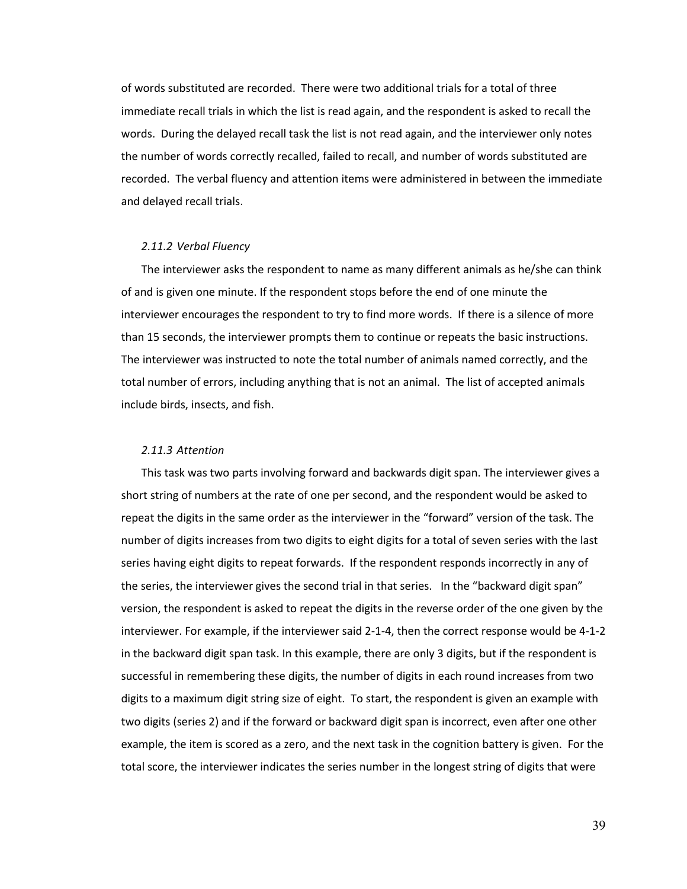of words substituted are recorded. There were two additional trials for a total of three immediate recall trials in which the list is read again, and the respondent is asked to recall the words. During the delayed recall task the list is not read again, and the interviewer only notes the number of words correctly recalled, failed to recall, and number of words substituted are recorded. The verbal fluency and attention items were administered in between the immediate and delayed recall trials.

### *2.11.2 Verbal Fluency*

The interviewer asks the respondent to name as many different animals as he/she can think of and is given one minute. If the respondent stops before the end of one minute the interviewer encourages the respondent to try to find more words. If there is a silence of more than 15 seconds, the interviewer prompts them to continue or repeats the basic instructions. The interviewer was instructed to note the total number of animals named correctly, and the total number of errors, including anything that is not an animal. The list of accepted animals include birds, insects, and fish.

#### *2.11.3 Attention*

This task was two parts involving forward and backwards digit span. The interviewer gives a short string of numbers at the rate of one per second, and the respondent would be asked to repeat the digits in the same order as the interviewer in the "forward" version of the task. The number of digits increases from two digits to eight digits for a total of seven series with the last series having eight digits to repeat forwards. If the respondent responds incorrectly in any of the series, the interviewer gives the second trial in that series. In the "backward digit span" version, the respondent is asked to repeat the digits in the reverse order of the one given by the interviewer. For example, if the interviewer said 2-1-4, then the correct response would be 4-1-2 in the backward digit span task. In this example, there are only 3 digits, but if the respondent is successful in remembering these digits, the number of digits in each round increases from two digits to a maximum digit string size of eight. To start, the respondent is given an example with two digits (series 2) and if the forward or backward digit span is incorrect, even after one other example, the item is scored as a zero, and the next task in the cognition battery is given. For the total score, the interviewer indicates the series number in the longest string of digits that were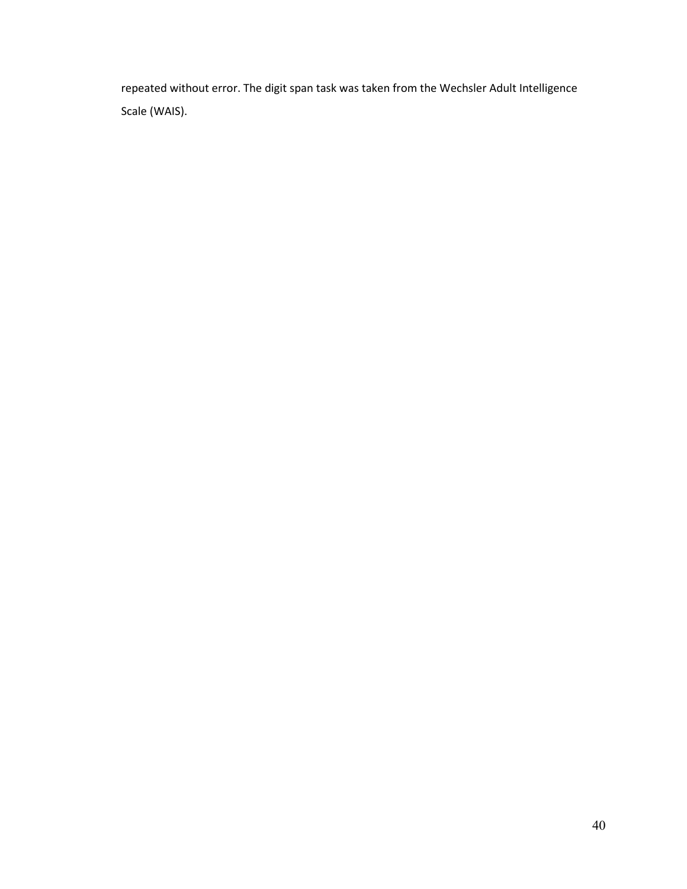repeated without error. The digit span task was taken from the Wechsler Adult Intelligence Scale (WAIS).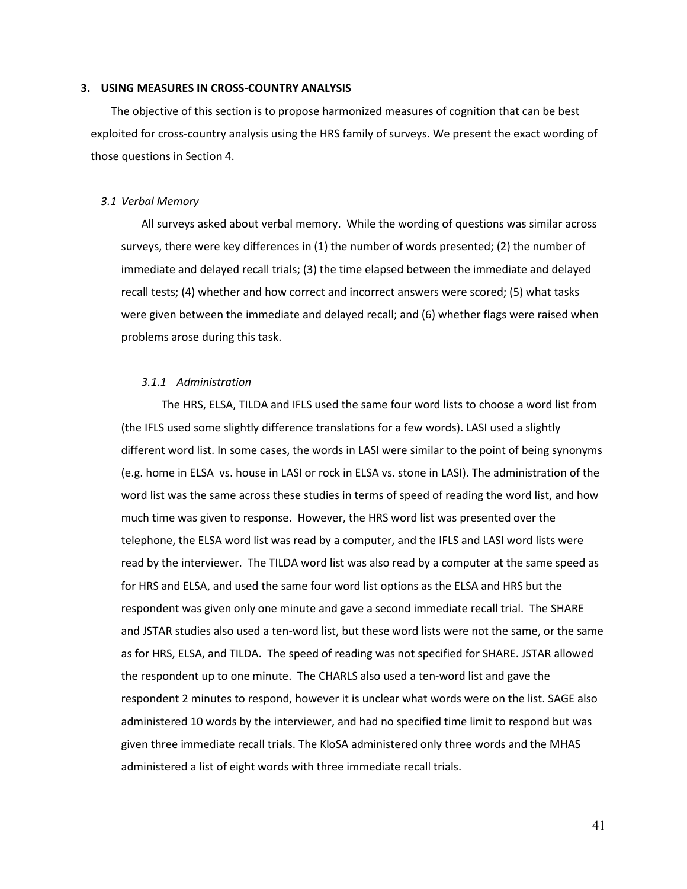#### **3. USING MEASURES IN CROSS-COUNTRY ANALYSIS**

The objective of this section is to propose harmonized measures of cognition that can be best exploited for cross-country analysis using the HRS family of surveys. We present the exact wording of those questions in Section 4.

#### *3.1 Verbal Memory*

All surveys asked about verbal memory. While the wording of questions was similar across surveys, there were key differences in (1) the number of words presented; (2) the number of immediate and delayed recall trials; (3) the time elapsed between the immediate and delayed recall tests; (4) whether and how correct and incorrect answers were scored; (5) what tasks were given between the immediate and delayed recall; and (6) whether flags were raised when problems arose during this task.

## *3.1.1 Administration*

The HRS, ELSA, TILDA and IFLS used the same four word lists to choose a word list from (the IFLS used some slightly difference translations for a few words). LASI used a slightly different word list. In some cases, the words in LASI were similar to the point of being synonyms (e.g. home in ELSA vs. house in LASI or rock in ELSA vs. stone in LASI). The administration of the word list was the same across these studies in terms of speed of reading the word list, and how much time was given to response. However, the HRS word list was presented over the telephone, the ELSA word list was read by a computer, and the IFLS and LASI word lists were read by the interviewer. The TILDA word list was also read by a computer at the same speed as for HRS and ELSA, and used the same four word list options as the ELSA and HRS but the respondent was given only one minute and gave a second immediate recall trial. The SHARE and JSTAR studies also used a ten-word list, but these word lists were not the same, or the same as for HRS, ELSA, and TILDA. The speed of reading was not specified for SHARE. JSTAR allowed the respondent up to one minute. The CHARLS also used a ten-word list and gave the respondent 2 minutes to respond, however it is unclear what words were on the list. SAGE also administered 10 words by the interviewer, and had no specified time limit to respond but was given three immediate recall trials. The KloSA administered only three words and the MHAS administered a list of eight words with three immediate recall trials.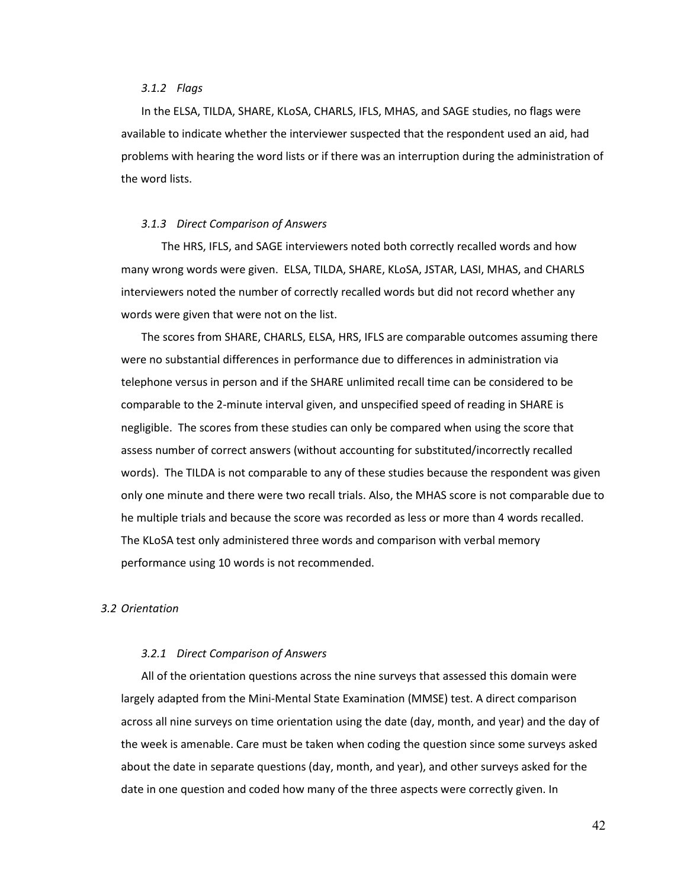#### *3.1.2 Flags*

In the ELSA, TILDA, SHARE, KLoSA, CHARLS, IFLS, MHAS, and SAGE studies, no flags were available to indicate whether the interviewer suspected that the respondent used an aid, had problems with hearing the word lists or if there was an interruption during the administration of the word lists.

#### *3.1.3 Direct Comparison of Answers*

The HRS, IFLS, and SAGE interviewers noted both correctly recalled words and how many wrong words were given. ELSA, TILDA, SHARE, KLoSA, JSTAR, LASI, MHAS, and CHARLS interviewers noted the number of correctly recalled words but did not record whether any words were given that were not on the list.

The scores from SHARE, CHARLS, ELSA, HRS, IFLS are comparable outcomes assuming there were no substantial differences in performance due to differences in administration via telephone versus in person and if the SHARE unlimited recall time can be considered to be comparable to the 2-minute interval given, and unspecified speed of reading in SHARE is negligible. The scores from these studies can only be compared when using the score that assess number of correct answers (without accounting for substituted/incorrectly recalled words). The TILDA is not comparable to any of these studies because the respondent was given only one minute and there were two recall trials. Also, the MHAS score is not comparable due to he multiple trials and because the score was recorded as less or more than 4 words recalled. The KLoSA test only administered three words and comparison with verbal memory performance using 10 words is not recommended.

# *3.2 Orientation*

#### *3.2.1 Direct Comparison of Answers*

All of the orientation questions across the nine surveys that assessed this domain were largely adapted from the Mini-Mental State Examination (MMSE) test. A direct comparison across all nine surveys on time orientation using the date (day, month, and year) and the day of the week is amenable. Care must be taken when coding the question since some surveys asked about the date in separate questions (day, month, and year), and other surveys asked for the date in one question and coded how many of the three aspects were correctly given. In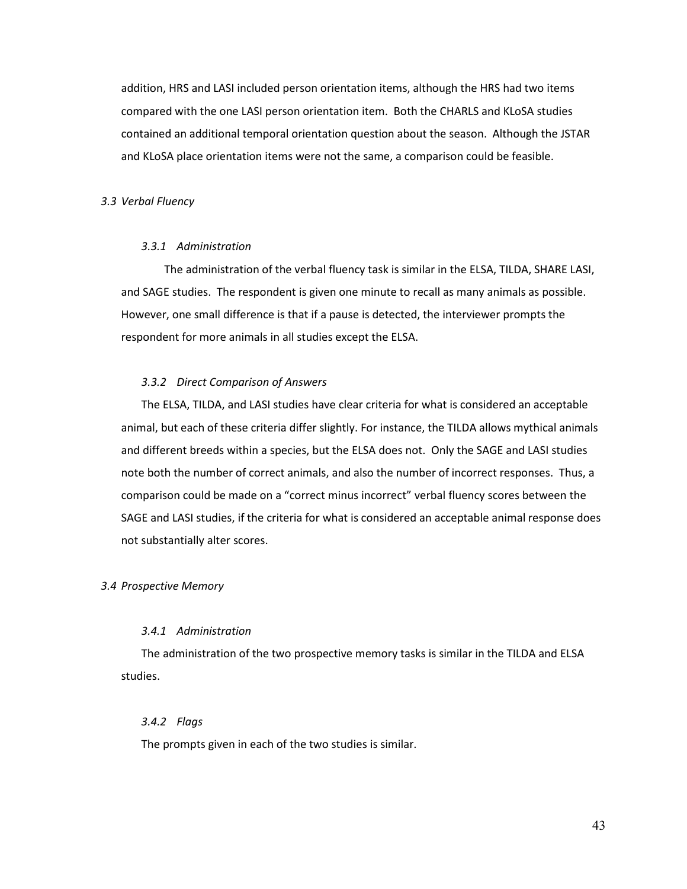addition, HRS and LASI included person orientation items, although the HRS had two items compared with the one LASI person orientation item. Both the CHARLS and KLoSA studies contained an additional temporal orientation question about the season. Although the JSTAR and KLoSA place orientation items were not the same, a comparison could be feasible.

#### *3.3 Verbal Fluency*

# *3.3.1 Administration*

 The administration of the verbal fluency task is similar in the ELSA, TILDA, SHARE LASI, and SAGE studies. The respondent is given one minute to recall as many animals as possible. However, one small difference is that if a pause is detected, the interviewer prompts the respondent for more animals in all studies except the ELSA.

# *3.3.2 Direct Comparison of Answers*

The ELSA, TILDA, and LASI studies have clear criteria for what is considered an acceptable animal, but each of these criteria differ slightly. For instance, the TILDA allows mythical animals and different breeds within a species, but the ELSA does not. Only the SAGE and LASI studies note both the number of correct animals, and also the number of incorrect responses. Thus, a comparison could be made on a "correct minus incorrect" verbal fluency scores between the SAGE and LASI studies, if the criteria for what is considered an acceptable animal response does not substantially alter scores.

#### *3.4 Prospective Memory*

## *3.4.1 Administration*

The administration of the two prospective memory tasks is similar in the TILDA and ELSA studies.

# *3.4.2 Flags*

The prompts given in each of the two studies is similar.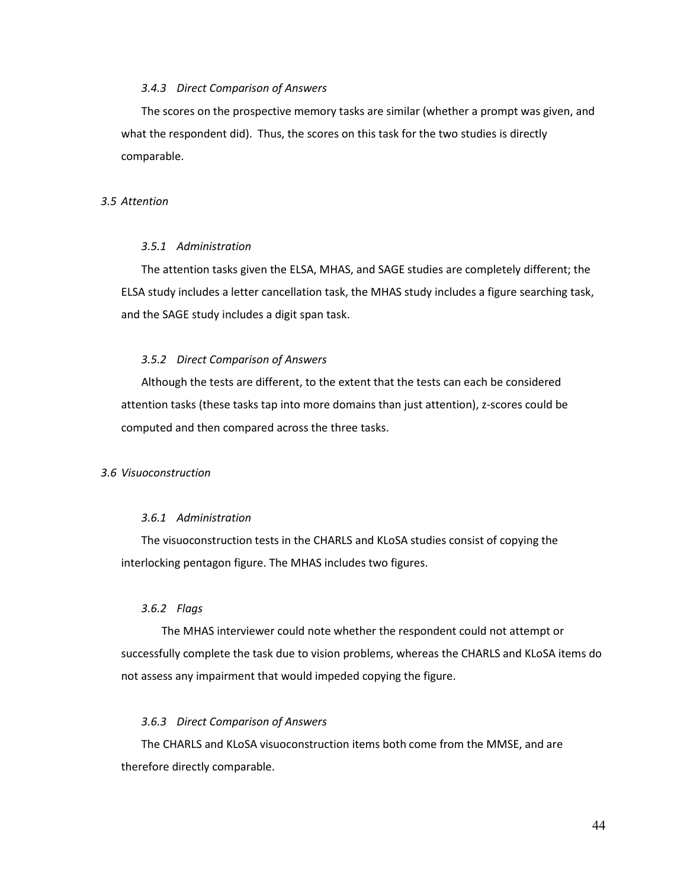### *3.4.3 Direct Comparison of Answers*

The scores on the prospective memory tasks are similar (whether a prompt was given, and what the respondent did). Thus, the scores on this task for the two studies is directly comparable.

## *3.5 Attention*

# *3.5.1 Administration*

The attention tasks given the ELSA, MHAS, and SAGE studies are completely different; the ELSA study includes a letter cancellation task, the MHAS study includes a figure searching task, and the SAGE study includes a digit span task.

### *3.5.2 Direct Comparison of Answers*

Although the tests are different, to the extent that the tests can each be considered attention tasks (these tasks tap into more domains than just attention), z-scores could be computed and then compared across the three tasks.

#### *3.6 Visuoconstruction*

# *3.6.1 Administration*

The visuoconstruction tests in the CHARLS and KLoSA studies consist of copying the interlocking pentagon figure. The MHAS includes two figures.

# *3.6.2 Flags*

The MHAS interviewer could note whether the respondent could not attempt or successfully complete the task due to vision problems, whereas the CHARLS and KLoSA items do not assess any impairment that would impeded copying the figure.

## *3.6.3 Direct Comparison of Answers*

The CHARLS and KLoSA visuoconstruction items both come from the MMSE, and are therefore directly comparable.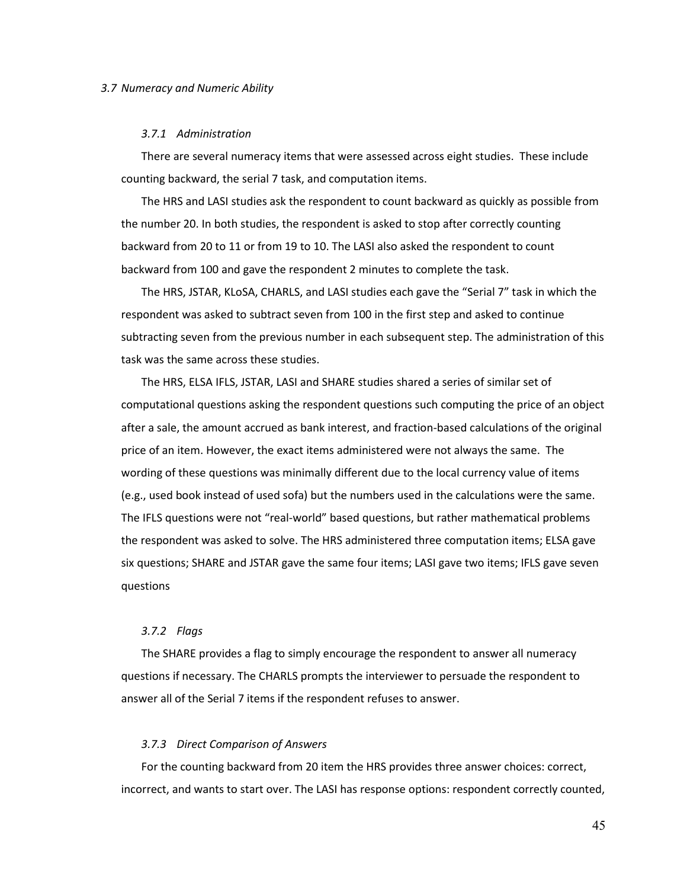#### *3.7.1 Administration*

There are several numeracy items that were assessed across eight studies. These include counting backward, the serial 7 task, and computation items.

The HRS and LASI studies ask the respondent to count backward as quickly as possible from the number 20. In both studies, the respondent is asked to stop after correctly counting backward from 20 to 11 or from 19 to 10. The LASI also asked the respondent to count backward from 100 and gave the respondent 2 minutes to complete the task.

The HRS, JSTAR, KLoSA, CHARLS, and LASI studies each gave the "Serial 7" task in which the respondent was asked to subtract seven from 100 in the first step and asked to continue subtracting seven from the previous number in each subsequent step. The administration of this task was the same across these studies.

The HRS, ELSA IFLS, JSTAR, LASI and SHARE studies shared a series of similar set of computational questions asking the respondent questions such computing the price of an object after a sale, the amount accrued as bank interest, and fraction-based calculations of the original price of an item. However, the exact items administered were not always the same. The wording of these questions was minimally different due to the local currency value of items (e.g., used book instead of used sofa) but the numbers used in the calculations were the same. The IFLS questions were not "real-world" based questions, but rather mathematical problems the respondent was asked to solve. The HRS administered three computation items; ELSA gave six questions; SHARE and JSTAR gave the same four items; LASI gave two items; IFLS gave seven questions

## *3.7.2 Flags*

The SHARE provides a flag to simply encourage the respondent to answer all numeracy questions if necessary. The CHARLS prompts the interviewer to persuade the respondent to answer all of the Serial 7 items if the respondent refuses to answer.

#### *3.7.3 Direct Comparison of Answers*

For the counting backward from 20 item the HRS provides three answer choices: correct, incorrect, and wants to start over. The LASI has response options: respondent correctly counted,

45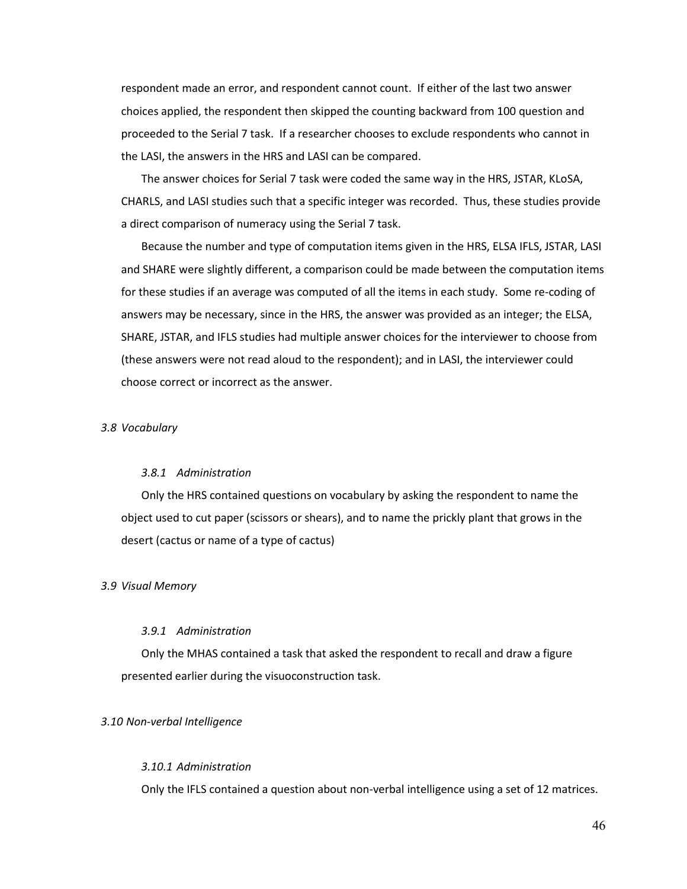respondent made an error, and respondent cannot count. If either of the last two answer choices applied, the respondent then skipped the counting backward from 100 question and proceeded to the Serial 7 task. If a researcher chooses to exclude respondents who cannot in the LASI, the answers in the HRS and LASI can be compared.

The answer choices for Serial 7 task were coded the same way in the HRS, JSTAR, KLoSA, CHARLS, and LASI studies such that a specific integer was recorded. Thus, these studies provide a direct comparison of numeracy using the Serial 7 task.

Because the number and type of computation items given in the HRS, ELSA IFLS, JSTAR, LASI and SHARE were slightly different, a comparison could be made between the computation items for these studies if an average was computed of all the items in each study. Some re-coding of answers may be necessary, since in the HRS, the answer was provided as an integer; the ELSA, SHARE, JSTAR, and IFLS studies had multiple answer choices for the interviewer to choose from (these answers were not read aloud to the respondent); and in LASI, the interviewer could choose correct or incorrect as the answer.

## *3.8 Vocabulary*

#### *3.8.1 Administration*

Only the HRS contained questions on vocabulary by asking the respondent to name the object used to cut paper (scissors or shears), and to name the prickly plant that grows in the desert (cactus or name of a type of cactus)

#### *3.9 Visual Memory*

#### *3.9.1 Administration*

Only the MHAS contained a task that asked the respondent to recall and draw a figure presented earlier during the visuoconstruction task.

## *3.10 Non-verbal Intelligence*

# *3.10.1 Administration*

Only the IFLS contained a question about non-verbal intelligence using a set of 12 matrices.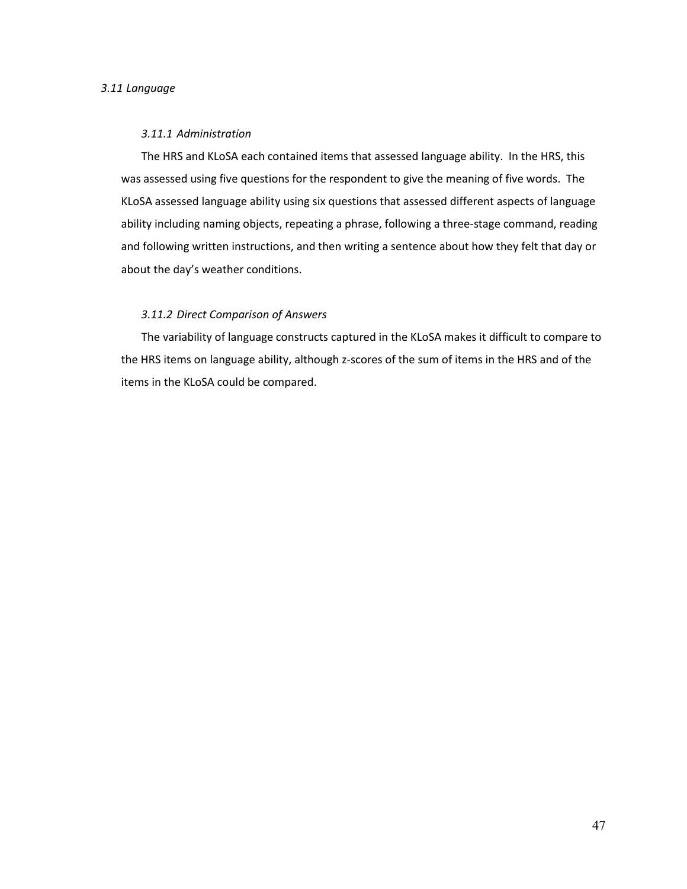### *3.11 Language*

#### *3.11.1 Administration*

The HRS and KLoSA each contained items that assessed language ability. In the HRS, this was assessed using five questions for the respondent to give the meaning of five words. The KLoSA assessed language ability using six questions that assessed different aspects of language ability including naming objects, repeating a phrase, following a three-stage command, reading and following written instructions, and then writing a sentence about how they felt that day or about the day's weather conditions.

# *3.11.2 Direct Comparison of Answers*

The variability of language constructs captured in the KLoSA makes it difficult to compare to the HRS items on language ability, although z-scores of the sum of items in the HRS and of the items in the KLoSA could be compared.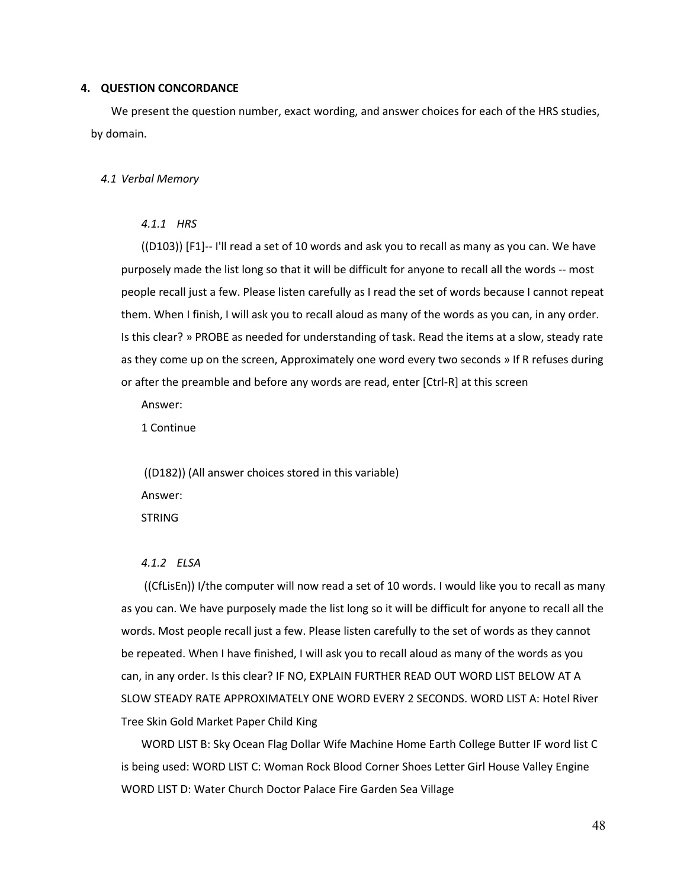#### **4. QUESTION CONCORDANCE**

We present the question number, exact wording, and answer choices for each of the HRS studies, by domain.

#### *4.1 Verbal Memory*

# *4.1.1 HRS*

((D103)) [F1]-- I'll read a set of 10 words and ask you to recall as many as you can. We have purposely made the list long so that it will be difficult for anyone to recall all the words -- most people recall just a few. Please listen carefully as I read the set of words because I cannot repeat them. When I finish, I will ask you to recall aloud as many of the words as you can, in any order. Is this clear? » PROBE as needed for understanding of task. Read the items at a slow, steady rate as they come up on the screen, Approximately one word every two seconds » If R refuses during or after the preamble and before any words are read, enter [Ctrl-R] at this screen

Answer:

1 Continue

((D182)) (All answer choices stored in this variable) Answer: STRING

#### *4.1.2 ELSA*

((CfLisEn)) I/the computer will now read a set of 10 words. I would like you to recall as many as you can. We have purposely made the list long so it will be difficult for anyone to recall all the words. Most people recall just a few. Please listen carefully to the set of words as they cannot be repeated. When I have finished, I will ask you to recall aloud as many of the words as you can, in any order. Is this clear? IF NO, EXPLAIN FURTHER READ OUT WORD LIST BELOW AT A SLOW STEADY RATE APPROXIMATELY ONE WORD EVERY 2 SECONDS. WORD LIST A: Hotel River Tree Skin Gold Market Paper Child King

WORD LIST B: Sky Ocean Flag Dollar Wife Machine Home Earth College Butter IF word list C is being used: WORD LIST C: Woman Rock Blood Corner Shoes Letter Girl House Valley Engine WORD LIST D: Water Church Doctor Palace Fire Garden Sea Village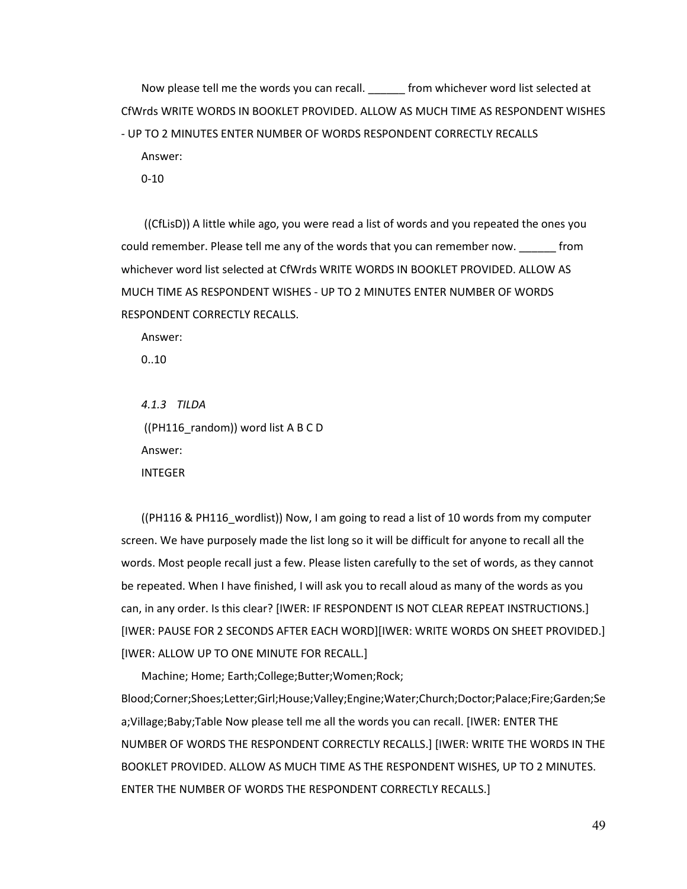Now please tell me the words you can recall. \_\_\_\_\_\_ from whichever word list selected at CfWrds WRITE WORDS IN BOOKLET PROVIDED. ALLOW AS MUCH TIME AS RESPONDENT WISHES - UP TO 2 MINUTES ENTER NUMBER OF WORDS RESPONDENT CORRECTLY RECALLS Answer:

0-10

((CfLisD)) A little while ago, you were read a list of words and you repeated the ones you could remember. Please tell me any of the words that you can remember now. \_\_\_\_\_\_ from whichever word list selected at CfWrds WRITE WORDS IN BOOKLET PROVIDED. ALLOW AS MUCH TIME AS RESPONDENT WISHES - UP TO 2 MINUTES ENTER NUMBER OF WORDS RESPONDENT CORRECTLY RECALLS.

Answer:

0..10

*4.1.3 TILDA* ((PH116 random)) word list A B C D Answer: INTEGER

((PH116 & PH116\_wordlist)) Now, I am going to read a list of 10 words from my computer screen. We have purposely made the list long so it will be difficult for anyone to recall all the words. Most people recall just a few. Please listen carefully to the set of words, as they cannot be repeated. When I have finished, I will ask you to recall aloud as many of the words as you can, in any order. Is this clear? [IWER: IF RESPONDENT IS NOT CLEAR REPEAT INSTRUCTIONS.] [IWER: PAUSE FOR 2 SECONDS AFTER EACH WORD][IWER: WRITE WORDS ON SHEET PROVIDED.] [IWER: ALLOW UP TO ONE MINUTE FOR RECALL.]

Machine; Home; Earth;College;Butter;Women;Rock; Blood;Corner;Shoes;Letter;Girl;House;Valley;Engine;Water;Church;Doctor;Palace;Fire;Garden;Se a;Village;Baby;Table Now please tell me all the words you can recall. [IWER: ENTER THE NUMBER OF WORDS THE RESPONDENT CORRECTLY RECALLS.] [IWER: WRITE THE WORDS IN THE BOOKLET PROVIDED. ALLOW AS MUCH TIME AS THE RESPONDENT WISHES, UP TO 2 MINUTES. ENTER THE NUMBER OF WORDS THE RESPONDENT CORRECTLY RECALLS.]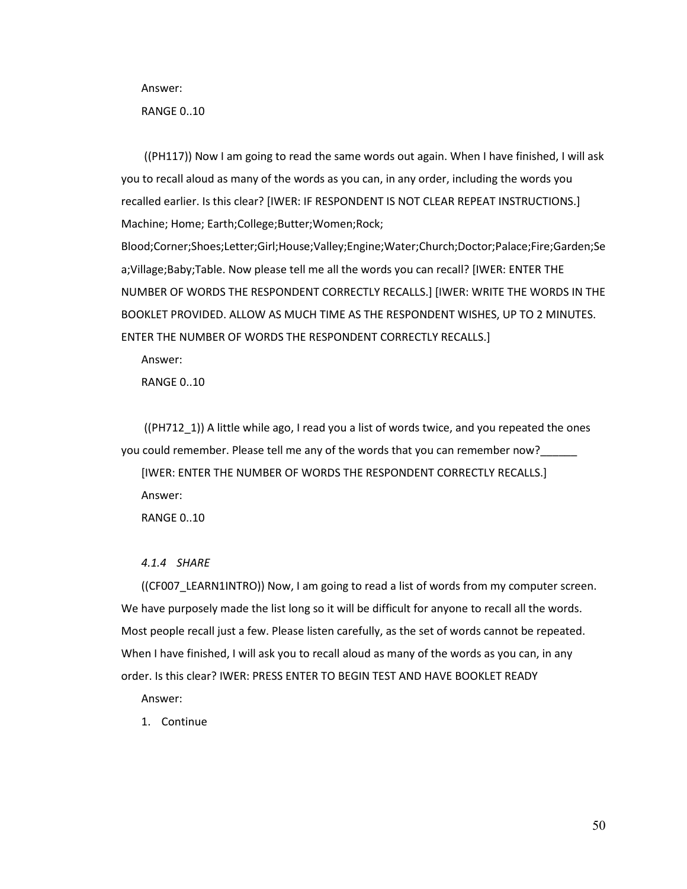Answer:

RANGE 0..10

((PH117)) Now I am going to read the same words out again. When I have finished, I will ask you to recall aloud as many of the words as you can, in any order, including the words you recalled earlier. Is this clear? [IWER: IF RESPONDENT IS NOT CLEAR REPEAT INSTRUCTIONS.] Machine; Home; Earth;College;Butter;Women;Rock;

Blood;Corner;Shoes;Letter;Girl;House;Valley;Engine;Water;Church;Doctor;Palace;Fire;Garden;Se a;Village;Baby;Table. Now please tell me all the words you can recall? [IWER: ENTER THE NUMBER OF WORDS THE RESPONDENT CORRECTLY RECALLS.] [IWER: WRITE THE WORDS IN THE BOOKLET PROVIDED. ALLOW AS MUCH TIME AS THE RESPONDENT WISHES, UP TO 2 MINUTES. ENTER THE NUMBER OF WORDS THE RESPONDENT CORRECTLY RECALLS.]

Answer:

RANGE 0..10

((PH712\_1)) A little while ago, I read you a list of words twice, and you repeated the ones you could remember. Please tell me any of the words that you can remember now?\_\_\_\_\_\_

[IWER: ENTER THE NUMBER OF WORDS THE RESPONDENT CORRECTLY RECALLS.] Answer:

RANGE 0..10

## *4.1.4 SHARE*

((CF007\_LEARN1INTRO)) Now, I am going to read a list of words from my computer screen. We have purposely made the list long so it will be difficult for anyone to recall all the words. Most people recall just a few. Please listen carefully, as the set of words cannot be repeated. When I have finished, I will ask you to recall aloud as many of the words as you can, in any order. Is this clear? IWER: PRESS ENTER TO BEGIN TEST AND HAVE BOOKLET READY

Answer:

1. Continue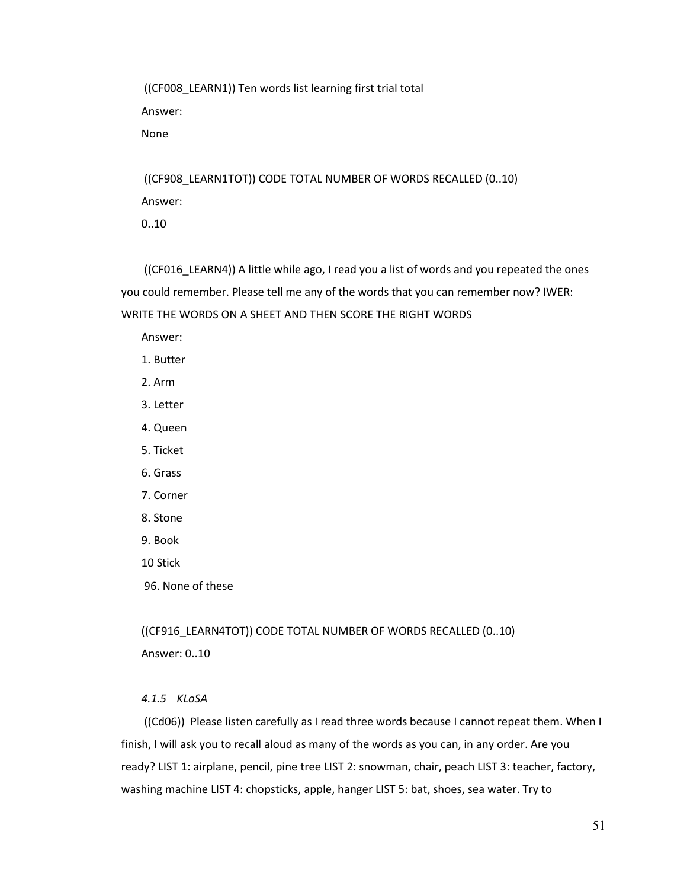((CF008\_LEARN1)) Ten words list learning first trial total Answer:

None

((CF908\_LEARN1TOT)) CODE TOTAL NUMBER OF WORDS RECALLED (0..10) Answer:

0..10

((CF016\_LEARN4)) A little while ago, I read you a list of words and you repeated the ones you could remember. Please tell me any of the words that you can remember now? IWER: WRITE THE WORDS ON A SHEET AND THEN SCORE THE RIGHT WORDS

Answer:

- 1. Butter
- 2. Arm
- 3. Letter
- 4. Queen
- 5. Ticket
- 6. Grass
- 7. Corner
- 8. Stone
- 9. Book
- 10 Stick
- 96. None of these

((CF916\_LEARN4TOT)) CODE TOTAL NUMBER OF WORDS RECALLED (0..10) Answer: 0..10

# *4.1.5 KLoSA*

((Cd06)) Please listen carefully as I read three words because I cannot repeat them. When I finish, I will ask you to recall aloud as many of the words as you can, in any order. Are you ready? LIST 1: airplane, pencil, pine tree LIST 2: snowman, chair, peach LIST 3: teacher, factory, washing machine LIST 4: chopsticks, apple, hanger LIST 5: bat, shoes, sea water. Try to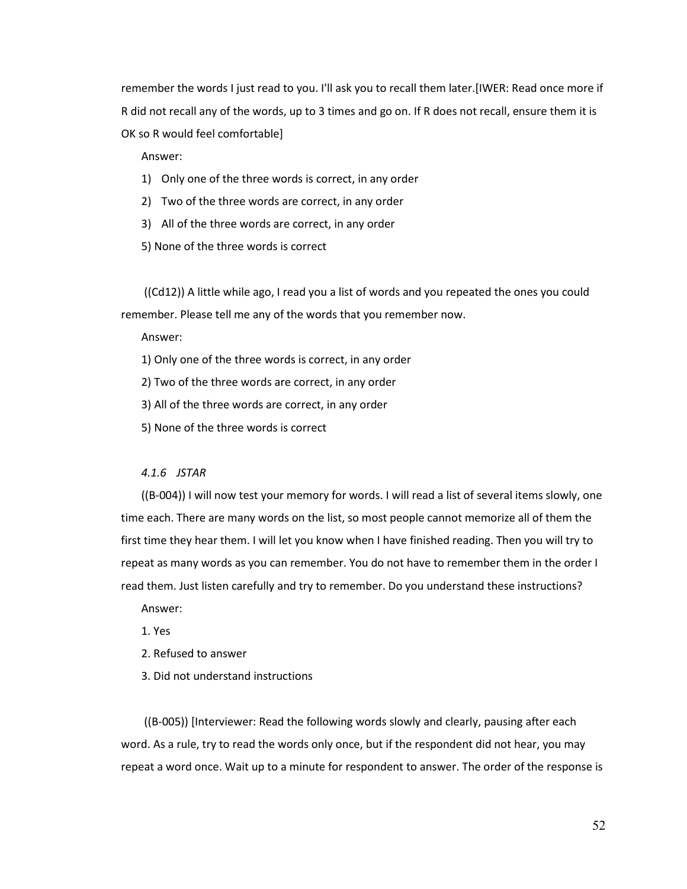remember the words I just read to you. I'll ask you to recall them later.[IWER: Read once more if R did not recall any of the words, up to 3 times and go on. If R does not recall, ensure them it is OK so R would feel comfortable]

Answer:

- 1) Only one of the three words is correct, in any order
- 2) Two of the three words are correct, in any order
- 3) All of the three words are correct, in any order
- 5) None of the three words is correct

((Cd12)) A little while ago, I read you a list of words and you repeated the ones you could remember. Please tell me any of the words that you remember now.

Answer:

1) Only one of the three words is correct, in any order

2) Two of the three words are correct, in any order

3) All of the three words are correct, in any order

5) None of the three words is correct

#### *4.1.6 JSTAR*

((B-004)) I will now test your memory for words. I will read a list of several items slowly, one time each. There are many words on the list, so most people cannot memorize all of them the first time they hear them. I will let you know when I have finished reading. Then you will try to repeat as many words as you can remember. You do not have to remember them in the order I read them. Just listen carefully and try to remember. Do you understand these instructions?

Answer:

1. Yes

- 2. Refused to answer
- 3. Did not understand instructions

((B-005)) [Interviewer: Read the following words slowly and clearly, pausing after each word. As a rule, try to read the words only once, but if the respondent did not hear, you may repeat a word once. Wait up to a minute for respondent to answer. The order of the response is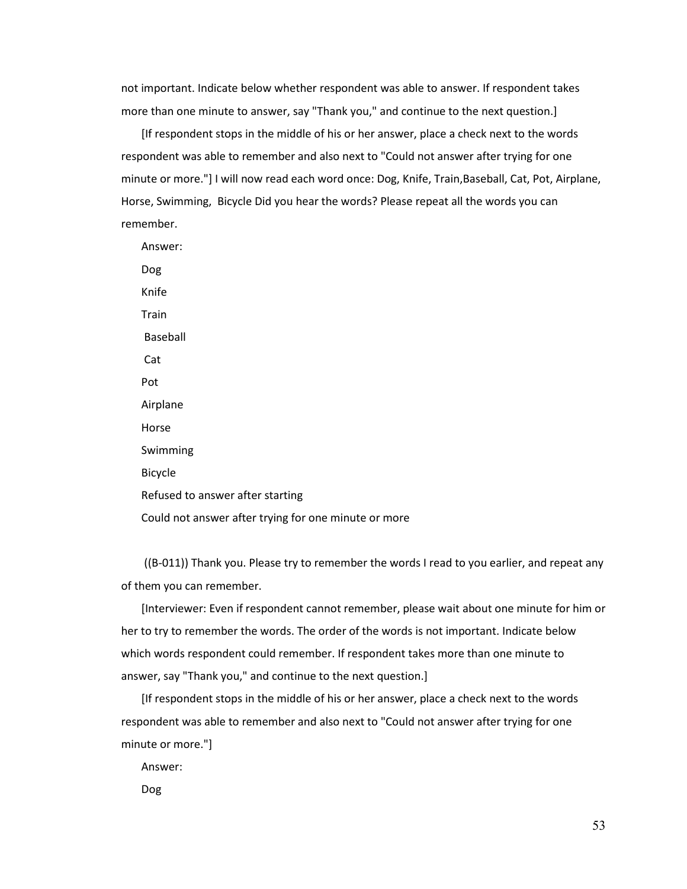not important. Indicate below whether respondent was able to answer. If respondent takes more than one minute to answer, say "Thank you," and continue to the next question.]

[If respondent stops in the middle of his or her answer, place a check next to the words respondent was able to remember and also next to "Could not answer after trying for one minute or more."] I will now read each word once: Dog, Knife, Train,Baseball, Cat, Pot, Airplane, Horse, Swimming, Bicycle Did you hear the words? Please repeat all the words you can remember.

Answer: Dog Knife **Train** Baseball Cat Pot Airplane Horse Swimming Bicycle Refused to answer after starting Could not answer after trying for one minute or more

((B-011)) Thank you. Please try to remember the words I read to you earlier, and repeat any of them you can remember.

[Interviewer: Even if respondent cannot remember, please wait about one minute for him or her to try to remember the words. The order of the words is not important. Indicate below which words respondent could remember. If respondent takes more than one minute to answer, say "Thank you," and continue to the next question.]

[If respondent stops in the middle of his or her answer, place a check next to the words respondent was able to remember and also next to "Could not answer after trying for one minute or more."]

Answer:

Dog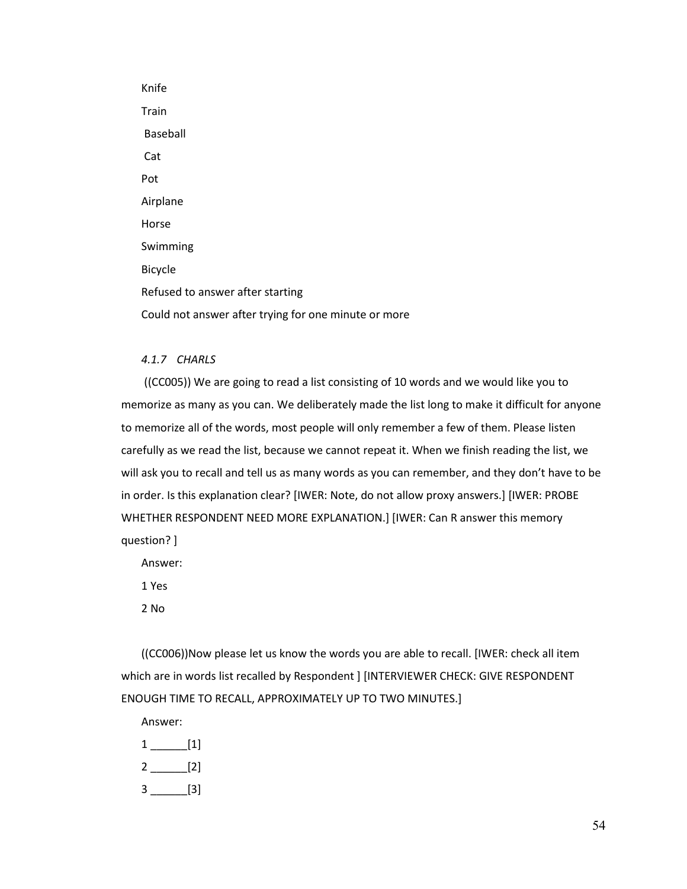Knife Train Baseball Cat Pot Airplane Horse Swimming Bicycle Refused to answer after starting Could not answer after trying for one minute or more

# *4.1.7 CHARLS*

((CC005)) We are going to read a list consisting of 10 words and we would like you to memorize as many as you can. We deliberately made the list long to make it difficult for anyone to memorize all of the words, most people will only remember a few of them. Please listen carefully as we read the list, because we cannot repeat it. When we finish reading the list, we will ask you to recall and tell us as many words as you can remember, and they don't have to be in order. Is this explanation clear? [IWER: Note, do not allow proxy answers.] [IWER: PROBE WHETHER RESPONDENT NEED MORE EXPLANATION.] [IWER: Can R answer this memory question? ]

Answer:

1 Yes

2 No

((CC006))Now please let us know the words you are able to recall. [IWER: check all item which are in words list recalled by Respondent ] [INTERVIEWER CHECK: GIVE RESPONDENT ENOUGH TIME TO RECALL, APPROXIMATELY UP TO TWO MINUTES.]

Answer:

1 \_\_\_\_\_\_[1] 2 \_\_\_\_\_\_[2]  $3$  \_\_\_\_\_\_\_\_\_[3]

54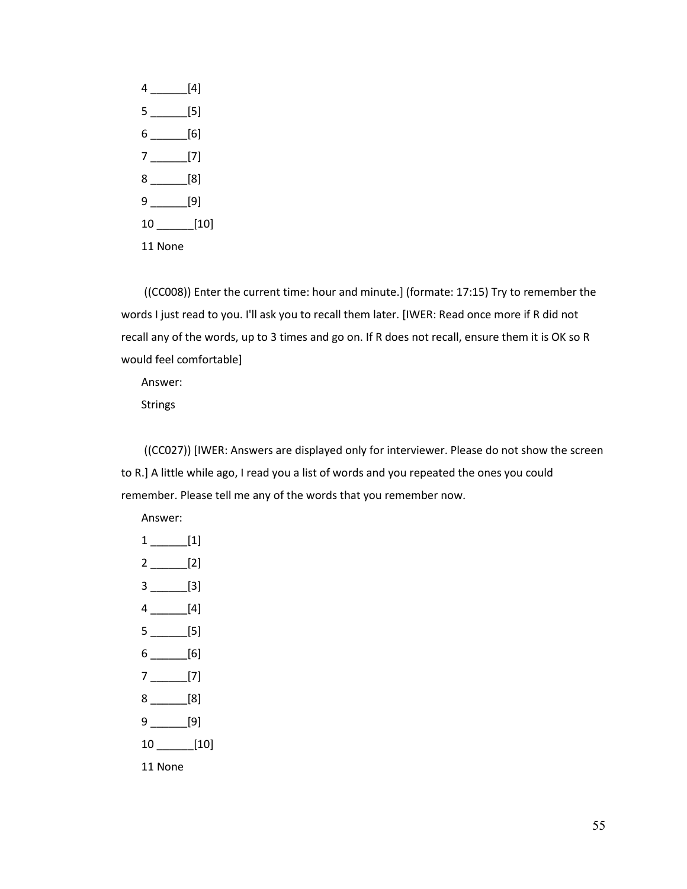4 \_\_\_\_\_\_[4] 5 \_\_\_\_\_\_[5] 6 \_\_\_\_\_\_[6] 7 \_\_\_\_\_\_[7] 8 \_\_\_\_\_\_[8] 9 \_\_\_\_\_\_[9] 10 \_\_\_\_\_\_[10] 11 None

((CC008)) Enter the current time: hour and minute.] (formate: 17:15) Try to remember the words I just read to you. I'll ask you to recall them later. [IWER: Read once more if R did not recall any of the words, up to 3 times and go on. If R does not recall, ensure them it is OK so R would feel comfortable]

Answer:

Strings

((CC027)) [IWER: Answers are displayed only for interviewer. Please do not show the screen to R.] A little while ago, I read you a list of words and you repeated the ones you could remember. Please tell me any of the words that you remember now.

Answer:

| $1$ __________[1] |
|-------------------|
|                   |
| $3$ __________[3] |
| $4$ [4]           |
| $5$ [5]           |
|                   |
|                   |
| $8$ [8]           |
| 9 [9]             |
| $10$ [10]         |
| 11 None           |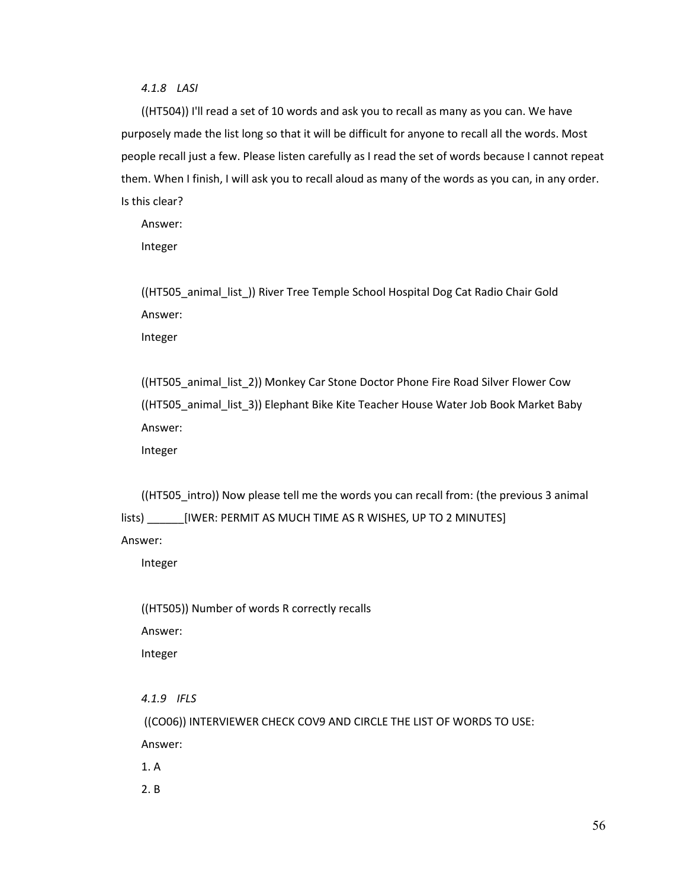*4.1.8 LASI*

((HT504)) I'll read a set of 10 words and ask you to recall as many as you can. We have purposely made the list long so that it will be difficult for anyone to recall all the words. Most people recall just a few. Please listen carefully as I read the set of words because I cannot repeat them. When I finish, I will ask you to recall aloud as many of the words as you can, in any order. Is this clear?

Answer:

Integer

((HT505\_animal\_list\_)) River Tree Temple School Hospital Dog Cat Radio Chair Gold Answer: Integer

((HT505\_animal\_list\_2)) Monkey Car Stone Doctor Phone Fire Road Silver Flower Cow ((HT505\_animal\_list\_3)) Elephant Bike Kite Teacher House Water Job Book Market Baby Answer:

Integer

((HT505\_intro)) Now please tell me the words you can recall from: (the previous 3 animal lists) \_\_\_\_\_\_[IWER: PERMIT AS MUCH TIME AS R WISHES, UP TO 2 MINUTES]

Answer:

Integer

((HT505)) Number of words R correctly recalls Answer: Integer

*4.1.9 IFLS*

((CO06)) INTERVIEWER CHECK COV9 AND CIRCLE THE LIST OF WORDS TO USE: Answer:

1. A

2. B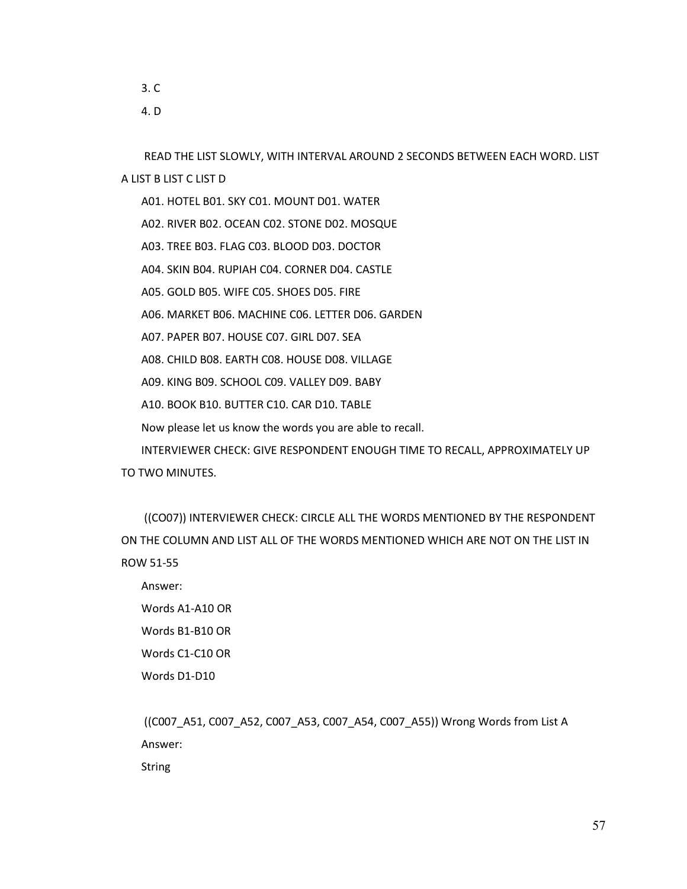3. C 4. D

READ THE LIST SLOWLY, WITH INTERVAL AROUND 2 SECONDS BETWEEN EACH WORD. LIST A LIST B LIST C LIST D

A01. HOTEL B01. SKY C01. MOUNT D01. WATER A02. RIVER B02. OCEAN C02. STONE D02. MOSQUE A03. TREE B03. FLAG C03. BLOOD D03. DOCTOR A04. SKIN B04. RUPIAH C04. CORNER D04. CASTLE A05. GOLD B05. WIFE C05. SHOES D05. FIRE A06. MARKET B06. MACHINE C06. LETTER D06. GARDEN A07. PAPER B07. HOUSE C07. GIRL D07. SEA A08. CHILD B08. EARTH C08. HOUSE D08. VILLAGE A09. KING B09. SCHOOL C09. VALLEY D09. BABY A10. BOOK B10. BUTTER C10. CAR D10. TABLE Now please let us know the words you are able to recall. INTERVIEWER CHECK: GIVE RESPONDENT ENOUGH TIME TO RECALL, APPROXIMATELY UP TO TWO MINUTES.

((CO07)) INTERVIEWER CHECK: CIRCLE ALL THE WORDS MENTIONED BY THE RESPONDENT ON THE COLUMN AND LIST ALL OF THE WORDS MENTIONED WHICH ARE NOT ON THE LIST IN ROW 51-55

Answer: Words A1-A10 OR Words B1-B10 OR Words C1-C10 OR Words D1-D10

((C007\_A51, C007\_A52, C007\_A53, C007\_A54, C007\_A55)) Wrong Words from List A Answer:

String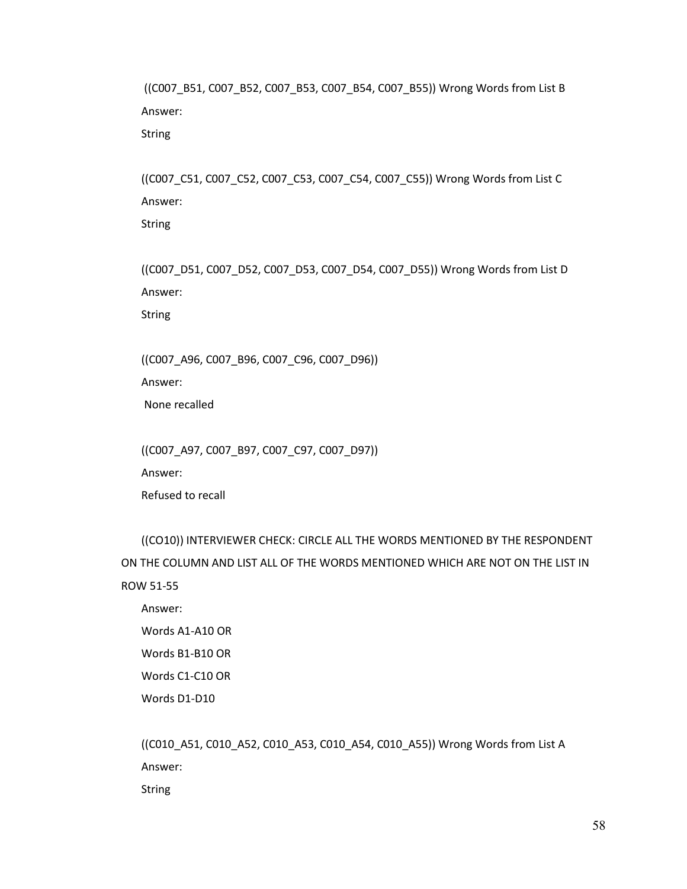((C007\_B51, C007\_B52, C007\_B53, C007\_B54, C007\_B55)) Wrong Words from List B Answer:

String

((C007\_C51, C007\_C52, C007\_C53, C007\_C54, C007\_C55)) Wrong Words from List C Answer:

String

((C007\_D51, C007\_D52, C007\_D53, C007\_D54, C007\_D55)) Wrong Words from List D Answer:

String

((C007\_A96, C007\_B96, C007\_C96, C007\_D96))

Answer:

None recalled

((C007\_A97, C007\_B97, C007\_C97, C007\_D97))

Answer:

Refused to recall

((CO10)) INTERVIEWER CHECK: CIRCLE ALL THE WORDS MENTIONED BY THE RESPONDENT ON THE COLUMN AND LIST ALL OF THE WORDS MENTIONED WHICH ARE NOT ON THE LIST IN ROW 51-55

Answer: Words A1-A10 OR Words B1-B10 OR Words C1-C10 OR Words D1-D10

((C010\_A51, C010\_A52, C010\_A53, C010\_A54, C010\_A55)) Wrong Words from List A Answer:

String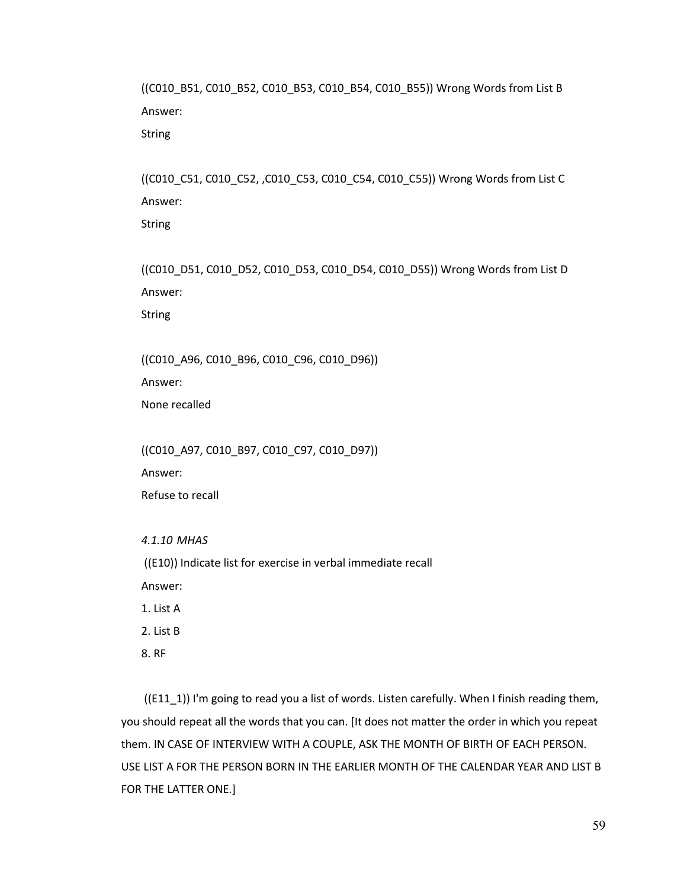((C010\_B51, C010\_B52, C010\_B53, C010\_B54, C010\_B55)) Wrong Words from List B Answer:

String

((C010\_C51, C010\_C52, ,C010\_C53, C010\_C54, C010\_C55)) Wrong Words from List C Answer:

String

((C010\_D51, C010\_D52, C010\_D53, C010\_D54, C010\_D55)) Wrong Words from List D Answer:

String

((C010\_A96, C010\_B96, C010\_C96, C010\_D96))

Answer:

None recalled

((C010\_A97, C010\_B97, C010\_C97, C010\_D97))

Answer:

Refuse to recall

*4.1.10 MHAS*

((E10)) Indicate list for exercise in verbal immediate recall

Answer:

1. List A

2. List B

8. RF

 $((E11_1))$  I'm going to read you a list of words. Listen carefully. When I finish reading them, you should repeat all the words that you can. [It does not matter the order in which you repeat them. IN CASE OF INTERVIEW WITH A COUPLE, ASK THE MONTH OF BIRTH OF EACH PERSON. USE LIST A FOR THE PERSON BORN IN THE EARLIER MONTH OF THE CALENDAR YEAR AND LIST B FOR THE LATTER ONE.]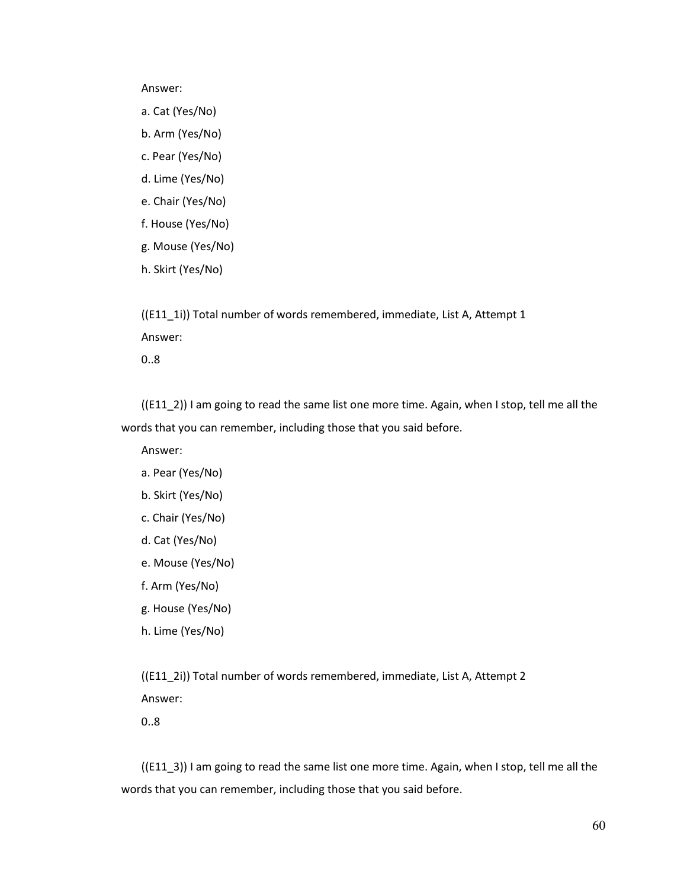#### Answer:

- a. Cat (Yes/No)
- b. Arm (Yes/No)
- c. Pear (Yes/No)
- d. Lime (Yes/No)
- e. Chair (Yes/No)
- f. House (Yes/No)
- g. Mouse (Yes/No)
- h. Skirt (Yes/No)

((E11\_1i)) Total number of words remembered, immediate, List A, Attempt 1 Answer:

0..8

 $((E11_2))$  I am going to read the same list one more time. Again, when I stop, tell me all the words that you can remember, including those that you said before.

Answer:

- a. Pear (Yes/No)
- b. Skirt (Yes/No)
- c. Chair (Yes/No)
- d. Cat (Yes/No)
- e. Mouse (Yes/No)
- f. Arm (Yes/No)
- g. House (Yes/No)
- h. Lime (Yes/No)

((E11\_2i)) Total number of words remembered, immediate, List A, Attempt 2 Answer:

0..8

((E11\_3)) I am going to read the same list one more time. Again, when I stop, tell me all the words that you can remember, including those that you said before.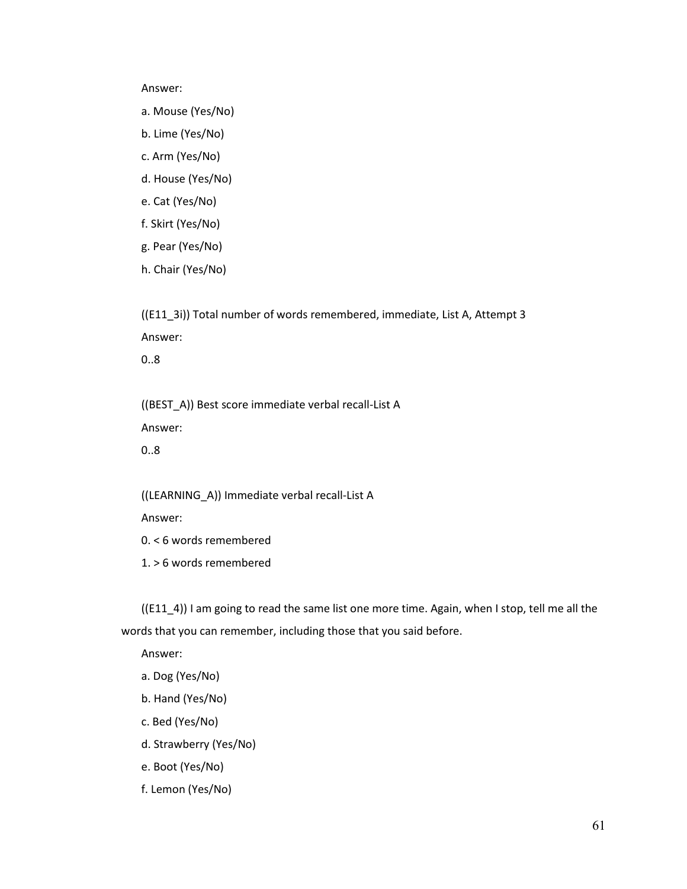Answer:

- a. Mouse (Yes/No)
- b. Lime (Yes/No)
- c. Arm (Yes/No)
- d. House (Yes/No)
- e. Cat (Yes/No)
- f. Skirt (Yes/No)
- g. Pear (Yes/No)
- h. Chair (Yes/No)

((E11\_3i)) Total number of words remembered, immediate, List A, Attempt 3 Answer:

0..8

((BEST\_A)) Best score immediate verbal recall-List A Answer:

0..8

((LEARNING\_A)) Immediate verbal recall-List A

Answer:

0. < 6 words remembered

1. > 6 words remembered

((E11\_4)) I am going to read the same list one more time. Again, when I stop, tell me all the words that you can remember, including those that you said before.

Answer:

- a. Dog (Yes/No)
- b. Hand (Yes/No)
- c. Bed (Yes/No)
- d. Strawberry (Yes/No)
- e. Boot (Yes/No)
- f. Lemon (Yes/No)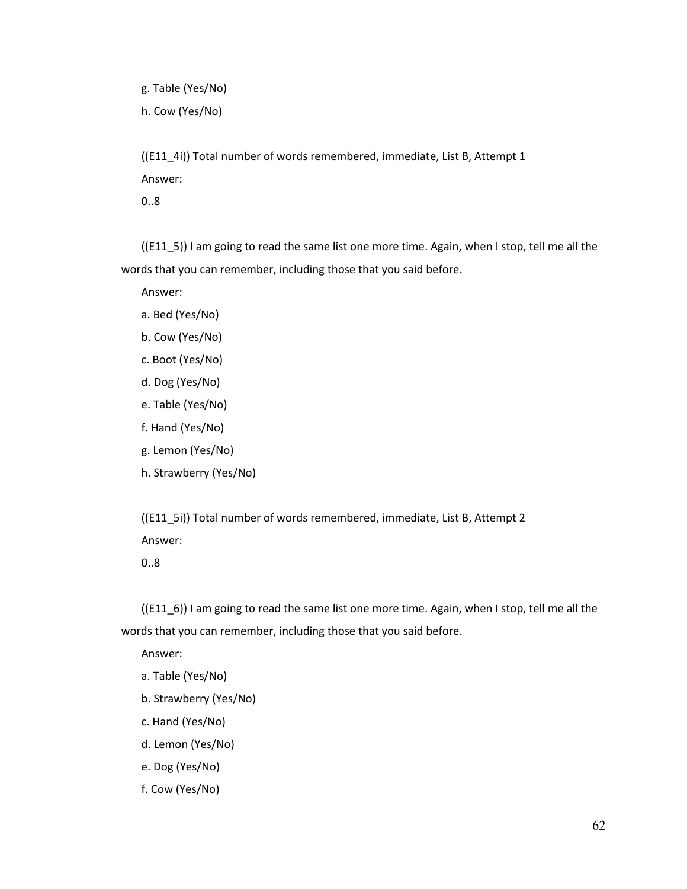g. Table (Yes/No)

h. Cow (Yes/No)

((E11\_4i)) Total number of words remembered, immediate, List B, Attempt 1 Answer:

0..8

((E11\_5)) I am going to read the same list one more time. Again, when I stop, tell me all the words that you can remember, including those that you said before.

Answer:

- a. Bed (Yes/No)
- b. Cow (Yes/No)
- c. Boot (Yes/No)
- d. Dog (Yes/No)
- e. Table (Yes/No)
- f. Hand (Yes/No)
- g. Lemon (Yes/No)
- h. Strawberry (Yes/No)

((E11\_5i)) Total number of words remembered, immediate, List B, Attempt 2 Answer:

0..8

 $((E116))$  I am going to read the same list one more time. Again, when I stop, tell me all the words that you can remember, including those that you said before.

Answer:

- a. Table (Yes/No)
- b. Strawberry (Yes/No)
- c. Hand (Yes/No)
- d. Lemon (Yes/No)
- e. Dog (Yes/No)
- f. Cow (Yes/No)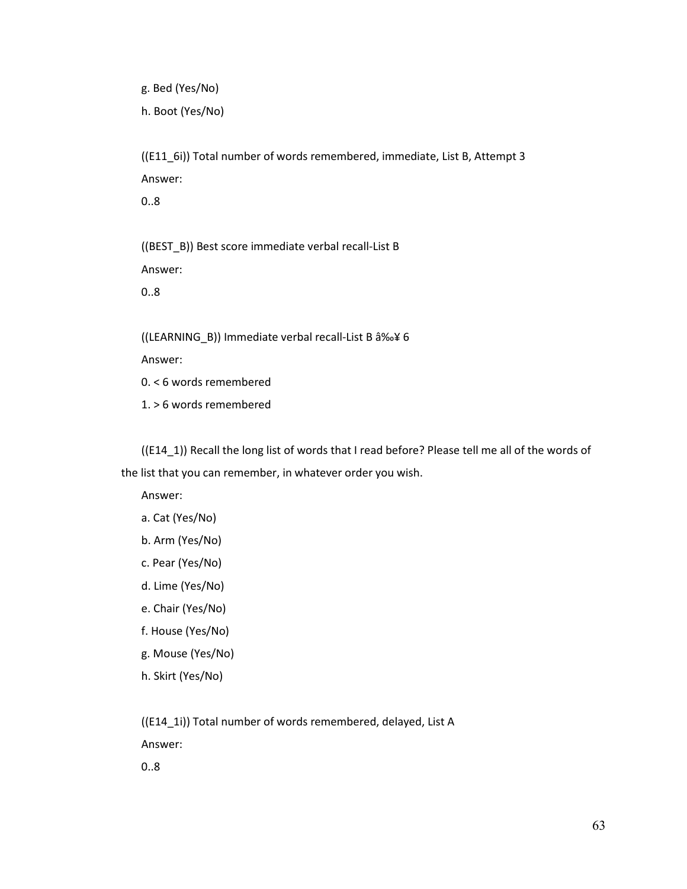g. Bed (Yes/No) h. Boot (Yes/No)

((E11\_6i)) Total number of words remembered, immediate, List B, Attempt 3 Answer: 0..8

((BEST\_B)) Best score immediate verbal recall-List B Answer:

0..8

((LEARNING\_B)) Immediate verbal recall-List B ≥ 6

Answer:

0. < 6 words remembered

1. > 6 words remembered

((E14\_1)) Recall the long list of words that I read before? Please tell me all of the words of the list that you can remember, in whatever order you wish.

Answer:

- a. Cat (Yes/No)
- b. Arm (Yes/No)
- c. Pear (Yes/No)
- d. Lime (Yes/No)
- e. Chair (Yes/No)
- f. House (Yes/No)
- g. Mouse (Yes/No)
- h. Skirt (Yes/No)

((E14\_1i)) Total number of words remembered, delayed, List A

Answer:

0..8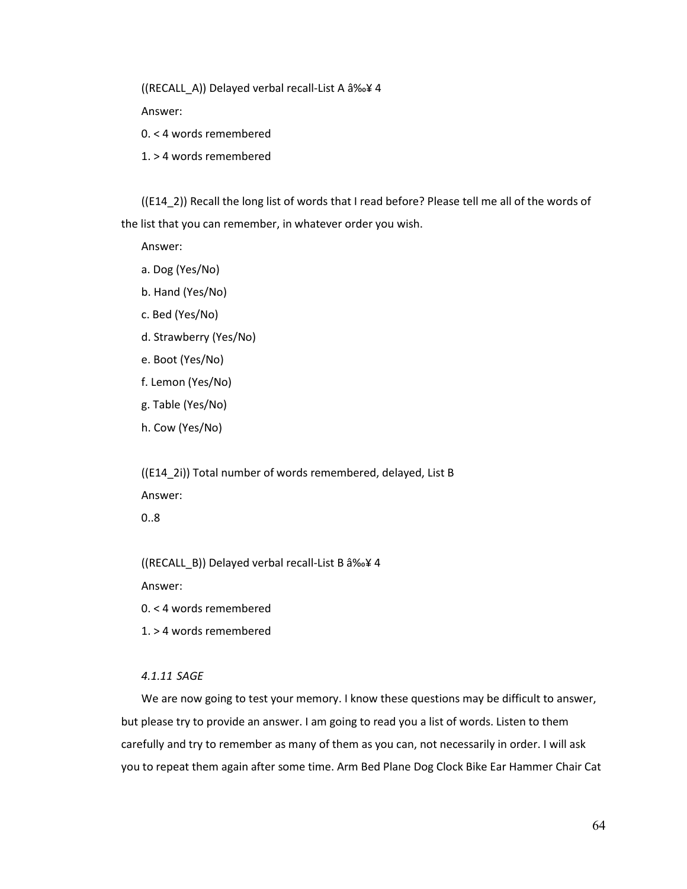((RECALL\_A)) Delayed verbal recall-List A ≥ 4

Answer:

- 0. < 4 words remembered
- 1. > 4 words remembered

((E14\_2)) Recall the long list of words that I read before? Please tell me all of the words of the list that you can remember, in whatever order you wish.

Answer:

- a. Dog (Yes/No)
- b. Hand (Yes/No)
- c. Bed (Yes/No)
- d. Strawberry (Yes/No)
- e. Boot (Yes/No)
- f. Lemon (Yes/No)
- g. Table (Yes/No)
- h. Cow (Yes/No)

((E14\_2i)) Total number of words remembered, delayed, List B Answer:

0..8

((RECALL\_B)) Delayed verbal recall-List B ≥ 4

Answer:

0. < 4 words remembered

1. > 4 words remembered

## *4.1.11 SAGE*

We are now going to test your memory. I know these questions may be difficult to answer, but please try to provide an answer. I am going to read you a list of words. Listen to them carefully and try to remember as many of them as you can, not necessarily in order. I will ask you to repeat them again after some time. Arm Bed Plane Dog Clock Bike Ear Hammer Chair Cat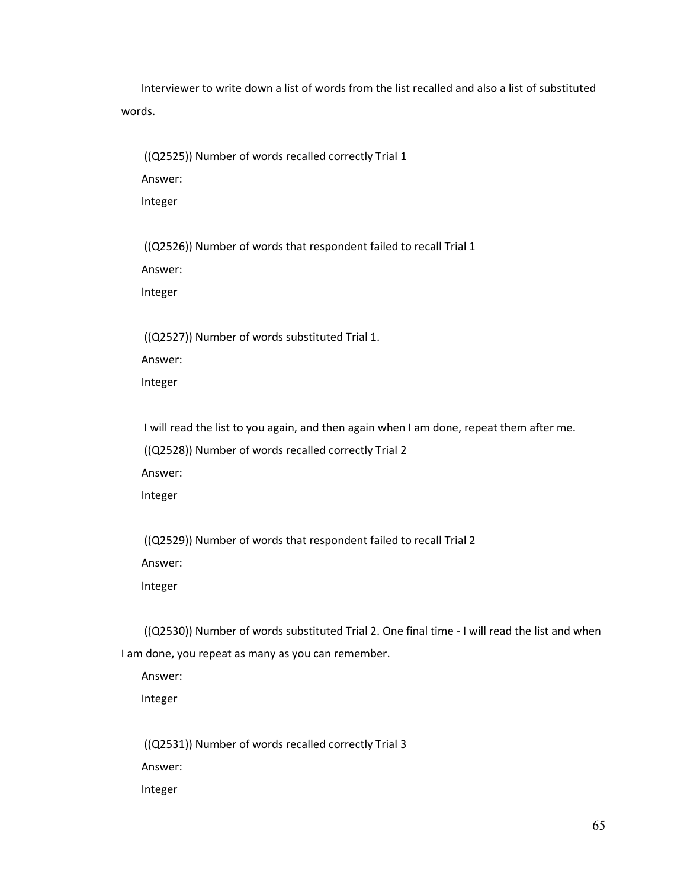Interviewer to write down a list of words from the list recalled and also a list of substituted words.

((Q2525)) Number of words recalled correctly Trial 1 Answer:

Integer

((Q2526)) Number of words that respondent failed to recall Trial 1

Answer:

Integer

((Q2527)) Number of words substituted Trial 1.

Answer:

Integer

I will read the list to you again, and then again when I am done, repeat them after me.

((Q2528)) Number of words recalled correctly Trial 2

Answer:

Integer

((Q2529)) Number of words that respondent failed to recall Trial 2

Answer:

Integer

((Q2530)) Number of words substituted Trial 2. One final time - I will read the list and when I am done, you repeat as many as you can remember.

Answer:

Integer

((Q2531)) Number of words recalled correctly Trial 3

Answer:

Integer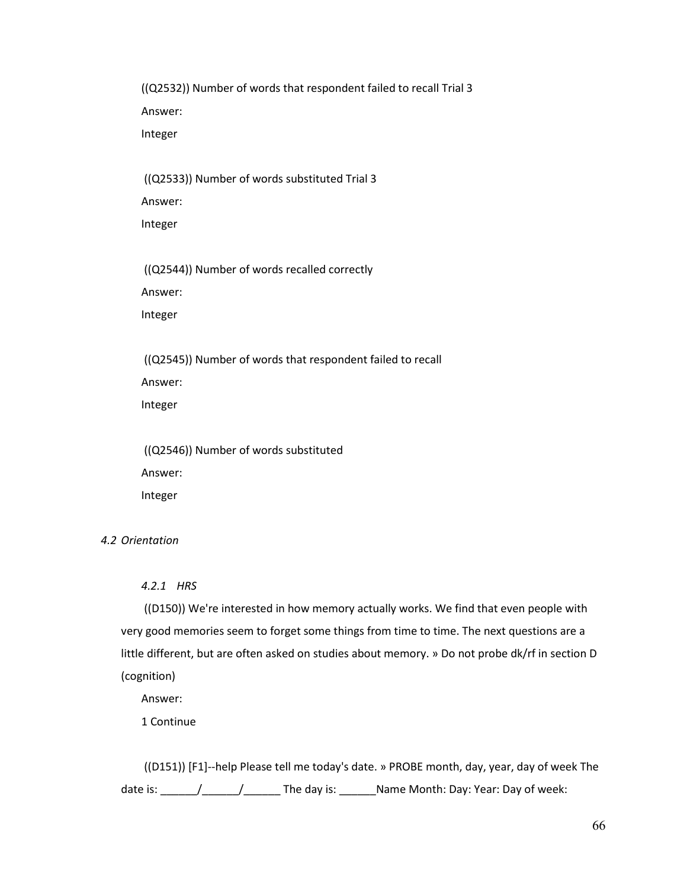((Q2532)) Number of words that respondent failed to recall Trial 3 Answer: Integer

((Q2533)) Number of words substituted Trial 3

Answer:

Integer

((Q2544)) Number of words recalled correctly

Answer:

Integer

((Q2545)) Number of words that respondent failed to recall

Answer:

Integer

((Q2546)) Number of words substituted Answer: Integer

# *4.2 Orientation*

*4.2.1 HRS*

((D150)) We're interested in how memory actually works. We find that even people with very good memories seem to forget some things from time to time. The next questions are a little different, but are often asked on studies about memory. » Do not probe dk/rf in section D (cognition)

Answer:

1 Continue

((D151)) [F1]--help Please tell me today's date. » PROBE month, day, year, day of week The date is: \_\_\_\_\_\_/\_\_\_\_\_\_/\_\_\_\_\_\_ The day is: \_\_\_\_\_\_Name Month: Day: Year: Day of week: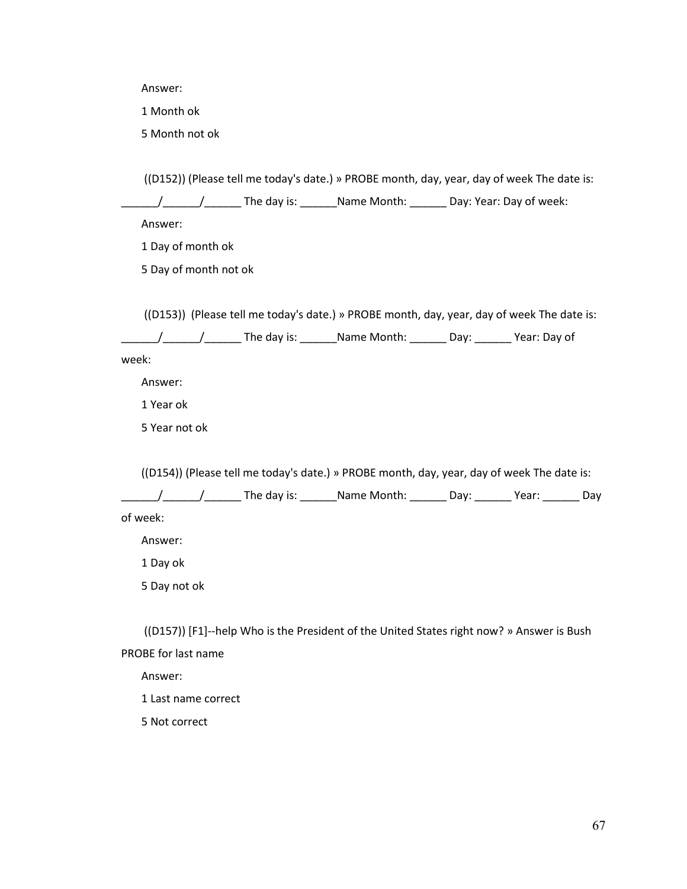Answer:

1 Month ok

5 Month not ok

((D152)) (Please tell me today's date.) » PROBE month, day, year, day of week The date is:  $\frac{1}{2}$   $\frac{1}{2}$   $\frac{1}{2}$  The day is:  $\frac{1}{2}$  Name Month:  $\frac{1}{2}$  Day: Year: Day of week:

Answer:

1 Day of month ok

5 Day of month not ok

((D153)) (Please tell me today's date.) » PROBE month, day, year, day of week The date is:

\_\_\_\_\_\_\_\_/\_\_\_\_\_\_\_\_\_\_\_\_\_\_\_\_\_The day is: \_\_\_\_\_\_\_\_Name Month: \_\_\_\_\_\_\_\_ Day: \_\_\_\_\_\_\_\_ Year: Day of

week:

Answer:

1 Year ok

5 Year not ok

((D154)) (Please tell me today's date.) » PROBE month, day, year, day of week The date is:

 $\frac{1}{2}$   $\frac{1}{2}$   $\frac{1}{2}$   $\frac{1}{2}$  The day is: \_\_\_\_\_\_\_Name Month: \_\_\_\_\_\_\_ Day: \_\_\_\_\_\_\_ Year: \_\_\_\_\_\_\_ Day

of week:

Answer:

1 Day ok

5 Day not ok

 ((D157)) [F1]--help Who is the President of the United States right now? » Answer is Bush PROBE for last name

Answer:

1 Last name correct

5 Not correct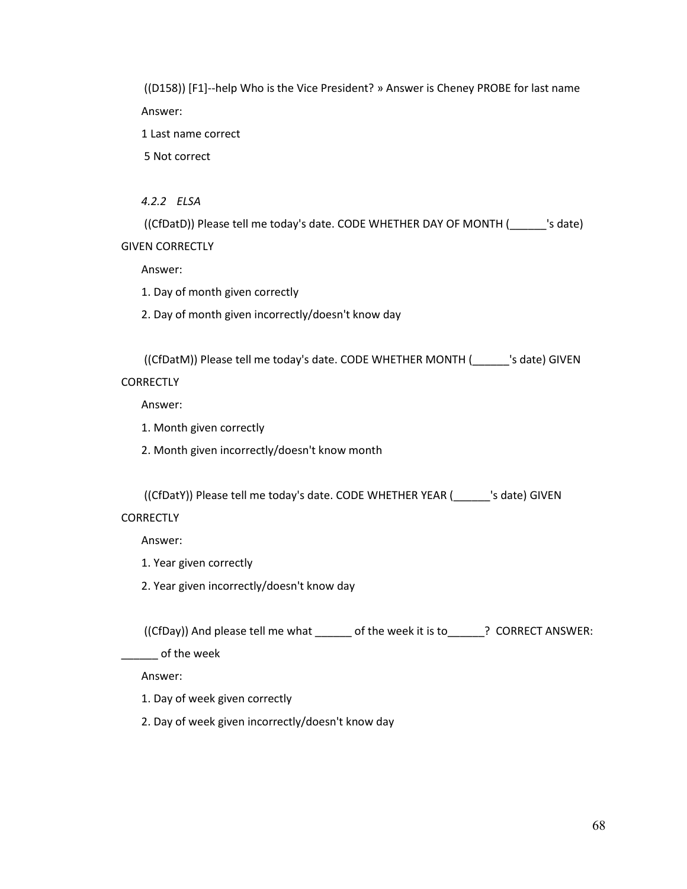((D158)) [F1]--help Who is the Vice President? » Answer is Cheney PROBE for last name Answer: 1 Last name correct 5 Not correct *4.2.2 ELSA* ((CfDatD)) Please tell me today's date. CODE WHETHER DAY OF MONTH (\_\_\_\_\_\_'s date) GIVEN CORRECTLY Answer: 1. Day of month given correctly 2. Day of month given incorrectly/doesn't know day ((CfDatM)) Please tell me today's date. CODE WHETHER MONTH (\_\_\_\_\_\_'s date) GIVEN **CORRECTLY** Answer: 1. Month given correctly 2. Month given incorrectly/doesn't know month ((CfDatY)) Please tell me today's date. CODE WHETHER YEAR (\_\_\_\_\_\_'s date) GIVEN **CORRECTLY** Answer: 1. Year given correctly 2. Year given incorrectly/doesn't know day ((CfDay)) And please tell me what \_\_\_\_\_\_ of the week it is to\_\_\_\_\_\_? CORRECT ANSWER: \_\_\_\_\_\_ of the week Answer: 1. Day of week given correctly 2. Day of week given incorrectly/doesn't know day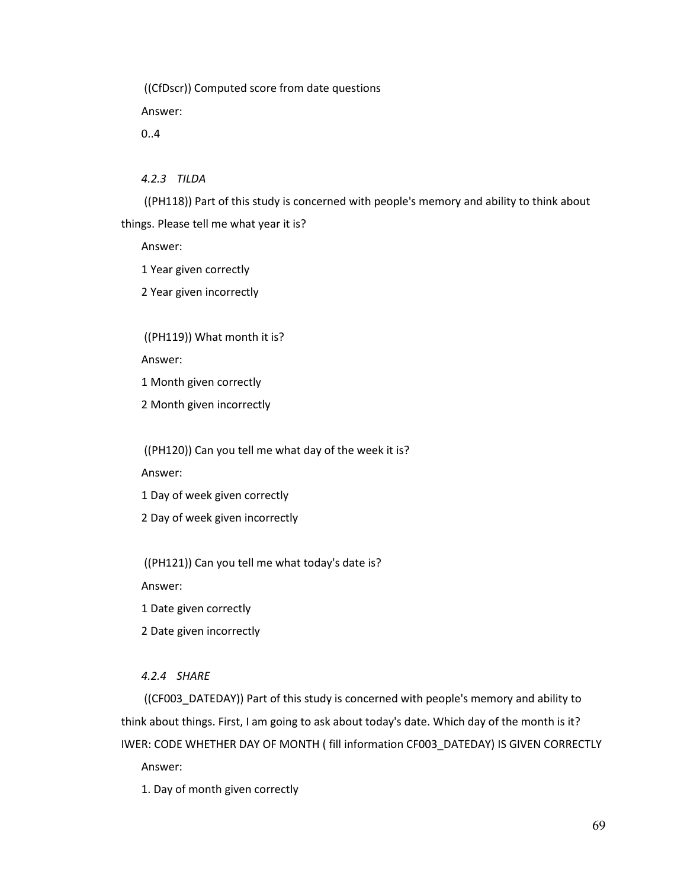((CfDscr)) Computed score from date questions

Answer:

0..4

*4.2.3 TILDA*

((PH118)) Part of this study is concerned with people's memory and ability to think about things. Please tell me what year it is?

Answer:

1 Year given correctly

2 Year given incorrectly

((PH119)) What month it is?

Answer:

1 Month given correctly

2 Month given incorrectly

((PH120)) Can you tell me what day of the week it is?

Answer:

1 Day of week given correctly

2 Day of week given incorrectly

((PH121)) Can you tell me what today's date is?

Answer:

1 Date given correctly

2 Date given incorrectly

# *4.2.4 SHARE*

((CF003\_DATEDAY)) Part of this study is concerned with people's memory and ability to think about things. First, I am going to ask about today's date. Which day of the month is it? IWER: CODE WHETHER DAY OF MONTH ( fill information CF003\_DATEDAY) IS GIVEN CORRECTLY Answer:

1. Day of month given correctly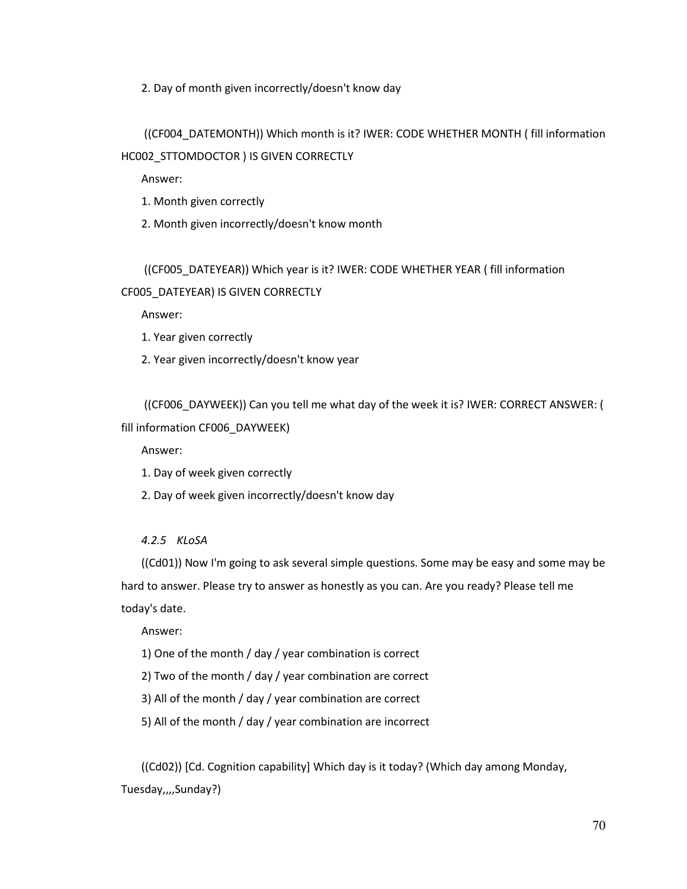2. Day of month given incorrectly/doesn't know day

# ((CF004\_DATEMONTH)) Which month is it? IWER: CODE WHETHER MONTH ( fill information HC002\_STTOMDOCTOR ) IS GIVEN CORRECTLY

Answer:

- 1. Month given correctly
- 2. Month given incorrectly/doesn't know month

# ((CF005\_DATEYEAR)) Which year is it? IWER: CODE WHETHER YEAR ( fill information CF005\_DATEYEAR) IS GIVEN CORRECTLY

Answer:

- 1. Year given correctly
- 2. Year given incorrectly/doesn't know year

((CF006\_DAYWEEK)) Can you tell me what day of the week it is? IWER: CORRECT ANSWER: (

# fill information CF006\_DAYWEEK)

Answer:

- 1. Day of week given correctly
- 2. Day of week given incorrectly/doesn't know day

# *4.2.5 KLoSA*

((Cd01)) Now I'm going to ask several simple questions. Some may be easy and some may be hard to answer. Please try to answer as honestly as you can. Are you ready? Please tell me today's date.

Answer:

1) One of the month / day / year combination is correct

2) Two of the month / day / year combination are correct

3) All of the month / day / year combination are correct

5) All of the month / day / year combination are incorrect

((Cd02)) [Cd. Cognition capability] Which day is it today? (Which day among Monday, Tuesday,,,,Sunday?)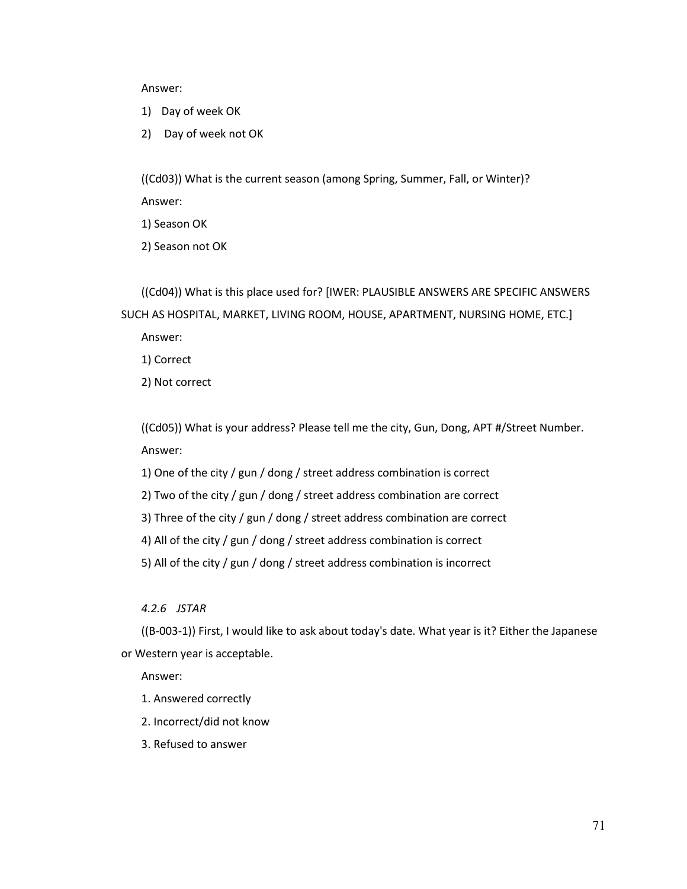Answer:

- 1) Day of week OK
- 2) Day of week not OK

((Cd03)) What is the current season (among Spring, Summer, Fall, or Winter)? Answer:

1) Season OK

2) Season not OK

((Cd04)) What is this place used for? [IWER: PLAUSIBLE ANSWERS ARE SPECIFIC ANSWERS SUCH AS HOSPITAL, MARKET, LIVING ROOM, HOUSE, APARTMENT, NURSING HOME, ETC.]

Answer:

1) Correct

2) Not correct

((Cd05)) What is your address? Please tell me the city, Gun, Dong, APT #/Street Number. Answer:

1) One of the city / gun / dong / street address combination is correct

2) Two of the city / gun / dong / street address combination are correct

3) Three of the city / gun / dong / street address combination are correct

4) All of the city / gun / dong / street address combination is correct

5) All of the city / gun / dong / street address combination is incorrect

*4.2.6 JSTAR*

((B-003-1)) First, I would like to ask about today's date. What year is it? Either the Japanese or Western year is acceptable.

Answer:

- 1. Answered correctly
- 2. Incorrect/did not know
- 3. Refused to answer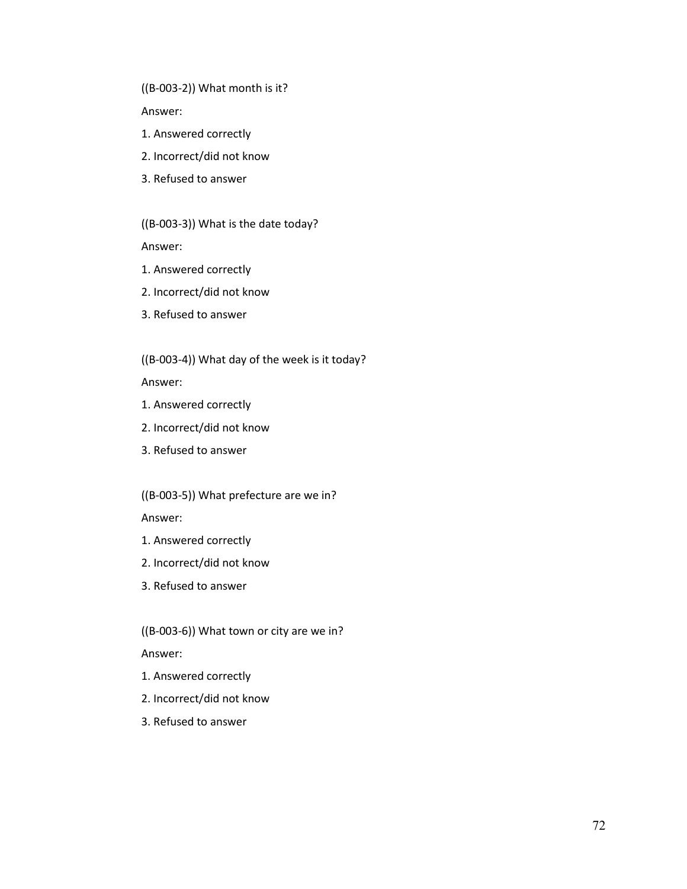((B-003-2)) What month is it?

Answer:

- 1. Answered correctly
- 2. Incorrect/did not know
- 3. Refused to answer

((B-003-3)) What is the date today?

Answer:

- 1. Answered correctly
- 2. Incorrect/did not know
- 3. Refused to answer

((B-003-4)) What day of the week is it today?

Answer:

- 1. Answered correctly
- 2. Incorrect/did not know
- 3. Refused to answer

((B-003-5)) What prefecture are we in?

Answer:

- 1. Answered correctly
- 2. Incorrect/did not know
- 3. Refused to answer

((B-003-6)) What town or city are we in?

Answer:

- 1. Answered correctly
- 2. Incorrect/did not know
- 3. Refused to answer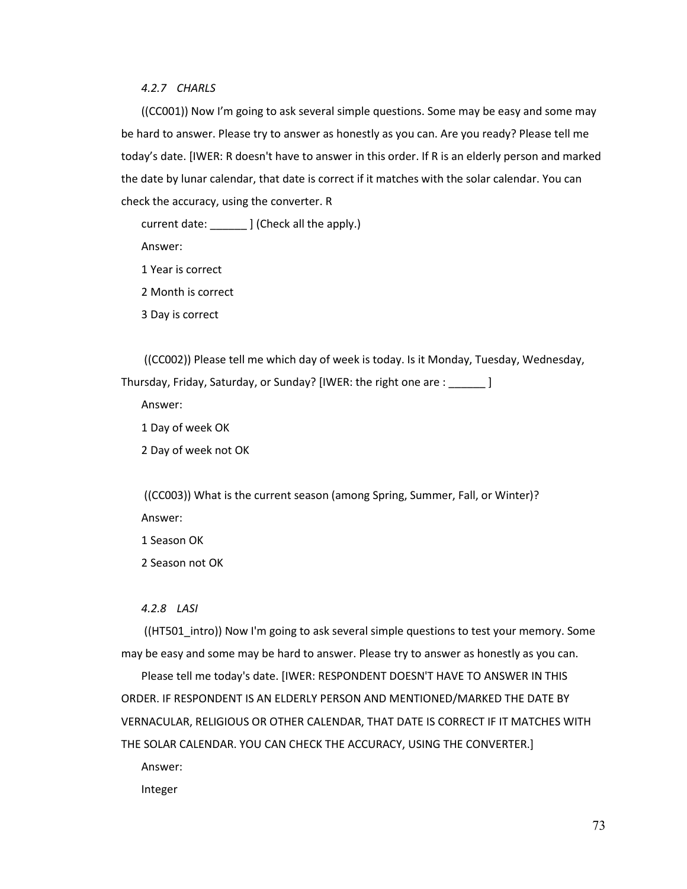### *4.2.7 CHARLS*

((CC001)) Now I'm going to ask several simple questions. Some may be easy and some may be hard to answer. Please try to answer as honestly as you can. Are you ready? Please tell me today's date. [IWER: R doesn't have to answer in this order. If R is an elderly person and marked the date by lunar calendar, that date is correct if it matches with the solar calendar. You can check the accuracy, using the converter. R

current date: \_\_\_\_\_\_ ] (Check all the apply.)

Answer:

1 Year is correct

2 Month is correct

3 Day is correct

((CC002)) Please tell me which day of week is today. Is it Monday, Tuesday, Wednesday, Thursday, Friday, Saturday, or Sunday? [IWER: the right one are : \_\_\_\_\_\_ ]

Answer:

1 Day of week OK

2 Day of week not OK

((CC003)) What is the current season (among Spring, Summer, Fall, or Winter)? Answer:

1 Season OK

2 Season not OK

### *4.2.8 LASI*

((HT501\_intro)) Now I'm going to ask several simple questions to test your memory. Some may be easy and some may be hard to answer. Please try to answer as honestly as you can.

Please tell me today's date. [IWER: RESPONDENT DOESN'T HAVE TO ANSWER IN THIS ORDER. IF RESPONDENT IS AN ELDERLY PERSON AND MENTIONED/MARKED THE DATE BY VERNACULAR, RELIGIOUS OR OTHER CALENDAR, THAT DATE IS CORRECT IF IT MATCHES WITH THE SOLAR CALENDAR. YOU CAN CHECK THE ACCURACY, USING THE CONVERTER.]

Answer:

Integer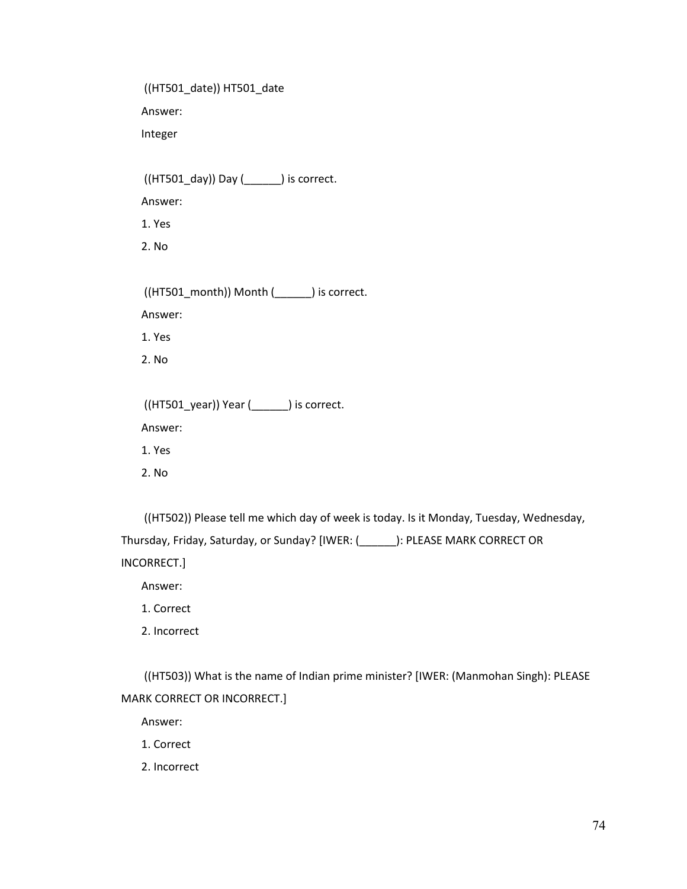((HT501\_date)) HT501\_date Answer: Integer ((HT501\_day)) Day (\_\_\_\_\_\_) is correct. Answer: 1. Yes 2. No ((HT501\_month)) Month (\_\_\_\_\_\_) is correct. Answer: 1. Yes 2. No ((HT501\_year)) Year (\_\_\_\_\_\_) is correct. Answer: 1. Yes 2. No

((HT502)) Please tell me which day of week is today. Is it Monday, Tuesday, Wednesday, Thursday, Friday, Saturday, or Sunday? [IWER: (\_\_\_\_\_\_): PLEASE MARK CORRECT OR INCORRECT.]

Answer:

1. Correct

2. Incorrect

((HT503)) What is the name of Indian prime minister? [IWER: (Manmohan Singh): PLEASE MARK CORRECT OR INCORRECT.]

Answer:

1. Correct

2. Incorrect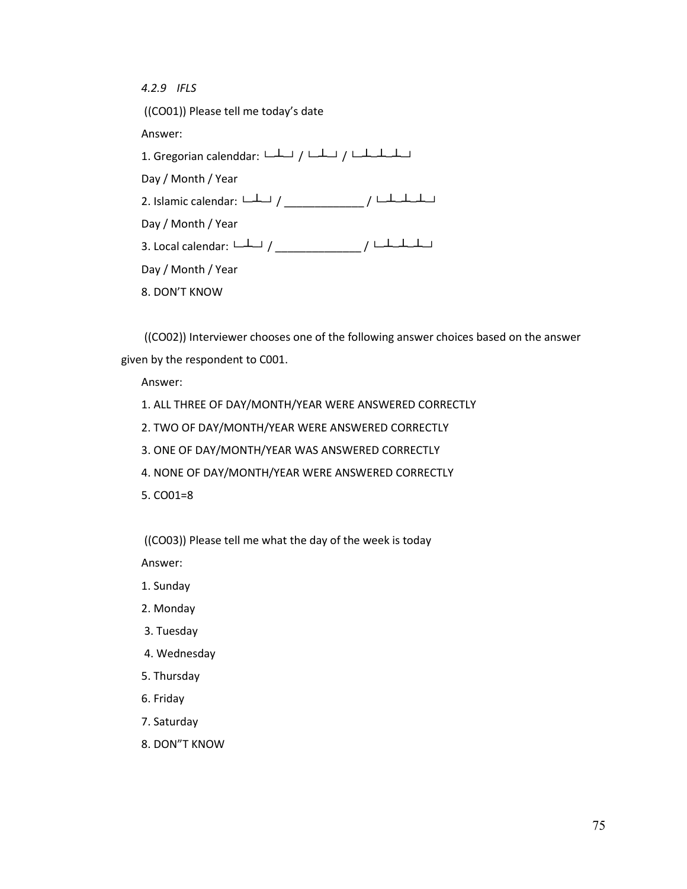*4.2.9 IFLS* ((CO01)) Please tell me today's date Answer: 1. Gregorian calenddar: └─┴─┘ / └─┴─┘ / └─┴─┴─┴─┘ Day / Month / Year 2. Islamic calendar: └─┴─┘ / \_\_\_\_\_\_\_\_\_\_\_\_\_ / └─┴─┴─┴─┘ Day / Month / Year 3. Local calendar: └─┴─┘ / \_\_\_\_\_\_\_\_\_\_\_\_\_\_ / └─┴─┴─┴─┘ Day / Month / Year 8. DON'T KNOW

((CO02)) Interviewer chooses one of the following answer choices based on the answer given by the respondent to C001.

Answer:

1. ALL THREE OF DAY/MONTH/YEAR WERE ANSWERED CORRECTLY

2. TWO OF DAY/MONTH/YEAR WERE ANSWERED CORRECTLY

3. ONE OF DAY/MONTH/YEAR WAS ANSWERED CORRECTLY

4. NONE OF DAY/MONTH/YEAR WERE ANSWERED CORRECTLY

5. CO01=8

((CO03)) Please tell me what the day of the week is today

Answer:

- 1. Sunday
- 2. Monday
- 3. Tuesday
- 4. Wednesday
- 5. Thursday
- 6. Friday
- 7. Saturday
- 8. DON"T KNOW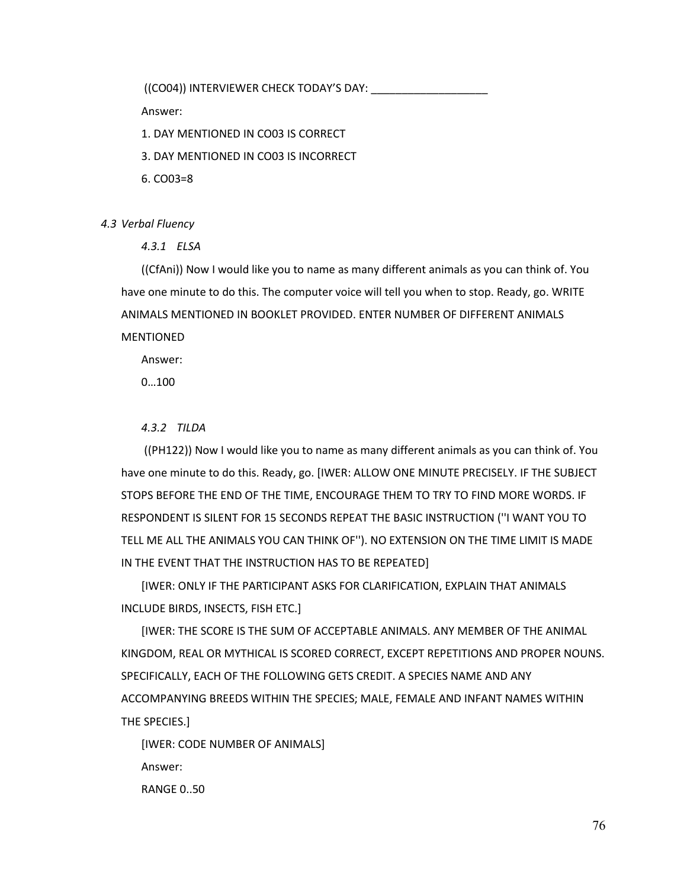((CO04)) INTERVIEWER CHECK TODAY'S DAY:

Answer:

1. DAY MENTIONED IN CO03 IS CORRECT

3. DAY MENTIONED IN CO03 IS INCORRECT

6. CO03=8

*4.3 Verbal Fluency*

*4.3.1 ELSA*

((CfAni)) Now I would like you to name as many different animals as you can think of. You have one minute to do this. The computer voice will tell you when to stop. Ready, go. WRITE ANIMALS MENTIONED IN BOOKLET PROVIDED. ENTER NUMBER OF DIFFERENT ANIMALS **MENTIONED** 

Answer:

0…100

# *4.3.2 TILDA*

((PH122)) Now I would like you to name as many different animals as you can think of. You have one minute to do this. Ready, go. [IWER: ALLOW ONE MINUTE PRECISELY. IF THE SUBJECT STOPS BEFORE THE END OF THE TIME, ENCOURAGE THEM TO TRY TO FIND MORE WORDS. IF RESPONDENT IS SILENT FOR 15 SECONDS REPEAT THE BASIC INSTRUCTION (''I WANT YOU TO TELL ME ALL THE ANIMALS YOU CAN THINK OF''). NO EXTENSION ON THE TIME LIMIT IS MADE IN THE EVENT THAT THE INSTRUCTION HAS TO BE REPEATED]

[IWER: ONLY IF THE PARTICIPANT ASKS FOR CLARIFICATION, EXPLAIN THAT ANIMALS INCLUDE BIRDS, INSECTS, FISH ETC.]

[IWER: THE SCORE IS THE SUM OF ACCEPTABLE ANIMALS. ANY MEMBER OF THE ANIMAL KINGDOM, REAL OR MYTHICAL IS SCORED CORRECT, EXCEPT REPETITIONS AND PROPER NOUNS. SPECIFICALLY, EACH OF THE FOLLOWING GETS CREDIT. A SPECIES NAME AND ANY ACCOMPANYING BREEDS WITHIN THE SPECIES; MALE, FEMALE AND INFANT NAMES WITHIN THE SPECIES.]

[IWER: CODE NUMBER OF ANIMALS] Answer: RANGE 0..50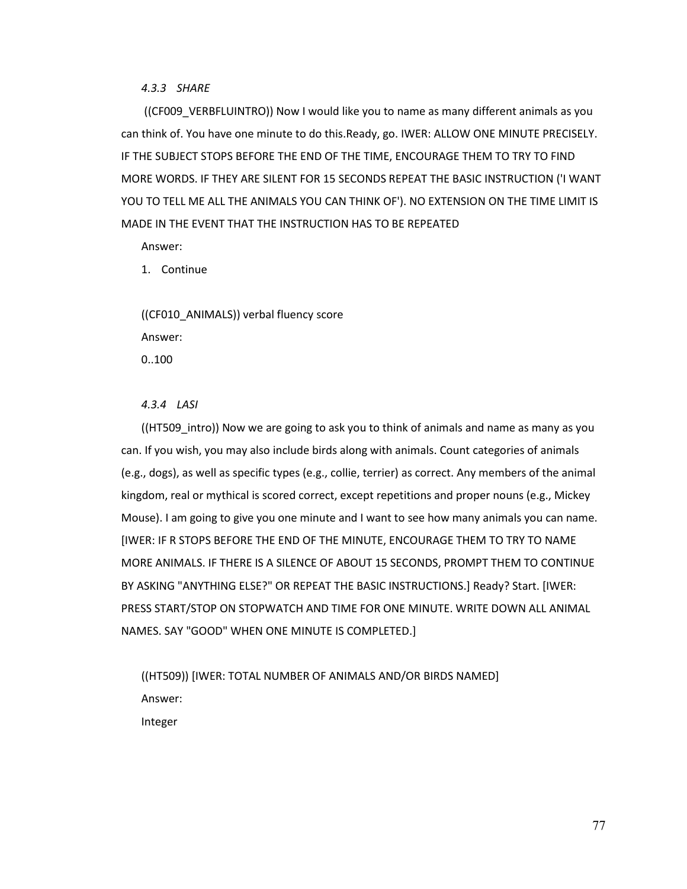### *4.3.3 SHARE*

((CF009\_VERBFLUINTRO)) Now I would like you to name as many different animals as you can think of. You have one minute to do this.Ready, go. IWER: ALLOW ONE MINUTE PRECISELY. IF THE SUBJECT STOPS BEFORE THE END OF THE TIME, ENCOURAGE THEM TO TRY TO FIND MORE WORDS. IF THEY ARE SILENT FOR 15 SECONDS REPEAT THE BASIC INSTRUCTION ('I WANT YOU TO TELL ME ALL THE ANIMALS YOU CAN THINK OF'). NO EXTENSION ON THE TIME LIMIT IS MADE IN THE EVENT THAT THE INSTRUCTION HAS TO BE REPEATED

Answer:

1. Continue

((CF010\_ANIMALS)) verbal fluency score Answer: 0..100

# *4.3.4 LASI*

((HT509 intro)) Now we are going to ask you to think of animals and name as many as you can. If you wish, you may also include birds along with animals. Count categories of animals (e.g., dogs), as well as specific types (e.g., collie, terrier) as correct. Any members of the animal kingdom, real or mythical is scored correct, except repetitions and proper nouns (e.g., Mickey Mouse). I am going to give you one minute and I want to see how many animals you can name. [IWER: IF R STOPS BEFORE THE END OF THE MINUTE, ENCOURAGE THEM TO TRY TO NAME MORE ANIMALS. IF THERE IS A SILENCE OF ABOUT 15 SECONDS, PROMPT THEM TO CONTINUE BY ASKING "ANYTHING ELSE?" OR REPEAT THE BASIC INSTRUCTIONS.] Ready? Start. [IWER: PRESS START/STOP ON STOPWATCH AND TIME FOR ONE MINUTE. WRITE DOWN ALL ANIMAL NAMES. SAY "GOOD" WHEN ONE MINUTE IS COMPLETED.]

((HT509)) [IWER: TOTAL NUMBER OF ANIMALS AND/OR BIRDS NAMED] Answer: Integer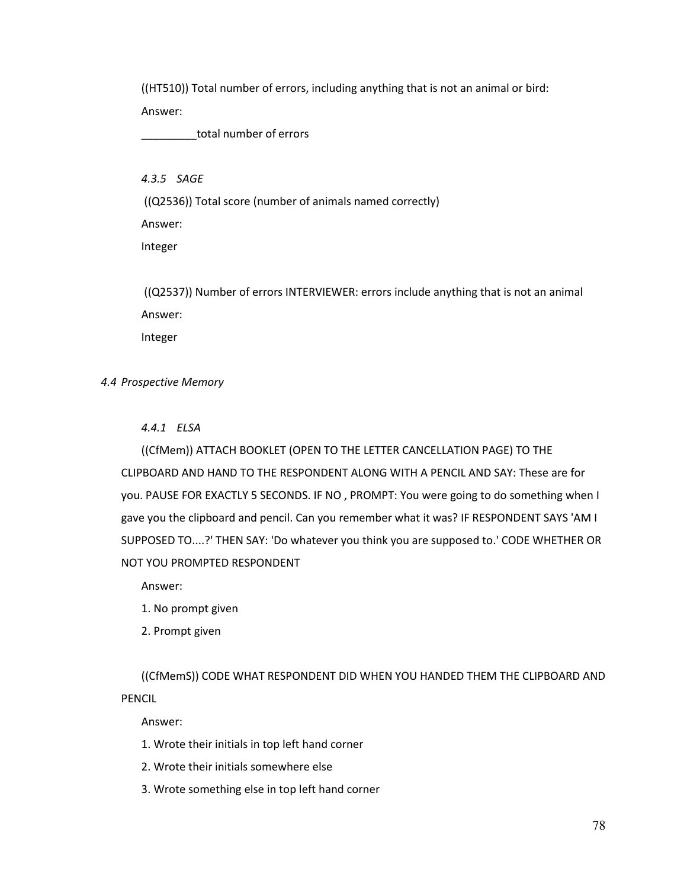((HT510)) Total number of errors, including anything that is not an animal or bird: Answer:

total number of errors

*4.3.5 SAGE*

((Q2536)) Total score (number of animals named correctly)

Answer:

Integer

((Q2537)) Number of errors INTERVIEWER: errors include anything that is not an animal Answer: Integer

*4.4 Prospective Memory*

# *4.4.1 ELSA*

((CfMem)) ATTACH BOOKLET (OPEN TO THE LETTER CANCELLATION PAGE) TO THE CLIPBOARD AND HAND TO THE RESPONDENT ALONG WITH A PENCIL AND SAY: These are for you. PAUSE FOR EXACTLY 5 SECONDS. IF NO , PROMPT: You were going to do something when I gave you the clipboard and pencil. Can you remember what it was? IF RESPONDENT SAYS 'AM I SUPPOSED TO....?' THEN SAY: 'Do whatever you think you are supposed to.' CODE WHETHER OR NOT YOU PROMPTED RESPONDENT

Answer:

1. No prompt given

2. Prompt given

((CfMemS)) CODE WHAT RESPONDENT DID WHEN YOU HANDED THEM THE CLIPBOARD AND PENCIL

Answer:

1. Wrote their initials in top left hand corner

2. Wrote their initials somewhere else

3. Wrote something else in top left hand corner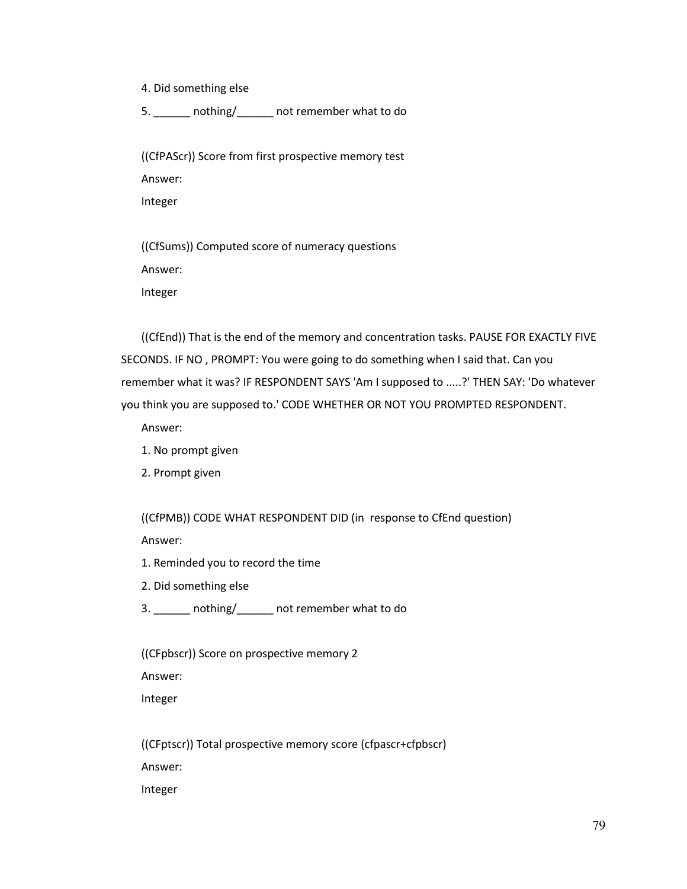4. Did something else

5. \_\_\_\_\_\_ nothing/\_\_\_\_\_\_ not remember what to do

((CfPAScr)) Score from first prospective memory test Answer: Integer

((CfSums)) Computed score of numeracy questions Answer: Integer

((CfEnd)) That is the end of the memory and concentration tasks. PAUSE FOR EXACTLY FIVE SECONDS. IF NO , PROMPT: You were going to do something when I said that. Can you remember what it was? IF RESPONDENT SAYS 'Am I supposed to .....?' THEN SAY: 'Do whatever you think you are supposed to.' CODE WHETHER OR NOT YOU PROMPTED RESPONDENT.

Answer:

- 1. No prompt given
- 2. Prompt given

((CfPMB)) CODE WHAT RESPONDENT DID (in response to CfEnd question)

Answer:

- 1. Reminded you to record the time
- 2. Did something else
- 3. \_\_\_\_\_\_ nothing/\_\_\_\_\_\_ not remember what to do

((CFpbscr)) Score on prospective memory 2

Answer:

Integer

((CFptscr)) Total prospective memory score (cfpascr+cfpbscr) Answer: Integer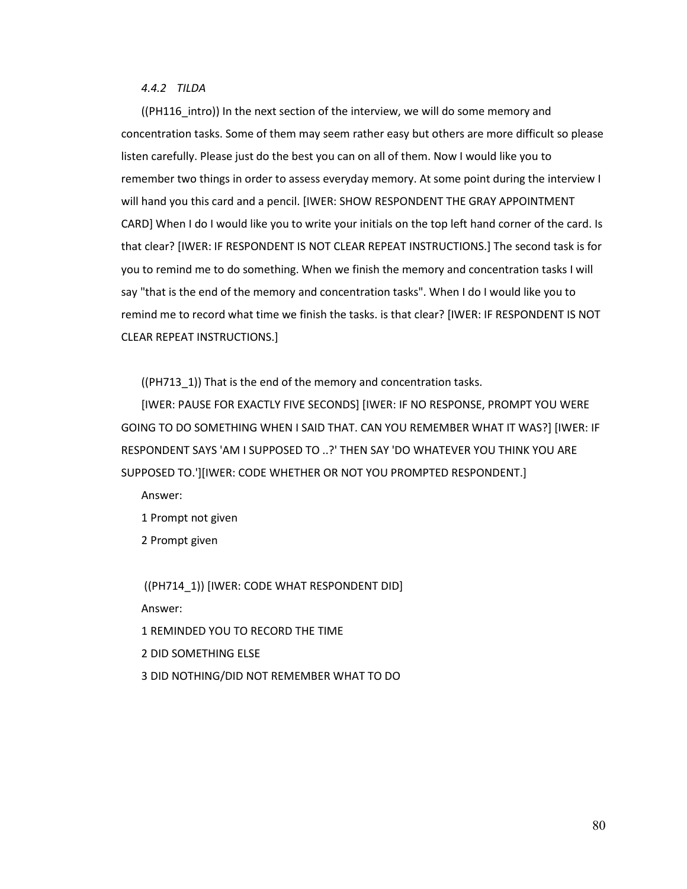*4.4.2 TILDA*

((PH116\_intro)) In the next section of the interview, we will do some memory and concentration tasks. Some of them may seem rather easy but others are more difficult so please listen carefully. Please just do the best you can on all of them. Now I would like you to remember two things in order to assess everyday memory. At some point during the interview I will hand you this card and a pencil. [IWER: SHOW RESPONDENT THE GRAY APPOINTMENT CARD] When I do I would like you to write your initials on the top left hand corner of the card. Is that clear? [IWER: IF RESPONDENT IS NOT CLEAR REPEAT INSTRUCTIONS.] The second task is for you to remind me to do something. When we finish the memory and concentration tasks I will say "that is the end of the memory and concentration tasks". When I do I would like you to remind me to record what time we finish the tasks. is that clear? [IWER: IF RESPONDENT IS NOT CLEAR REPEAT INSTRUCTIONS.]

((PH713\_1)) That is the end of the memory and concentration tasks.

[IWER: PAUSE FOR EXACTLY FIVE SECONDS] [IWER: IF NO RESPONSE, PROMPT YOU WERE GOING TO DO SOMETHING WHEN I SAID THAT. CAN YOU REMEMBER WHAT IT WAS?] [IWER: IF RESPONDENT SAYS 'AM I SUPPOSED TO ..?' THEN SAY 'DO WHATEVER YOU THINK YOU ARE SUPPOSED TO.'][IWER: CODE WHETHER OR NOT YOU PROMPTED RESPONDENT.]

Answer:

1 Prompt not given

2 Prompt given

((PH714\_1)) [IWER: CODE WHAT RESPONDENT DID] Answer: 1 REMINDED YOU TO RECORD THE TIME 2 DID SOMETHING ELSE 3 DID NOTHING/DID NOT REMEMBER WHAT TO DO

80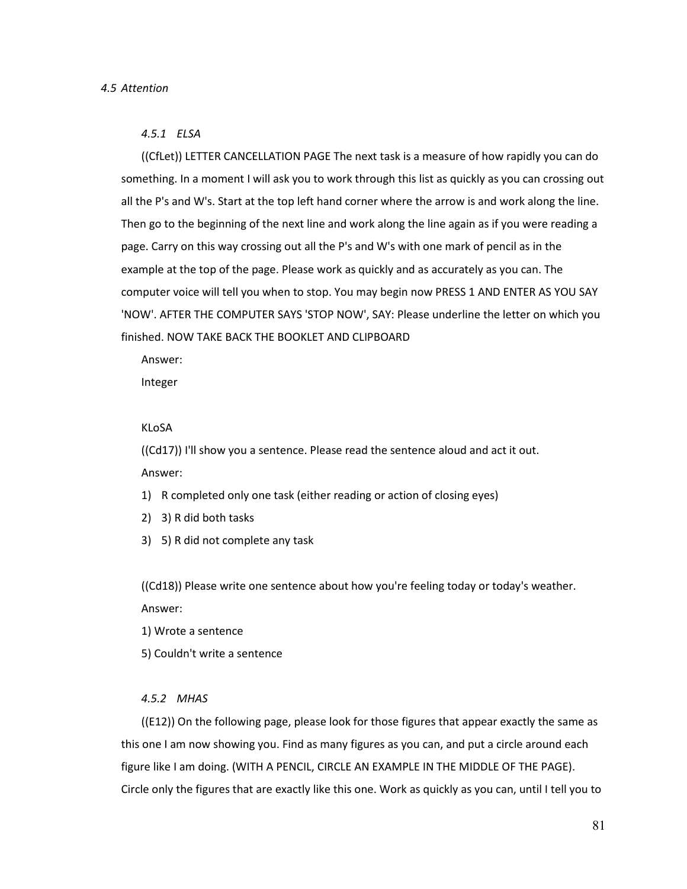#### *4.5.1 ELSA*

((CfLet)) LETTER CANCELLATION PAGE The next task is a measure of how rapidly you can do something. In a moment I will ask you to work through this list as quickly as you can crossing out all the P's and W's. Start at the top left hand corner where the arrow is and work along the line. Then go to the beginning of the next line and work along the line again as if you were reading a page. Carry on this way crossing out all the P's and W's with one mark of pencil as in the example at the top of the page. Please work as quickly and as accurately as you can. The computer voice will tell you when to stop. You may begin now PRESS 1 AND ENTER AS YOU SAY 'NOW'. AFTER THE COMPUTER SAYS 'STOP NOW', SAY: Please underline the letter on which you finished. NOW TAKE BACK THE BOOKLET AND CLIPBOARD

Answer:

Integer

#### KLoSA

((Cd17)) I'll show you a sentence. Please read the sentence aloud and act it out. Answer:

- 1) R completed only one task (either reading or action of closing eyes)
- 2) 3) R did both tasks
- 3) 5) R did not complete any task

((Cd18)) Please write one sentence about how you're feeling today or today's weather. Answer:

- 1) Wrote a sentence
- 5) Couldn't write a sentence

# *4.5.2 MHAS*

((E12)) On the following page, please look for those figures that appear exactly the same as this one I am now showing you. Find as many figures as you can, and put a circle around each figure like I am doing. (WITH A PENCIL, CIRCLE AN EXAMPLE IN THE MIDDLE OF THE PAGE). Circle only the figures that are exactly like this one. Work as quickly as you can, until I tell you to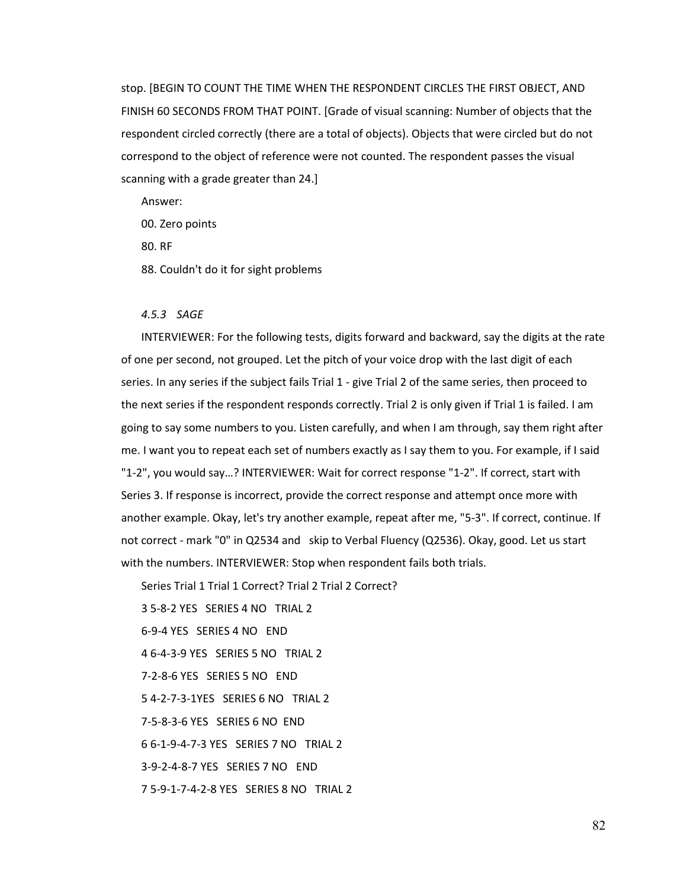stop. [BEGIN TO COUNT THE TIME WHEN THE RESPONDENT CIRCLES THE FIRST OBJECT, AND FINISH 60 SECONDS FROM THAT POINT. [Grade of visual scanning: Number of objects that the respondent circled correctly (there are a total of objects). Objects that were circled but do not correspond to the object of reference were not counted. The respondent passes the visual scanning with a grade greater than 24.]

Answer:

00. Zero points

80. RF

88. Couldn't do it for sight problems

# *4.5.3 SAGE*

INTERVIEWER: For the following tests, digits forward and backward, say the digits at the rate of one per second, not grouped. Let the pitch of your voice drop with the last digit of each series. In any series if the subject fails Trial 1 - give Trial 2 of the same series, then proceed to the next series if the respondent responds correctly. Trial 2 is only given if Trial 1 is failed. I am going to say some numbers to you. Listen carefully, and when I am through, say them right after me. I want you to repeat each set of numbers exactly as I say them to you. For example, if I said "1-2", you would say…? INTERVIEWER: Wait for correct response "1-2". If correct, start with Series 3. If response is incorrect, provide the correct response and attempt once more with another example. Okay, let's try another example, repeat after me, "5-3". If correct, continue. If not correct - mark "0" in Q2534 and skip to Verbal Fluency (Q2536). Okay, good. Let us start with the numbers. INTERVIEWER: Stop when respondent fails both trials.

Series Trial 1 Trial 1 Correct? Trial 2 Trial 2 Correct?

3 5-8-2 YES SERIES 4 NO TRIAL 2 6-9-4 YES SERIES 4 NO END 4 6-4-3-9 YES SERIES 5 NO TRIAL 2 7-2-8-6 YES SERIES 5 NO END 5 4-2-7-3-1YES SERIES 6 NO TRIAL 2 7-5-8-3-6 YES SERIES 6 NO END 6 6-1-9-4-7-3 YES SERIES 7 NO TRIAL 2 3-9-2-4-8-7 YES SERIES 7 NO END 7 5-9-1-7-4-2-8 YES SERIES 8 NO TRIAL 2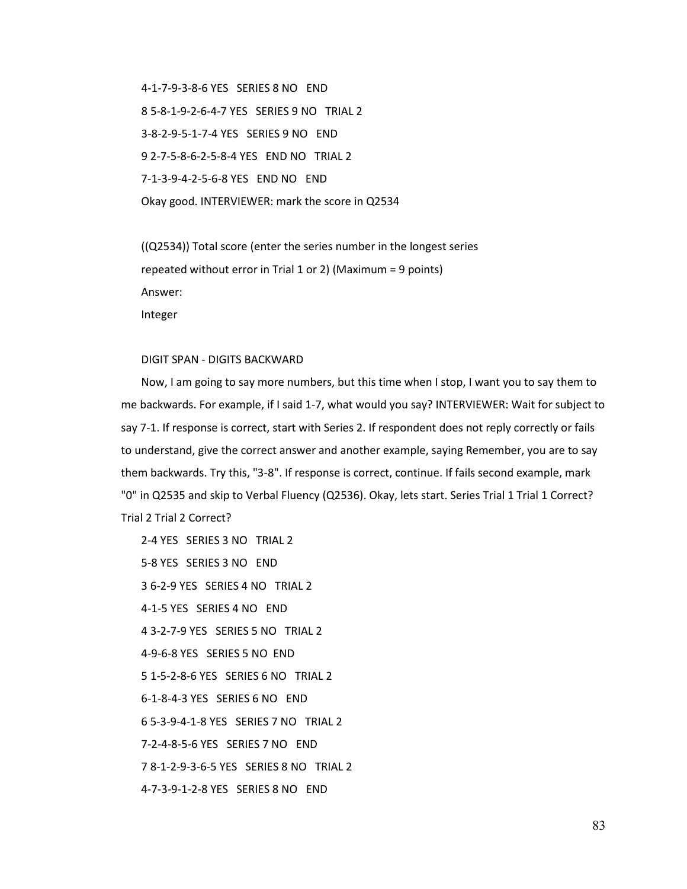4-1-7-9-3-8-6 YES SERIES 8 NO END 8 5-8-1-9-2-6-4-7 YES SERIES 9 NO TRIAL 2 3-8-2-9-5-1-7-4 YES SERIES 9 NO END 9 2-7-5-8-6-2-5-8-4 YES END NO TRIAL 2 7-1-3-9-4-2-5-6-8 YES END NO END Okay good. INTERVIEWER: mark the score in Q2534

((Q2534)) Total score (enter the series number in the longest series repeated without error in Trial 1 or 2) (Maximum = 9 points) Answer: Integer

## DIGIT SPAN - DIGITS BACKWARD

Now, I am going to say more numbers, but this time when I stop, I want you to say them to me backwards. For example, if I said 1-7, what would you say? INTERVIEWER: Wait for subject to say 7-1. If response is correct, start with Series 2. If respondent does not reply correctly or fails to understand, give the correct answer and another example, saying Remember, you are to say them backwards. Try this, "3-8". If response is correct, continue. If fails second example, mark "0" in Q2535 and skip to Verbal Fluency (Q2536). Okay, lets start. Series Trial 1 Trial 1 Correct? Trial 2 Trial 2 Correct?

2-4 YES SERIES 3 NO TRIAL 2 5-8 YES SERIES 3 NO END 3 6-2-9 YES SERIES 4 NO TRIAL 2 4-1-5 YES SERIES 4 NO END 4 3-2-7-9 YES SERIES 5 NO TRIAL 2 4-9-6-8 YES SERIES 5 NO END 5 1-5-2-8-6 YES SERIES 6 NO TRIAL 2 6-1-8-4-3 YES SERIES 6 NO END 6 5-3-9-4-1-8 YES SERIES 7 NO TRIAL 2 7-2-4-8-5-6 YES SERIES 7 NO END 7 8-1-2-9-3-6-5 YES SERIES 8 NO TRIAL 2 4-7-3-9-1-2-8 YES SERIES 8 NO END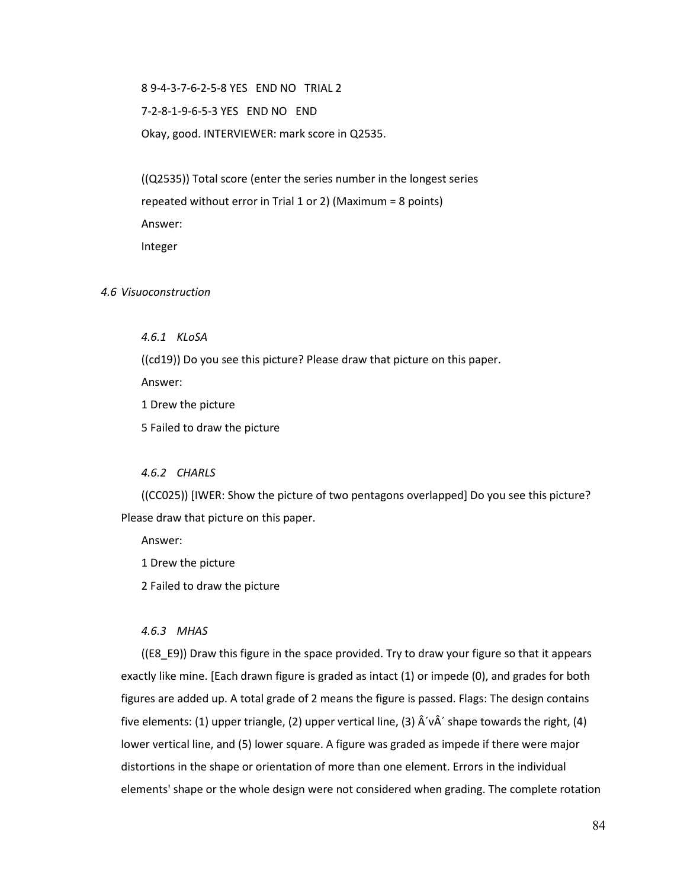8 9-4-3-7-6-2-5-8 YES END NO TRIAL 2

7-2-8-1-9-6-5-3 YES END NO END

Okay, good. INTERVIEWER: mark score in Q2535.

((Q2535)) Total score (enter the series number in the longest series repeated without error in Trial 1 or 2) (Maximum = 8 points) Answer: Integer

*4.6 Visuoconstruction*

*4.6.1 KLoSA*

((cd19)) Do you see this picture? Please draw that picture on this paper.

Answer:

1 Drew the picture

5 Failed to draw the picture

### *4.6.2 CHARLS*

((CC025)) [IWER: Show the picture of two pentagons overlapped] Do you see this picture? Please draw that picture on this paper.

Answer:

1 Drew the picture

2 Failed to draw the picture

#### *4.6.3 MHAS*

((E8\_E9)) Draw this figure in the space provided. Try to draw your figure so that it appears exactly like mine. [Each drawn figure is graded as intact (1) or impede (0), and grades for both figures are added up. A total grade of 2 means the figure is passed. Flags: The design contains five elements: (1) upper triangle, (2) upper vertical line, (3)  $\hat{A}'\hat{A}'$  shape towards the right, (4) lower vertical line, and (5) lower square. A figure was graded as impede if there were major distortions in the shape or orientation of more than one element. Errors in the individual elements' shape or the whole design were not considered when grading. The complete rotation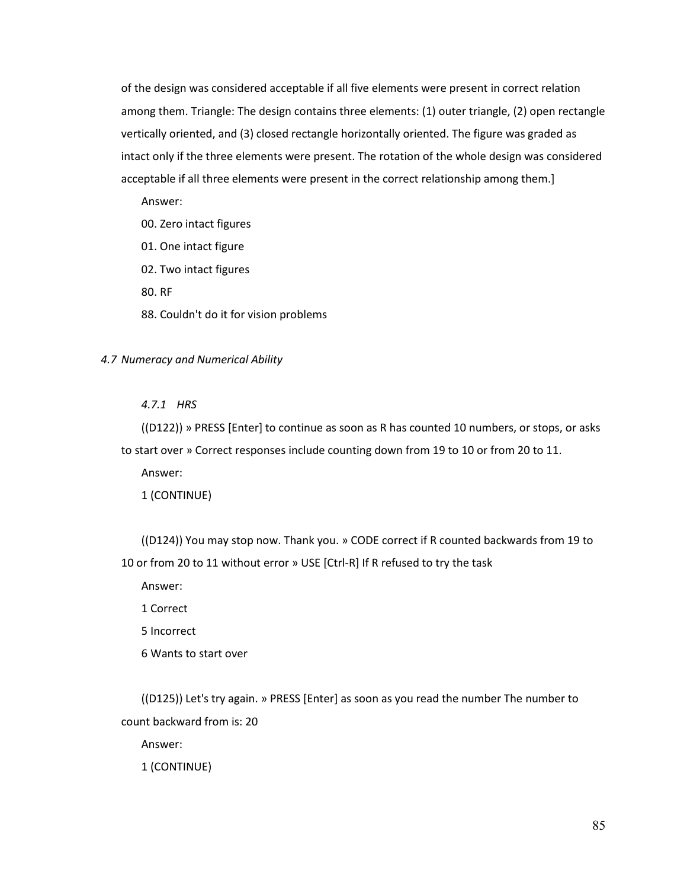of the design was considered acceptable if all five elements were present in correct relation among them. Triangle: The design contains three elements: (1) outer triangle, (2) open rectangle vertically oriented, and (3) closed rectangle horizontally oriented. The figure was graded as intact only if the three elements were present. The rotation of the whole design was considered acceptable if all three elements were present in the correct relationship among them.]

Answer:

- 00. Zero intact figures
- 01. One intact figure
- 02. Two intact figures

80. RF

88. Couldn't do it for vision problems

#### *4.7 Numeracy and Numerical Ability*

#### *4.7.1 HRS*

((D122)) » PRESS [Enter] to continue as soon as R has counted 10 numbers, or stops, or asks to start over » Correct responses include counting down from 19 to 10 or from 20 to 11.

Answer:

1 (CONTINUE)

((D124)) You may stop now. Thank you. » CODE correct if R counted backwards from 19 to 10 or from 20 to 11 without error » USE [Ctrl-R] If R refused to try the task

Answer:

1 Correct

5 Incorrect

6 Wants to start over

((D125)) Let's try again. » PRESS [Enter] as soon as you read the number The number to count backward from is: 20

Answer:

1 (CONTINUE)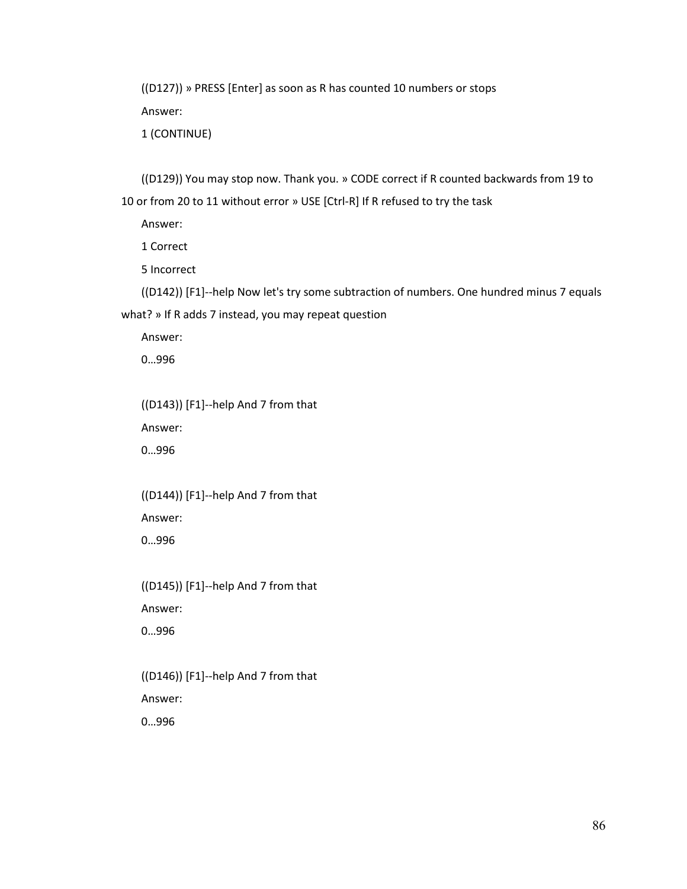((D127)) » PRESS [Enter] as soon as R has counted 10 numbers or stops Answer:

1 (CONTINUE)

((D129)) You may stop now. Thank you. » CODE correct if R counted backwards from 19 to 10 or from 20 to 11 without error » USE [Ctrl-R] If R refused to try the task

Answer:

1 Correct

5 Incorrect

((D142)) [F1]--help Now let's try some subtraction of numbers. One hundred minus 7 equals what? » If R adds 7 instead, you may repeat question

Answer:

0…996

((D143)) [F1]--help And 7 from that Answer:

0…996

((D144)) [F1]--help And 7 from that Answer: 0…996

((D145)) [F1]--help And 7 from that Answer: 0…996

((D146)) [F1]--help And 7 from that Answer: 0…996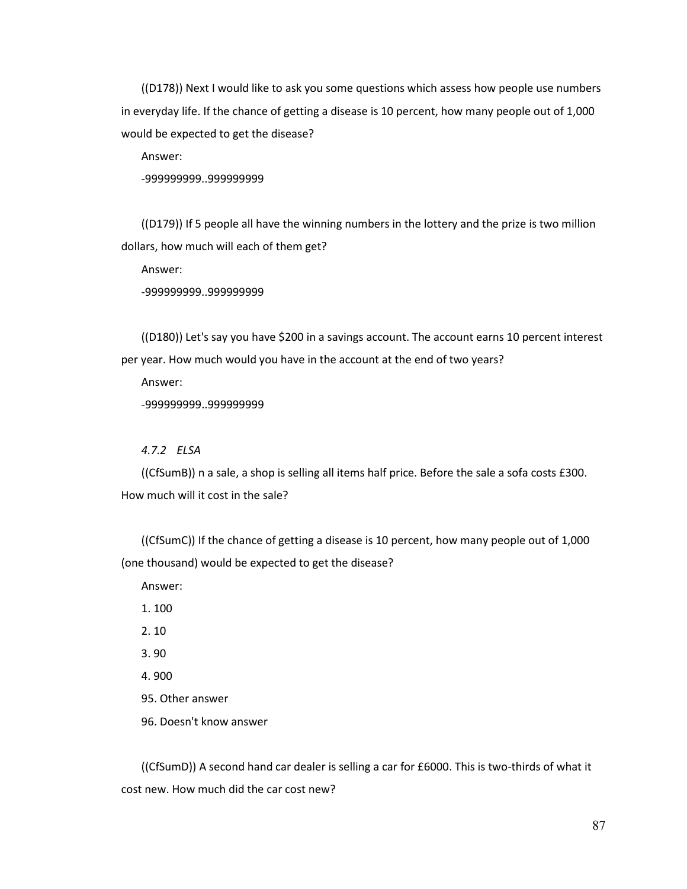((D178)) Next I would like to ask you some questions which assess how people use numbers in everyday life. If the chance of getting a disease is 10 percent, how many people out of 1,000 would be expected to get the disease?

Answer:

-999999999..999999999

((D179)) If 5 people all have the winning numbers in the lottery and the prize is two million dollars, how much will each of them get?

Answer:

-999999999..999999999

((D180)) Let's say you have \$200 in a savings account. The account earns 10 percent interest per year. How much would you have in the account at the end of two years?

Answer:

-999999999..999999999

#### *4.7.2 ELSA*

((CfSumB)) n a sale, a shop is selling all items half price. Before the sale a sofa costs £300. How much will it cost in the sale?

((CfSumC)) If the chance of getting a disease is 10 percent, how many people out of 1,000 (one thousand) would be expected to get the disease?

Answer:

1. 100

2. 10

3. 90

4. 900

95. Other answer

96. Doesn't know answer

((CfSumD)) A second hand car dealer is selling a car for £6000. This is two-thirds of what it cost new. How much did the car cost new?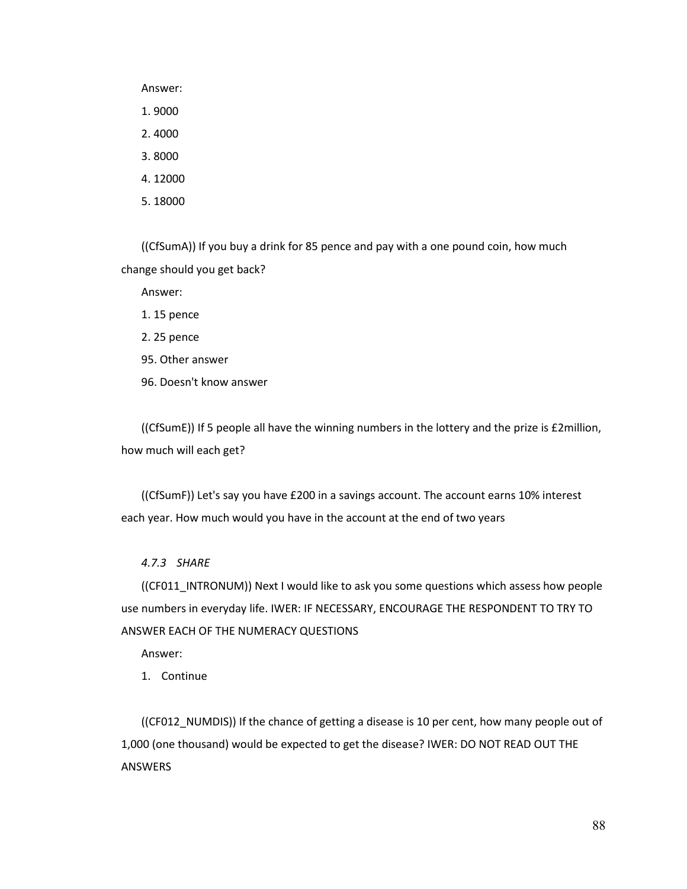Answer:

1. 9000

2. 4000

3. 8000

4. 12000

5. 18000

((CfSumA)) If you buy a drink for 85 pence and pay with a one pound coin, how much change should you get back?

Answer:

1. 15 pence

2. 25 pence

95. Other answer

96. Doesn't know answer

((CfSumE)) If 5 people all have the winning numbers in the lottery and the prize is £2million, how much will each get?

((CfSumF)) Let's say you have £200 in a savings account. The account earns 10% interest each year. How much would you have in the account at the end of two years

*4.7.3 SHARE*

((CF011\_INTRONUM)) Next I would like to ask you some questions which assess how people use numbers in everyday life. IWER: IF NECESSARY, ENCOURAGE THE RESPONDENT TO TRY TO ANSWER EACH OF THE NUMERACY QUESTIONS

Answer:

1. Continue

((CF012\_NUMDIS)) If the chance of getting a disease is 10 per cent, how many people out of 1,000 (one thousand) would be expected to get the disease? IWER: DO NOT READ OUT THE ANSWERS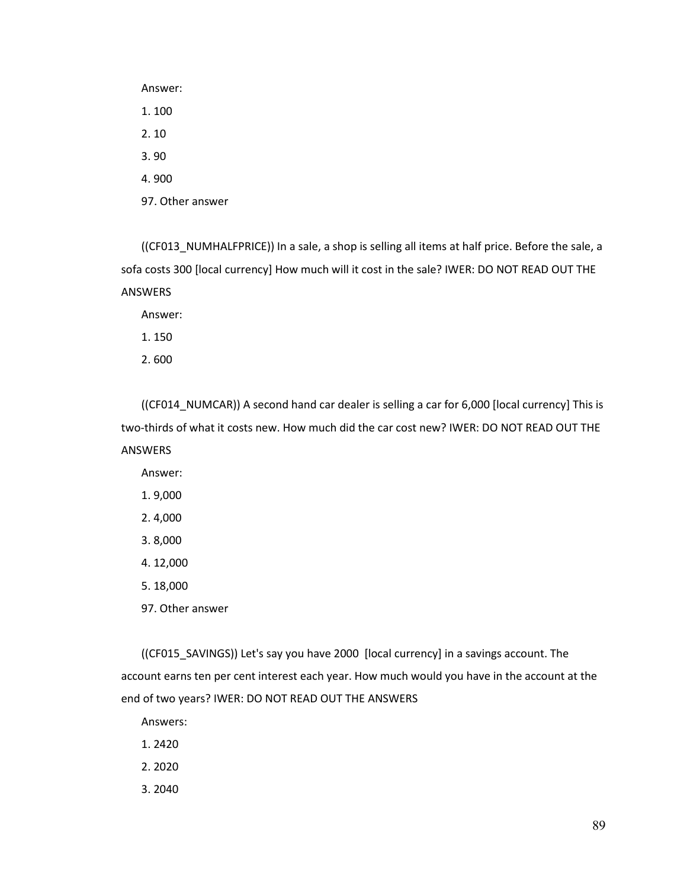Answer: 1. 100 2. 10 3. 90 4. 900 97. Other answer

((CF013\_NUMHALFPRICE)) In a sale, a shop is selling all items at half price. Before the sale, a sofa costs 300 [local currency] How much will it cost in the sale? IWER: DO NOT READ OUT THE ANSWERS

Answer:

1. 150

2. 600

((CF014\_NUMCAR)) A second hand car dealer is selling a car for 6,000 [local currency] This is two-thirds of what it costs new. How much did the car cost new? IWER: DO NOT READ OUT THE ANSWERS

Answer:

1. 9,000

2. 4,000

3. 8,000

4. 12,000

5. 18,000

97. Other answer

((CF015\_SAVINGS)) Let's say you have 2000 [local currency] in a savings account. The account earns ten per cent interest each year. How much would you have in the account at the end of two years? IWER: DO NOT READ OUT THE ANSWERS

Answers:

1. 2420

2. 2020

3. 2040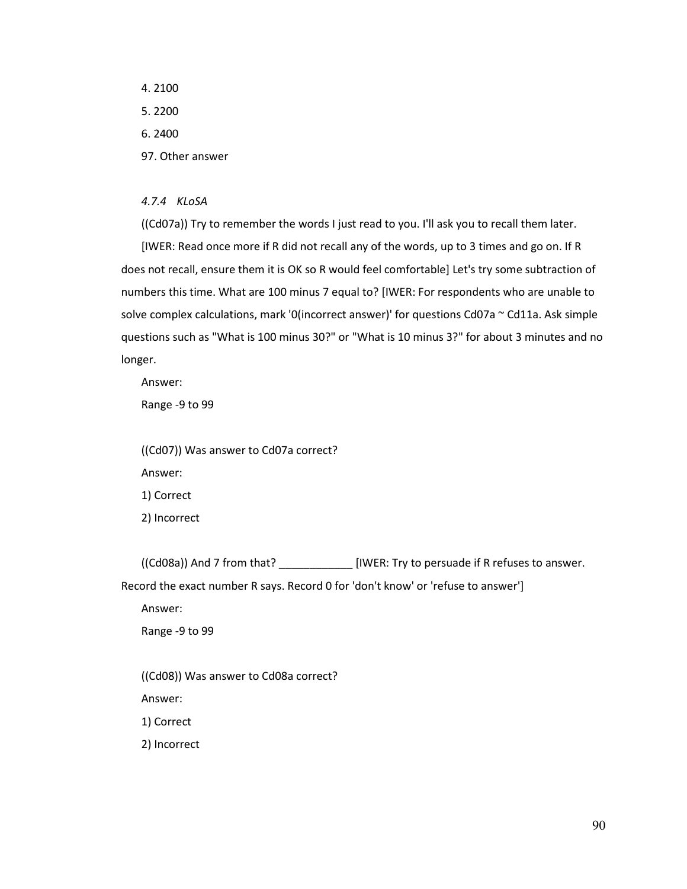4. 2100 5. 2200 6. 2400 97. Other answer

*4.7.4 KLoSA*

((Cd07a)) Try to remember the words I just read to you. I'll ask you to recall them later.

[IWER: Read once more if R did not recall any of the words, up to 3 times and go on. If R does not recall, ensure them it is OK so R would feel comfortable] Let's try some subtraction of numbers this time. What are 100 minus 7 equal to? [IWER: For respondents who are unable to solve complex calculations, mark '0(incorrect answer)' for questions Cd07a ~ Cd11a. Ask simple questions such as "What is 100 minus 30?" or "What is 10 minus 3?" for about 3 minutes and no longer.

Answer:

Range -9 to 99

((Cd07)) Was answer to Cd07a correct? Answer: 1) Correct 2) Incorrect

((Cd08a)) And 7 from that? \_\_\_\_\_\_\_\_\_\_\_\_ [IWER: Try to persuade if R refuses to answer. Record the exact number R says. Record 0 for 'don't know' or 'refuse to answer']

Answer:

Range -9 to 99

((Cd08)) Was answer to Cd08a correct?

Answer:

1) Correct

2) Incorrect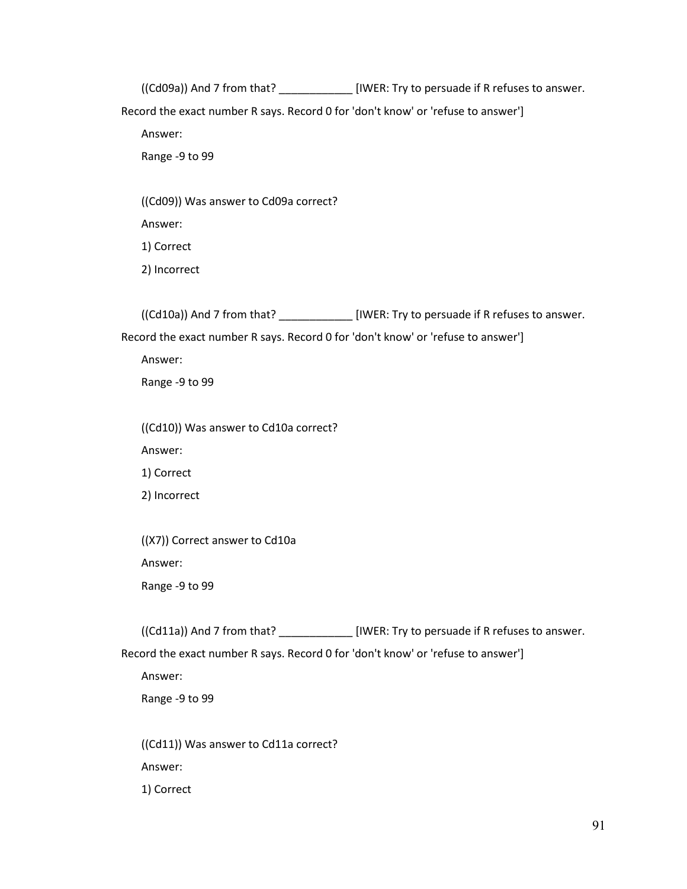((Cd09a)) And 7 from that? \_\_\_\_\_\_\_\_\_\_\_\_ [IWER: Try to persuade if R refuses to answer.

Record the exact number R says. Record 0 for 'don't know' or 'refuse to answer']

Answer:

Range -9 to 99

((Cd09)) Was answer to Cd09a correct?

Answer:

1) Correct

2) Incorrect

((Cd10a)) And 7 from that? \_\_\_\_\_\_\_\_\_\_\_\_ [IWER: Try to persuade if R refuses to answer.

Record the exact number R says. Record 0 for 'don't know' or 'refuse to answer']

Answer:

Range -9 to 99

((Cd10)) Was answer to Cd10a correct?

Answer:

1) Correct

2) Incorrect

((X7)) Correct answer to Cd10a Answer:

Range -9 to 99

((Cd11a)) And 7 from that? \_\_\_\_\_\_\_\_\_\_\_\_ [IWER: Try to persuade if R refuses to answer.

Record the exact number R says. Record 0 for 'don't know' or 'refuse to answer']

Answer:

Range -9 to 99

((Cd11)) Was answer to Cd11a correct? Answer: 1) Correct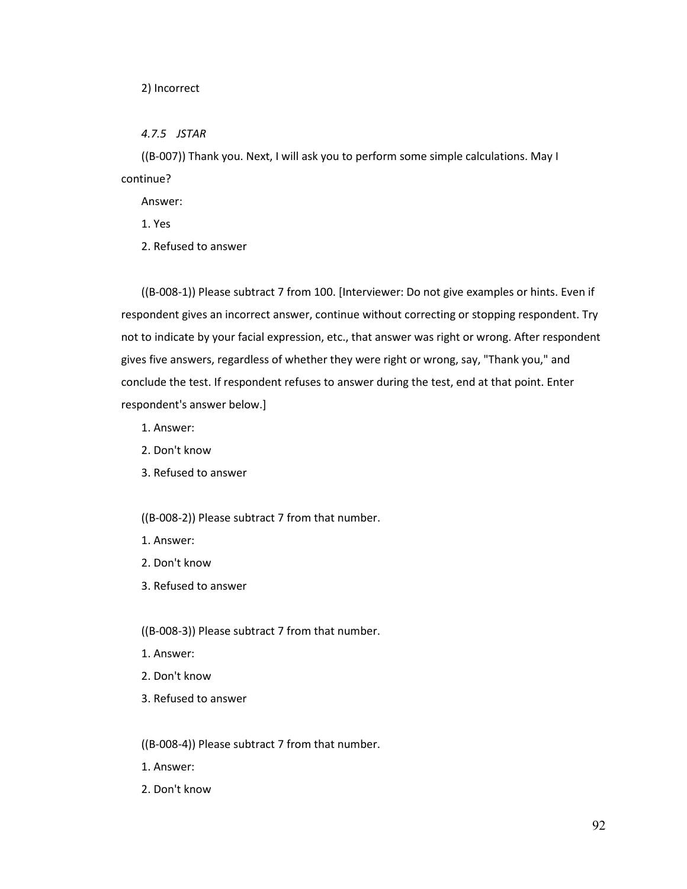#### 2) Incorrect

*4.7.5 JSTAR*

((B-007)) Thank you. Next, I will ask you to perform some simple calculations. May I continue?

Answer:

1. Yes

2. Refused to answer

((B-008-1)) Please subtract 7 from 100. [Interviewer: Do not give examples or hints. Even if respondent gives an incorrect answer, continue without correcting or stopping respondent. Try not to indicate by your facial expression, etc., that answer was right or wrong. After respondent gives five answers, regardless of whether they were right or wrong, say, "Thank you," and conclude the test. If respondent refuses to answer during the test, end at that point. Enter respondent's answer below.]

1. Answer:

- 2. Don't know
- 3. Refused to answer

((B-008-2)) Please subtract 7 from that number.

- 1. Answer:
- 2. Don't know
- 3. Refused to answer

((B-008-3)) Please subtract 7 from that number.

- 1. Answer:
- 2. Don't know
- 3. Refused to answer

((B-008-4)) Please subtract 7 from that number.

- 1. Answer:
- 2. Don't know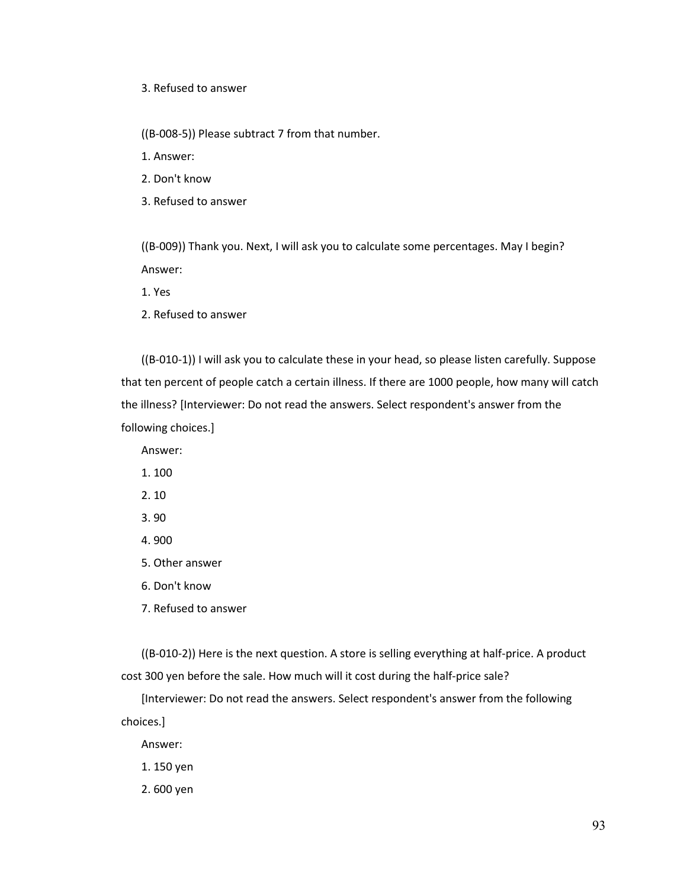3. Refused to answer

((B-008-5)) Please subtract 7 from that number.

1. Answer:

2. Don't know

3. Refused to answer

((B-009)) Thank you. Next, I will ask you to calculate some percentages. May I begin? Answer:

1. Yes

2. Refused to answer

((B-010-1)) I will ask you to calculate these in your head, so please listen carefully. Suppose that ten percent of people catch a certain illness. If there are 1000 people, how many will catch the illness? [Interviewer: Do not read the answers. Select respondent's answer from the following choices.]

Answer:

1. 100

2. 10

3. 90

4. 900

5. Other answer

6. Don't know

7. Refused to answer

((B-010-2)) Here is the next question. A store is selling everything at half-price. A product cost 300 yen before the sale. How much will it cost during the half-price sale?

[Interviewer: Do not read the answers. Select respondent's answer from the following choices.]

Answer:

1. 150 yen

2. 600 yen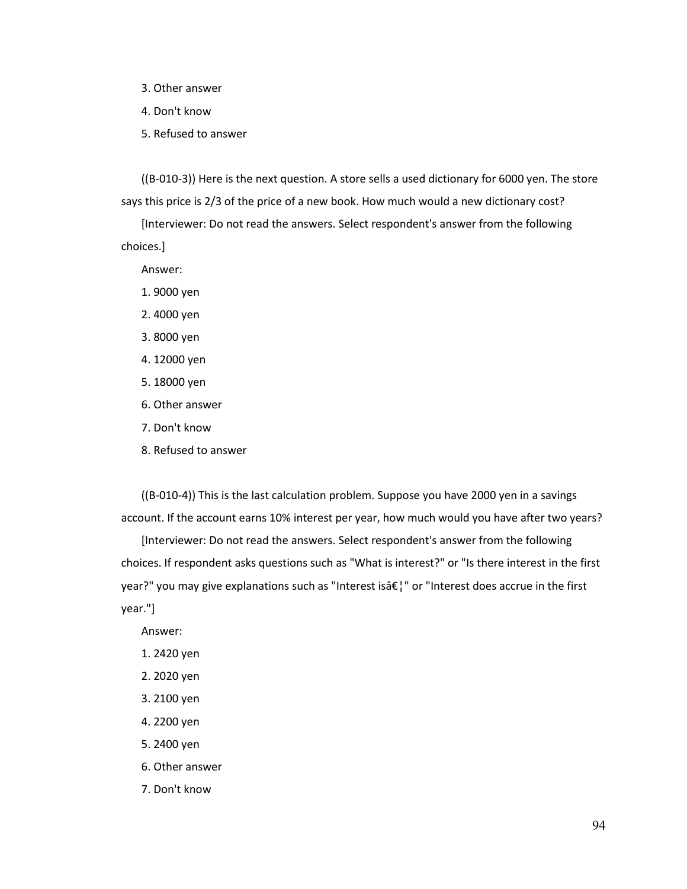- 3. Other answer
- 4. Don't know
- 5. Refused to answer

((B-010-3)) Here is the next question. A store sells a used dictionary for 6000 yen. The store says this price is 2/3 of the price of a new book. How much would a new dictionary cost?

[Interviewer: Do not read the answers. Select respondent's answer from the following choices.]

Answer:

- 1. 9000 yen
- 2. 4000 yen
- 3. 8000 yen
- 4. 12000 yen
- 5. 18000 yen
- 6. Other answer
- 7. Don't know
- 8. Refused to answer

((B-010-4)) This is the last calculation problem. Suppose you have 2000 yen in a savings account. If the account earns 10% interest per year, how much would you have after two years?

[Interviewer: Do not read the answers. Select respondent's answer from the following choices. If respondent asks questions such as "What is interest?" or "Is there interest in the first year?" you may give explanations such as "Interest is  $\frac{2}{\pi}$ " or "Interest does accrue in the first year."]

Answer:

- 1. 2420 yen
- 2. 2020 yen
- 3. 2100 yen
- 4. 2200 yen
- 5. 2400 yen
- 6. Other answer
- 7. Don't know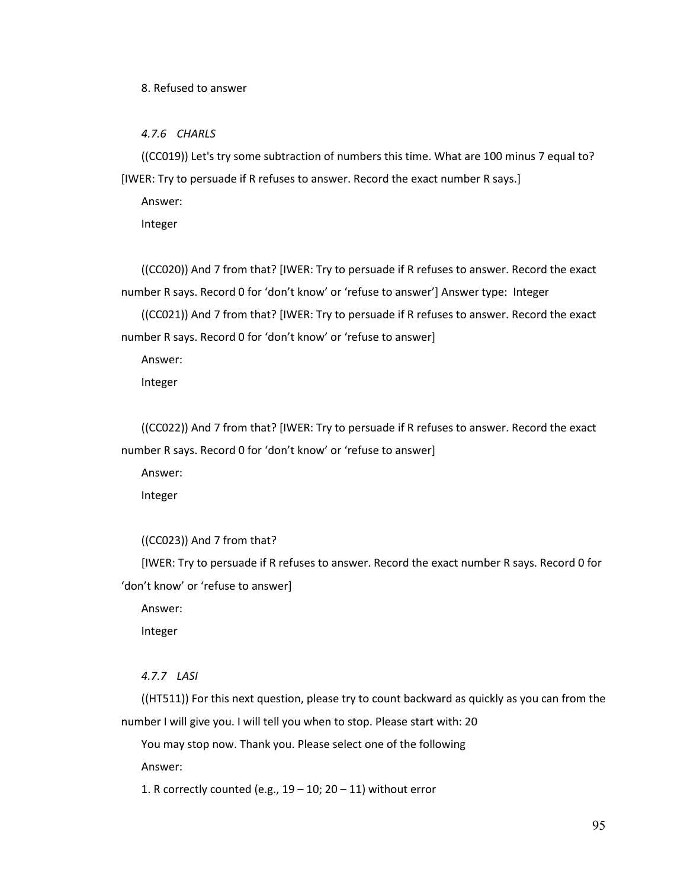8. Refused to answer

*4.7.6 CHARLS*

((CC019)) Let's try some subtraction of numbers this time. What are 100 minus 7 equal to? [IWER: Try to persuade if R refuses to answer. Record the exact number R says.]

Answer:

Integer

((CC020)) And 7 from that? [IWER: Try to persuade if R refuses to answer. Record the exact number R says. Record 0 for 'don't know' or 'refuse to answer'] Answer type: Integer

((CC021)) And 7 from that? [IWER: Try to persuade if R refuses to answer. Record the exact number R says. Record 0 for 'don't know' or 'refuse to answer]

Answer:

Integer

((CC022)) And 7 from that? [IWER: Try to persuade if R refuses to answer. Record the exact number R says. Record 0 for 'don't know' or 'refuse to answer]

Answer:

Integer

```
((CC023)) And 7 from that?
```
[IWER: Try to persuade if R refuses to answer. Record the exact number R says. Record 0 for 'don't know' or 'refuse to answer]

Answer:

Integer

## *4.7.7 LASI*

((HT511)) For this next question, please try to count backward as quickly as you can from the number I will give you. I will tell you when to stop. Please start with: 20

You may stop now. Thank you. Please select one of the following

Answer:

1. R correctly counted (e.g.,  $19 - 10$ ;  $20 - 11$ ) without error

95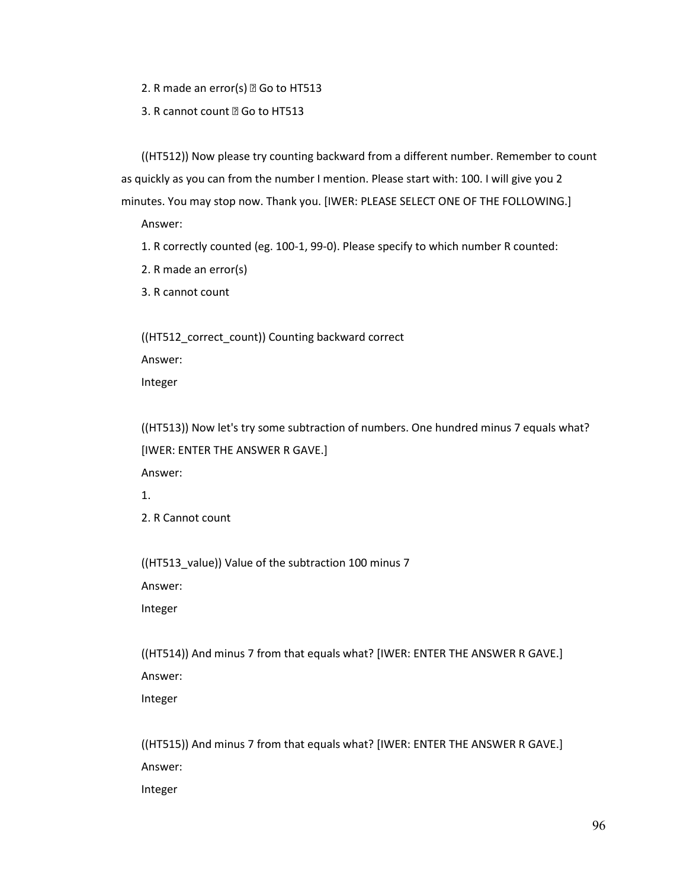2. R made an error(s)  $\mathbb{Z}$  Go to HT513

3. R cannot count @ Go to HT513

((HT512)) Now please try counting backward from a different number. Remember to count as quickly as you can from the number I mention. Please start with: 100. I will give you 2 minutes. You may stop now. Thank you. [IWER: PLEASE SELECT ONE OF THE FOLLOWING.]

Answer:

1. R correctly counted (eg. 100-1, 99-0). Please specify to which number R counted:

2. R made an error(s)

3. R cannot count

((HT512\_correct\_count)) Counting backward correct Answer:

Integer

((HT513)) Now let's try some subtraction of numbers. One hundred minus 7 equals what? [IWER: ENTER THE ANSWER R GAVE.]

Answer:

1.

2. R Cannot count

((HT513\_value)) Value of the subtraction 100 minus 7

Answer:

Integer

((HT514)) And minus 7 from that equals what? [IWER: ENTER THE ANSWER R GAVE.] Answer:

Integer

((HT515)) And minus 7 from that equals what? [IWER: ENTER THE ANSWER R GAVE.] Answer:

Integer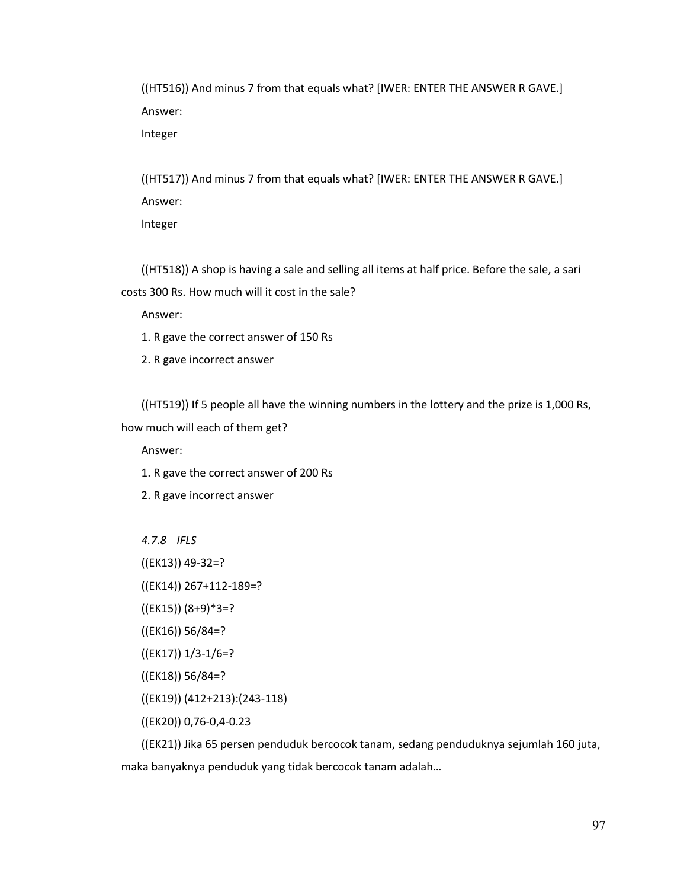((HT516)) And minus 7 from that equals what? [IWER: ENTER THE ANSWER R GAVE.] Answer:

Integer

((HT517)) And minus 7 from that equals what? [IWER: ENTER THE ANSWER R GAVE.] Answer:

Integer

((HT518)) A shop is having a sale and selling all items at half price. Before the sale, a sari costs 300 Rs. How much will it cost in the sale?

Answer:

- 1. R gave the correct answer of 150 Rs
- 2. R gave incorrect answer

((HT519)) If 5 people all have the winning numbers in the lottery and the prize is 1,000 Rs,

how much will each of them get?

Answer:

1. R gave the correct answer of 200 Rs

2. R gave incorrect answer

*4.7.8 IFLS*

((EK13)) 49-32=?

((EK14)) 267+112-189=?

- ((EK15)) (8+9)\*3=?
- ((EK16)) 56/84=?
- ((EK17)) 1/3-1/6=?
- ((EK18)) 56/84=?
- ((EK19)) (412+213):(243-118)
- ((EK20)) 0,76-0,4-0.23

((EK21)) Jika 65 persen penduduk bercocok tanam, sedang penduduknya sejumlah 160 juta, maka banyaknya penduduk yang tidak bercocok tanam adalah…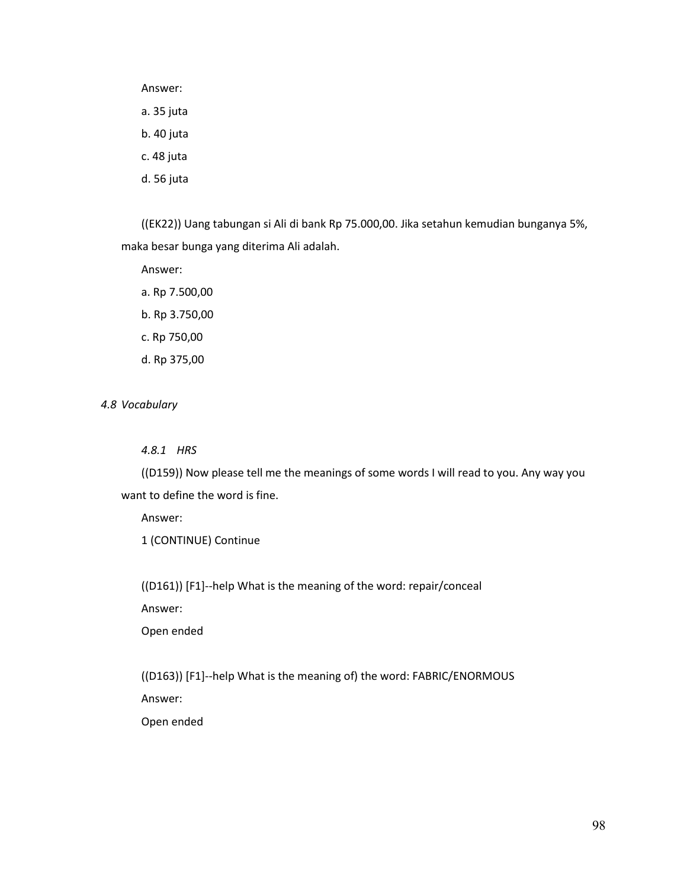Answer:

a. 35 juta

b. 40 juta

c. 48 juta

d. 56 juta

((EK22)) Uang tabungan si Ali di bank Rp 75.000,00. Jika setahun kemudian bunganya 5%, maka besar bunga yang diterima Ali adalah.

Answer:

a. Rp 7.500,00 b. Rp 3.750,00 c. Rp 750,00 d. Rp 375,00

*4.8 Vocabulary*

*4.8.1 HRS*

((D159)) Now please tell me the meanings of some words I will read to you. Any way you want to define the word is fine.

Answer:

1 (CONTINUE) Continue

((D161)) [F1]--help What is the meaning of the word: repair/conceal

Answer:

Open ended

((D163)) [F1]--help What is the meaning of) the word: FABRIC/ENORMOUS Answer:

Open ended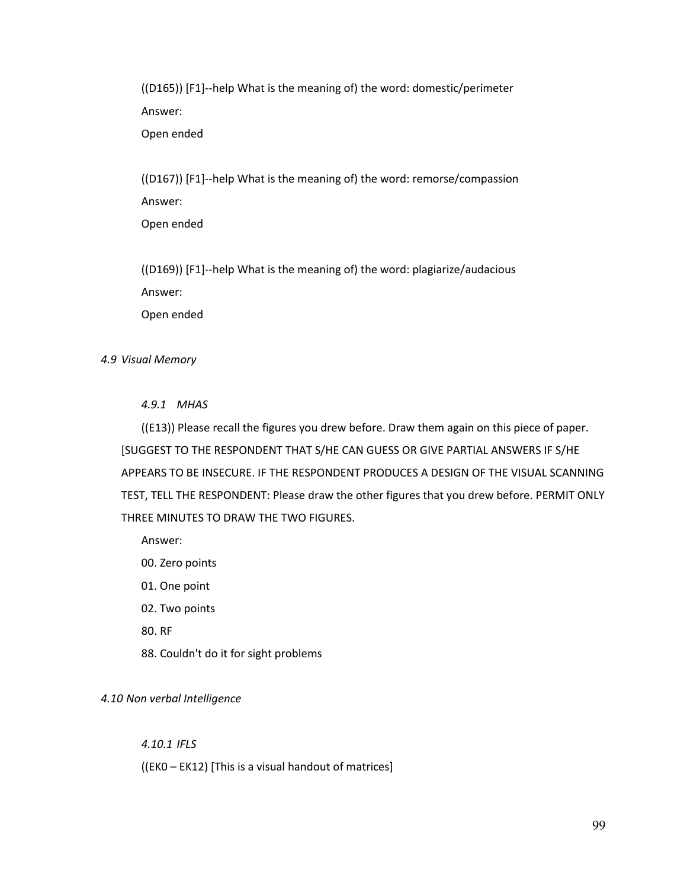((D165)) [F1]--help What is the meaning of) the word: domestic/perimeter Answer:

Open ended

((D167)) [F1]--help What is the meaning of) the word: remorse/compassion Answer:

Open ended

((D169)) [F1]--help What is the meaning of) the word: plagiarize/audacious Answer: Open ended

# *4.9 Visual Memory*

# *4.9.1 MHAS*

((E13)) Please recall the figures you drew before. Draw them again on this piece of paper. [SUGGEST TO THE RESPONDENT THAT S/HE CAN GUESS OR GIVE PARTIAL ANSWERS IF S/HE APPEARS TO BE INSECURE. IF THE RESPONDENT PRODUCES A DESIGN OF THE VISUAL SCANNING TEST, TELL THE RESPONDENT: Please draw the other figures that you drew before. PERMIT ONLY THREE MINUTES TO DRAW THE TWO FIGURES.

Answer:

- 00. Zero points
- 01. One point
- 02. Two points
- 80. RF
- 88. Couldn't do it for sight problems

## *4.10 Non verbal Intelligence*

## *4.10.1 IFLS*

((EK0 – EK12) [This is a visual handout of matrices]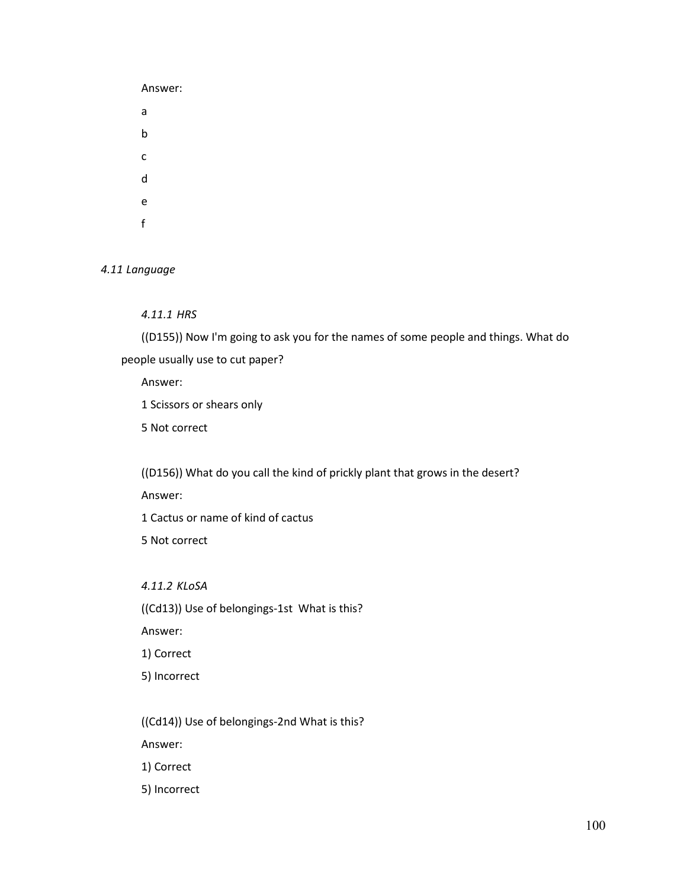Answer: a b c d e f

*4.11 Language*

*4.11.1 HRS*

((D155)) Now I'm going to ask you for the names of some people and things. What do people usually use to cut paper?

Answer:

1 Scissors or shears only

5 Not correct

((D156)) What do you call the kind of prickly plant that grows in the desert?

Answer:

1 Cactus or name of kind of cactus

5 Not correct

*4.11.2 KLoSA* 

((Cd13)) Use of belongings-1st What is this?

Answer:

1) Correct

5) Incorrect

((Cd14)) Use of belongings-2nd What is this?

Answer:

1) Correct

5) Incorrect